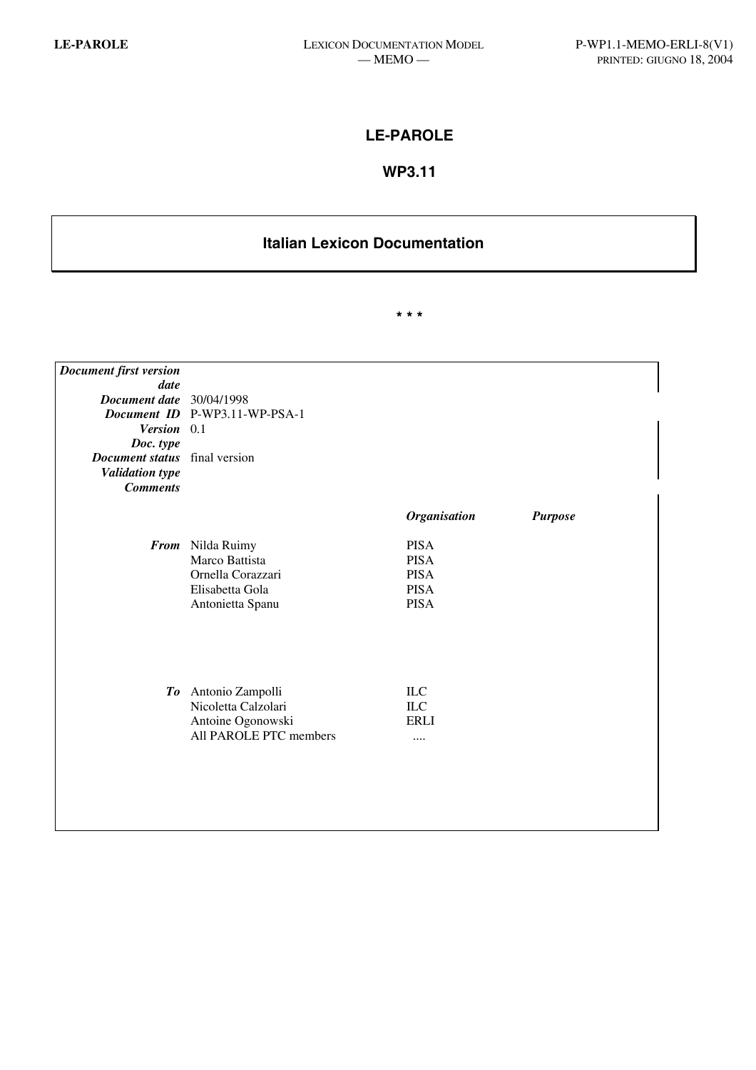# **LE-PAROLE**

# **WP3.11**

# **Italian Lexicon Documentation**

**\* \* \*** 

| Document first version               |                                             |                     |                |
|--------------------------------------|---------------------------------------------|---------------------|----------------|
| date                                 |                                             |                     |                |
| Document date 30/04/1998             |                                             |                     |                |
|                                      | Document ID P-WP3.11-WP-PSA-1               |                     |                |
| Version 0.1                          |                                             |                     |                |
| Doc. type                            |                                             |                     |                |
| <b>Document status</b> final version |                                             |                     |                |
| <b>Validation type</b>               |                                             |                     |                |
| <b>Comments</b>                      |                                             |                     |                |
|                                      |                                             |                     |                |
|                                      |                                             | <b>Organisation</b> | <b>Purpose</b> |
|                                      | From Nilda Ruimy                            | <b>PISA</b>         |                |
|                                      | Marco Battista                              | <b>PISA</b>         |                |
|                                      | Ornella Corazzari                           | <b>PISA</b>         |                |
|                                      | Elisabetta Gola                             | <b>PISA</b>         |                |
|                                      | Antonietta Spanu                            | <b>PISA</b>         |                |
|                                      |                                             |                     |                |
|                                      |                                             |                     |                |
|                                      |                                             |                     |                |
|                                      |                                             |                     |                |
|                                      |                                             |                     |                |
|                                      | To Antonio Zampolli                         | ILC                 |                |
|                                      | Nicoletta Calzolari                         | ILC<br><b>ERLI</b>  |                |
|                                      | Antoine Ogonowski<br>All PAROLE PTC members |                     |                |
|                                      |                                             |                     |                |
|                                      |                                             |                     |                |
|                                      |                                             |                     |                |
|                                      |                                             |                     |                |
|                                      |                                             |                     |                |
|                                      |                                             |                     |                |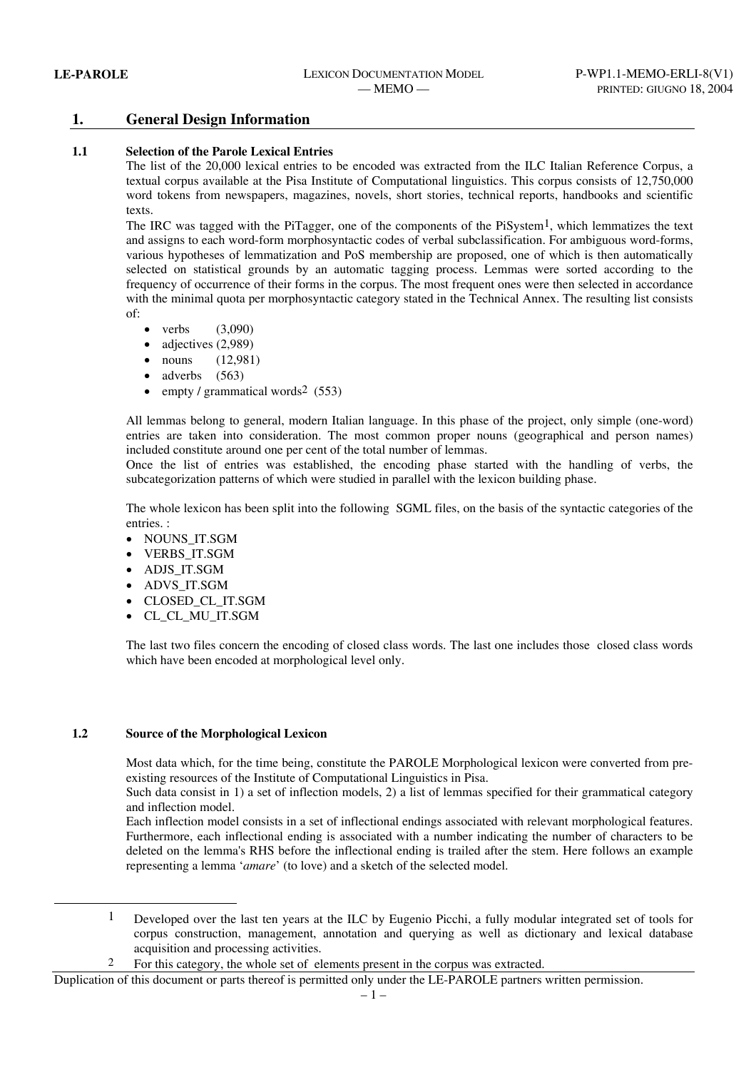# **1. General Design Information**

### **1.1 Selection of the Parole Lexical Entries**

The list of the 20,000 lexical entries to be encoded was extracted from the ILC Italian Reference Corpus, a textual corpus available at the Pisa Institute of Computational linguistics. This corpus consists of 12,750,000 word tokens from newspapers, magazines, novels, short stories, technical reports, handbooks and scientific texts.

The IRC was tagged with the PiTagger, one of the components of the PiSystem1, which lemmatizes the text and assigns to each word-form morphosyntactic codes of verbal subclassification. For ambiguous word-forms, various hypotheses of lemmatization and PoS membership are proposed, one of which is then automatically selected on statistical grounds by an automatic tagging process. Lemmas were sorted according to the frequency of occurrence of their forms in the corpus. The most frequent ones were then selected in accordance with the minimal quota per morphosyntactic category stated in the Technical Annex. The resulting list consists of:

- verbs  $(3.090)$
- adjectives (2,989)
- nouns (12,981)
- adverbs (563)
- empty / grammatical words<sup>2</sup> (553)

All lemmas belong to general, modern Italian language. In this phase of the project, only simple (one-word) entries are taken into consideration. The most common proper nouns (geographical and person names) included constitute around one per cent of the total number of lemmas.

Once the list of entries was established, the encoding phase started with the handling of verbs, the subcategorization patterns of which were studied in parallel with the lexicon building phase.

The whole lexicon has been split into the following SGML files, on the basis of the syntactic categories of the entries. :

- NOUNS\_IT.SGM
- VERBS IT.SGM
- ADJS\_IT.SGM
- ADVS\_IT.SGM
- CLOSED\_CL\_IT.SGM
- CL\_CL\_MU\_IT.SGM

The last two files concern the encoding of closed class words. The last one includes those closed class words which have been encoded at morphological level only.

#### **1.2 Source of the Morphological Lexicon**

l

Most data which, for the time being, constitute the PAROLE Morphological lexicon were converted from preexisting resources of the Institute of Computational Linguistics in Pisa.

Such data consist in 1) a set of inflection models, 2) a list of lemmas specified for their grammatical category and inflection model.

Each inflection model consists in a set of inflectional endings associated with relevant morphological features. Furthermore, each inflectional ending is associated with a number indicating the number of characters to be deleted on the lemma's RHS before the inflectional ending is trailed after the stem. Here follows an example representing a lemma '*amare*' (to love) and a sketch of the selected model.

1 Developed over the last ten years at the ILC by Eugenio Picchi, a fully modular integrated set of tools for corpus construction, management, annotation and querying as well as dictionary and lexical database acquisition and processing activities.

2 For this category, the whole set of elements present in the corpus was extracted.

Duplication of this document or parts thereof is permitted only under the LE-PAROLE partners written permission.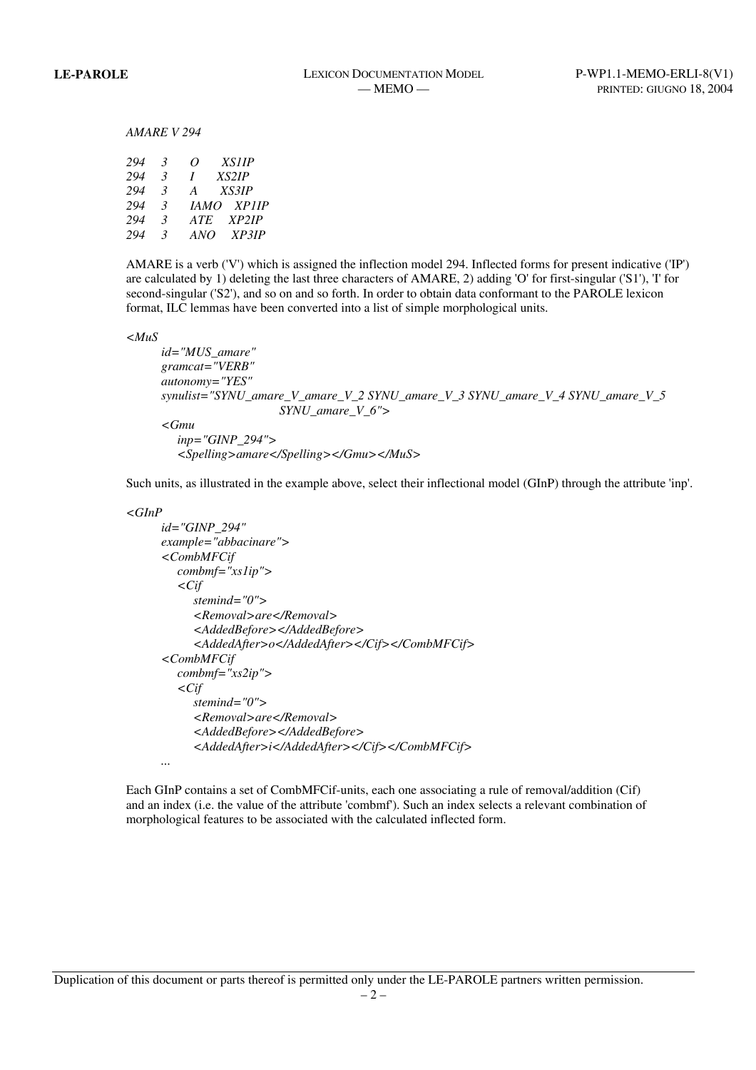#### *AMARE V 294*

| 294 | 3             | <b>XS11P</b><br>0 |
|-----|---------------|-------------------|
| 294 | $\mathcal{R}$ | XS2IP<br>L        |
| 294 | $\mathcal{R}$ | XSSIP<br>A        |
| 294 | $\mathcal{R}$ | <b>IAMO XPIIP</b> |
| 294 | $\mathcal{R}$ | XP2IP<br>ATE      |
| 294 | $\mathcal{R}$ | XP3IP<br>ANO      |

AMARE is a verb ('V') which is assigned the inflection model 294. Inflected forms for present indicative ('IP') are calculated by 1) deleting the last three characters of AMARE, 2) adding 'O' for first-singular ('S1'), 'I' for second-singular ('S2'), and so on and so forth. In order to obtain data conformant to the PAROLE lexicon format, ILC lemmas have been converted into a list of simple morphological units.

*<MuS* 

```
 id="MUS_amare" 
gramcat="VERB" 
autonomy="YES" 
synulist="SYNU_amare_V_amare_V_2 SYNU_amare_V_3 SYNU_amare_V_4 SYNU_amare_V_5 
                   SYNU_amare_V_6"> 
<Gmu 
  inp="GINP_294">
```
 *<Spelling>amare</Spelling></Gmu></MuS>* 

Such units, as illustrated in the example above, select their inflectional model (GInP) through the attribute 'inp'.

```
<GInP
```

```
 id="GINP_294" 
example="abbacinare"> 
<CombMFCif 
  combmf="xs1ip"> 
  <Cif 
     stemind="0"> 
     <Removal>are</Removal> 
     <AddedBefore></AddedBefore> 
     <AddedAfter>o</AddedAfter></Cif></CombMFCif> 
<CombMFCif 
  combmf="xs2ip"> 
  <Cif 
     stemind="0"> 
     <Removal>are</Removal> 
     <AddedBefore></AddedBefore> 
     <AddedAfter>i</AddedAfter></Cif></CombMFCif> 
...
```
Each GInP contains a set of CombMFCif-units, each one associating a rule of removal/addition (Cif) and an index (i.e. the value of the attribute 'combmf'). Such an index selects a relevant combination of morphological features to be associated with the calculated inflected form.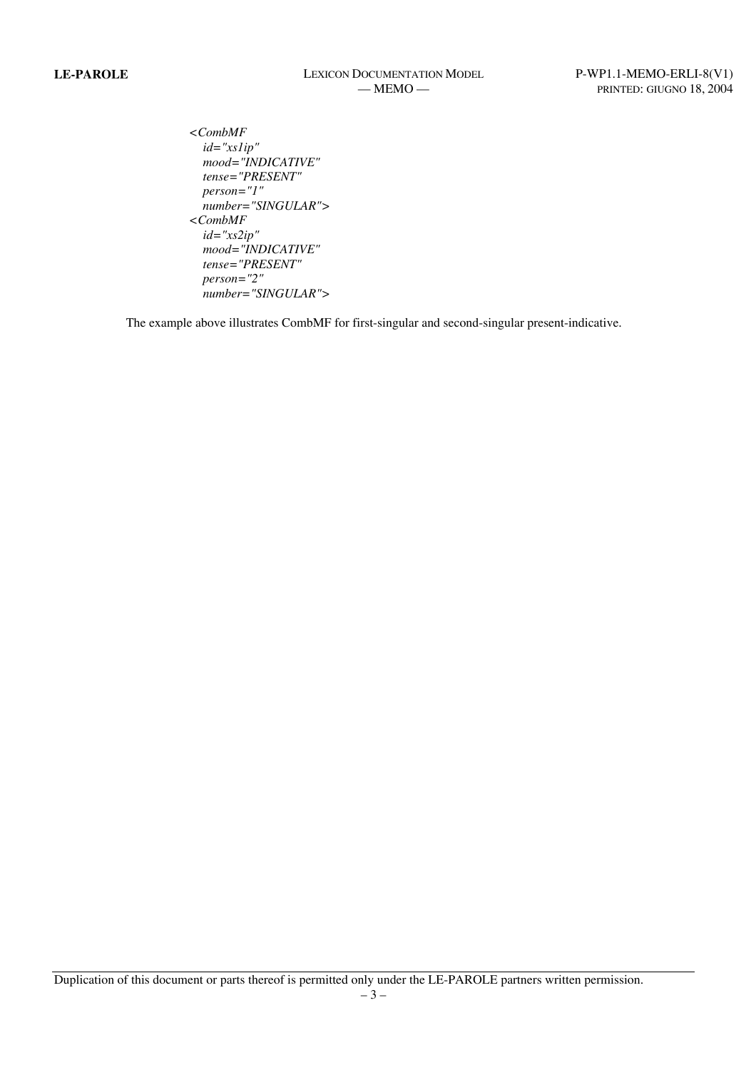*<CombMF id="xs1ip" mood="INDICATIVE" tense="PRESENT" person="1" number="SINGULAR"> <CombMF id="xs2ip" mood="INDICATIVE" tense="PRESENT" person="2" number="SINGULAR">*

The example above illustrates CombMF for first-singular and second-singular present-indicative.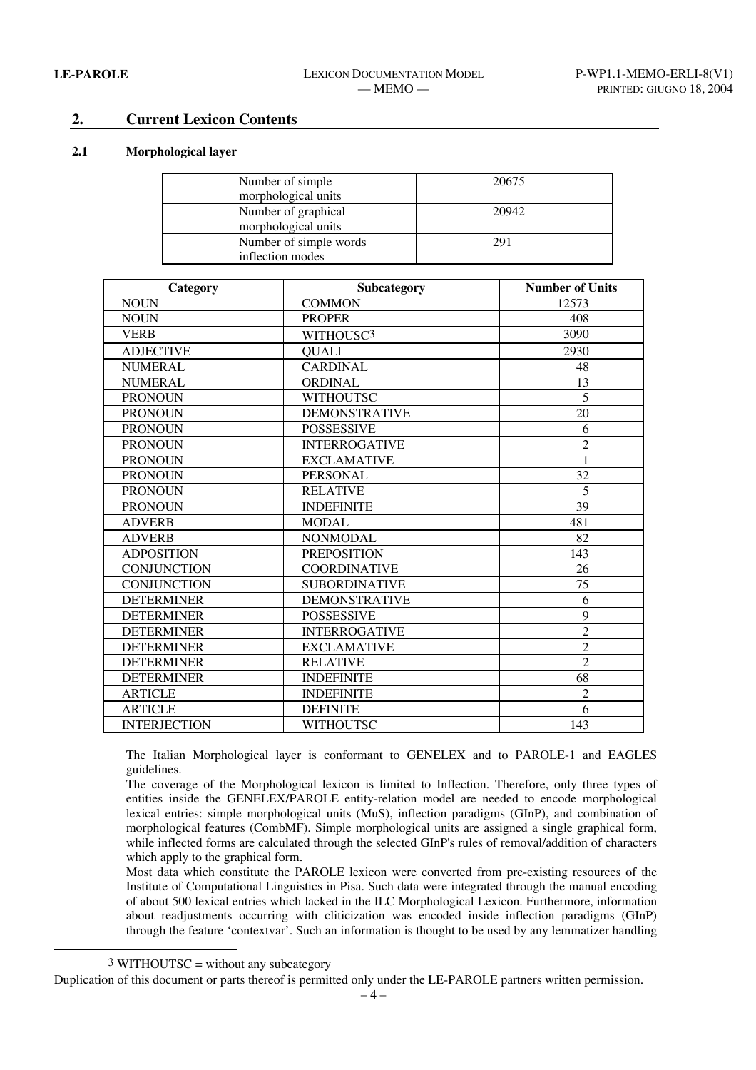# **2. Current Lexicon Contents**

#### **2.1 Morphological layer**

| Number of simple       | 20675 |
|------------------------|-------|
| morphological units    |       |
| Number of graphical    | 20942 |
| morphological units    |       |
| Number of simple words | 291   |
| inflection modes       |       |

| Category            | Subcategory           | <b>Number of Units</b> |
|---------------------|-----------------------|------------------------|
| <b>NOUN</b>         | <b>COMMON</b>         | 12573                  |
| <b>NOUN</b>         | <b>PROPER</b>         | 408                    |
| <b>VERB</b>         | WITHOUSC <sup>3</sup> | 3090                   |
| <b>ADJECTIVE</b>    | <b>QUALI</b>          | 2930                   |
| <b>NUMERAL</b>      | <b>CARDINAL</b>       | 48                     |
| <b>NUMERAL</b>      | <b>ORDINAL</b>        | 13                     |
| <b>PRONOUN</b>      | <b>WITHOUTSC</b>      | 5                      |
| <b>PRONOUN</b>      | <b>DEMONSTRATIVE</b>  | 20                     |
| <b>PRONOUN</b>      | <b>POSSESSIVE</b>     | 6                      |
| <b>PRONOUN</b>      | <b>INTERROGATIVE</b>  | $\overline{2}$         |
| <b>PRONOUN</b>      | <b>EXCLAMATIVE</b>    | 1                      |
| <b>PRONOUN</b>      | <b>PERSONAL</b>       | 32                     |
| <b>PRONOUN</b>      | <b>RELATIVE</b>       | 5                      |
| <b>PRONOUN</b>      | <b>INDEFINITE</b>     | 39                     |
| <b>ADVERB</b>       | <b>MODAL</b>          | 481                    |
| <b>ADVERB</b>       | <b>NONMODAL</b>       | 82                     |
| <b>ADPOSITION</b>   | <b>PREPOSITION</b>    | 143                    |
| <b>CONJUNCTION</b>  | <b>COORDINATIVE</b>   | 26                     |
| <b>CONJUNCTION</b>  | <b>SUBORDINATIVE</b>  | 75                     |
| <b>DETERMINER</b>   | <b>DEMONSTRATIVE</b>  | 6                      |
| <b>DETERMINER</b>   | <b>POSSESSIVE</b>     | 9                      |
| <b>DETERMINER</b>   | <b>INTERROGATIVE</b>  | $\overline{2}$         |
| <b>DETERMINER</b>   | <b>EXCLAMATIVE</b>    | $\overline{2}$         |
| <b>DETERMINER</b>   | <b>RELATIVE</b>       | $\overline{2}$         |
| <b>DETERMINER</b>   | <b>INDEFINITE</b>     | 68                     |
| <b>ARTICLE</b>      | <b>INDEFINITE</b>     | $\overline{2}$         |
| <b>ARTICLE</b>      | <b>DEFINITE</b>       | 6                      |
| <b>INTERJECTION</b> | <b>WITHOUTSC</b>      | 143                    |

The Italian Morphological layer is conformant to GENELEX and to PAROLE-1 and EAGLES guidelines.

The coverage of the Morphological lexicon is limited to Inflection. Therefore, only three types of entities inside the GENELEX/PAROLE entity-relation model are needed to encode morphological lexical entries: simple morphological units (MuS), inflection paradigms (GInP), and combination of morphological features (CombMF). Simple morphological units are assigned a single graphical form, while inflected forms are calculated through the selected GInP's rules of removal/addition of characters which apply to the graphical form.

Most data which constitute the PAROLE lexicon were converted from pre-existing resources of the Institute of Computational Linguistics in Pisa. Such data were integrated through the manual encoding of about 500 lexical entries which lacked in the ILC Morphological Lexicon. Furthermore, information about readjustments occurring with cliticization was encoded inside inflection paradigms (GInP) through the feature 'contextvar'. Such an information is thought to be used by any lemmatizer handling

3 WITHOUTSC = without any subcategory

l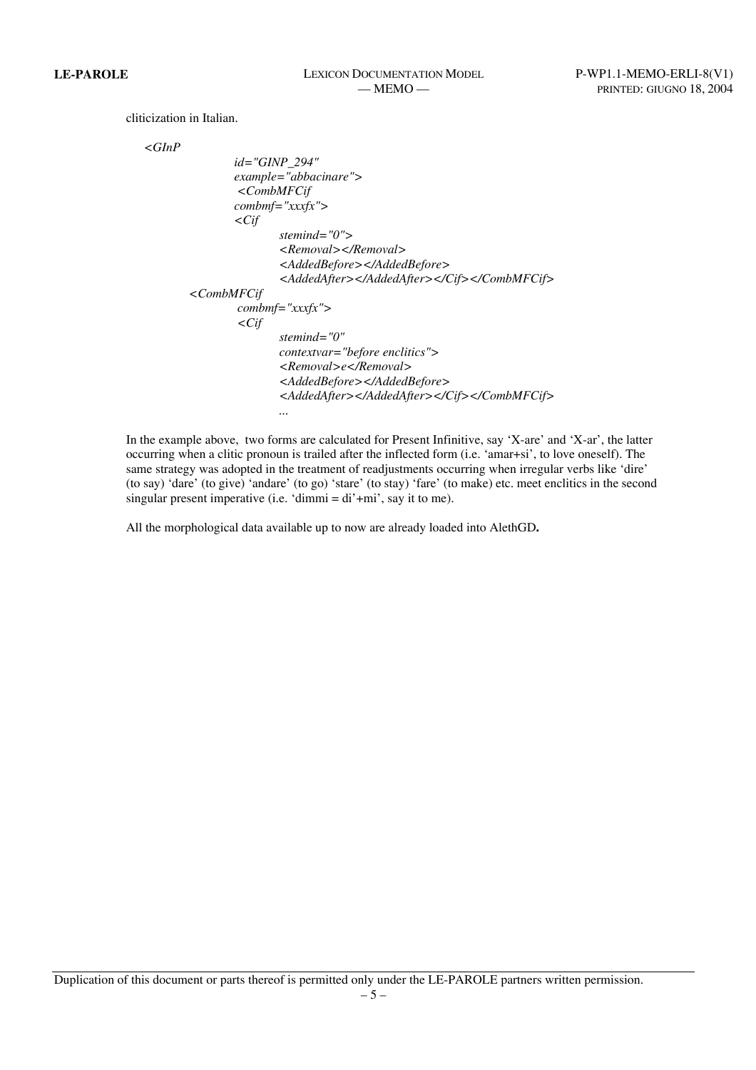cliticization in Italian.

```
 <GInP
```

```
 id="GINP_294" 
                 example="abbacinare"> 
                  <CombMFCif 
                 combmf="xxxfx"> 
                  <Cif 
                         stemind="0"> 
                         <Removal></Removal> 
                         <AddedBefore></AddedBefore> 
                         <AddedAfter></AddedAfter></Cif></CombMFCif> 
          <CombMFCif 
                  combmf="xxxfx"> 
                  <Cif 
                         stemind="0" 
                         contextvar="before enclitics"> 
                         <Removal>e</Removal> 
                         <AddedBefore></AddedBefore> 
                         <AddedAfter></AddedAfter></Cif></CombMFCif> 
...
```
In the example above, two forms are calculated for Present Infinitive, say 'X-are' and 'X-ar', the latter occurring when a clitic pronoun is trailed after the inflected form (i.e. 'amar+si', to love oneself). The same strategy was adopted in the treatment of readjustments occurring when irregular verbs like 'dire' (to say) 'dare' (to give) 'andare' (to go) 'stare' (to stay) 'fare' (to make) etc. meet enclitics in the second singular present imperative (i.e. 'dimmi =  $di'$ +mi', say it to me).

All the morphological data available up to now are already loaded into AlethGD**.**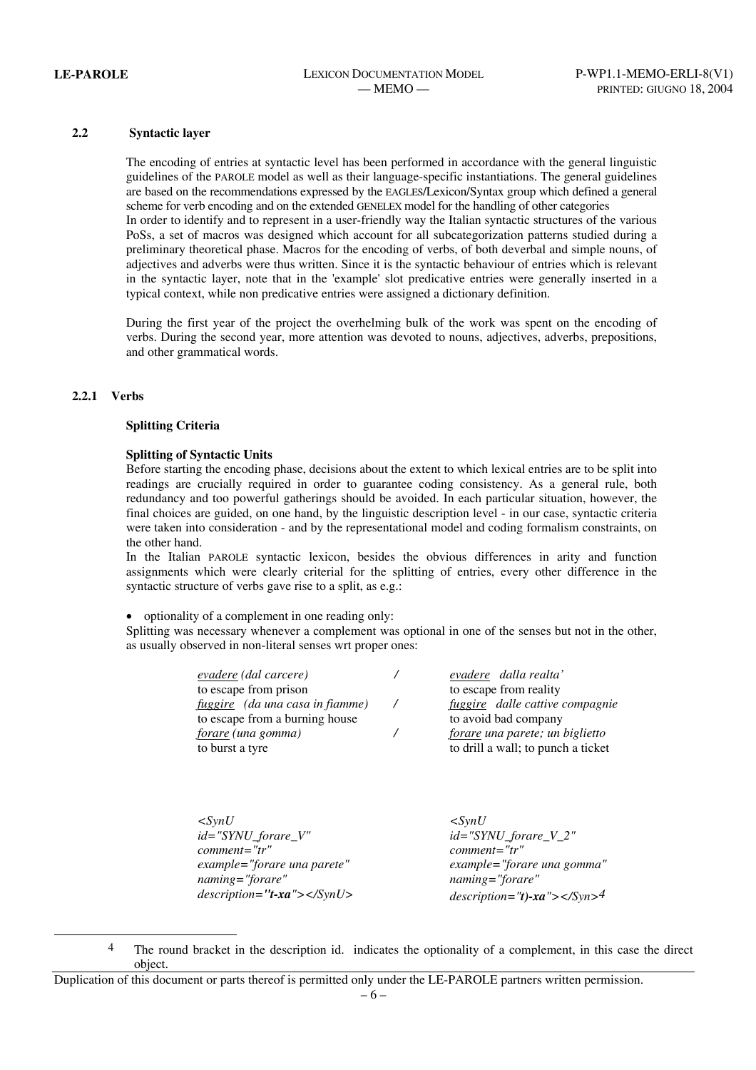#### **2.2 Syntactic layer**

The encoding of entries at syntactic level has been performed in accordance with the general linguistic guidelines of the PAROLE model as well as their language-specific instantiations. The general guidelines are based on the recommendations expressed by the EAGLES/Lexicon/Syntax group which defined a general scheme for verb encoding and on the extended GENELEX model for the handling of other categories In order to identify and to represent in a user-friendly way the Italian syntactic structures of the various PoSs, a set of macros was designed which account for all subcategorization patterns studied during a preliminary theoretical phase. Macros for the encoding of verbs, of both deverbal and simple nouns, of adjectives and adverbs were thus written. Since it is the syntactic behaviour of entries which is relevant in the syntactic layer, note that in the 'example' slot predicative entries were generally inserted in a typical context, while non predicative entries were assigned a dictionary definition.

During the first year of the project the overhelming bulk of the work was spent on the encoding of verbs. During the second year, more attention was devoted to nouns, adjectives, adverbs, prepositions, and other grammatical words.

#### **2.2.1 Verbs**

l

#### **Splitting Criteria**

#### **Splitting of Syntactic Units**

Before starting the encoding phase, decisions about the extent to which lexical entries are to be split into readings are crucially required in order to guarantee coding consistency. As a general rule, both redundancy and too powerful gatherings should be avoided. In each particular situation, however, the final choices are guided, on one hand, by the linguistic description level - in our case, syntactic criteria were taken into consideration - and by the representational model and coding formalism constraints, on the other hand.

In the Italian PAROLE syntactic lexicon, besides the obvious differences in arity and function assignments which were clearly criterial for the splitting of entries, every other difference in the syntactic structure of verbs gave rise to a split, as e.g.:

• optionality of a complement in one reading only:

Splitting was necessary whenever a complement was optional in one of the senses but not in the other, as usually observed in non-literal senses wrt proper ones:

| <i>evadere</i> (dal carcere)    | evadere dalla realta'              |
|---------------------------------|------------------------------------|
| to escape from prison           | to escape from reality             |
| fuggire (da una casa in fiamme) | fuggire dalle cattive compagnie    |
| to escape from a burning house  | to avoid bad company               |
| forare (una gomma)              | forare una parete; un biglietto    |
| to burst a tyre                 | to drill a wall; to punch a ticket |
|                                 |                                    |

*<SynU id="SYNU\_forare\_V" comment="tr" example="forare una parete" naming="forare" description="t-xa"></SynU>* 

*<SynU id="SYNU\_forare\_V\_2" comment="tr" example="forare una gomma" naming="forare" description="t)-xa"></Syn>4*

<sup>&</sup>lt;sup>4</sup> The round bracket in the description id. indicates the optionality of a complement, in this case the direct object.

Duplication of this document or parts thereof is permitted only under the LE-PAROLE partners written permission.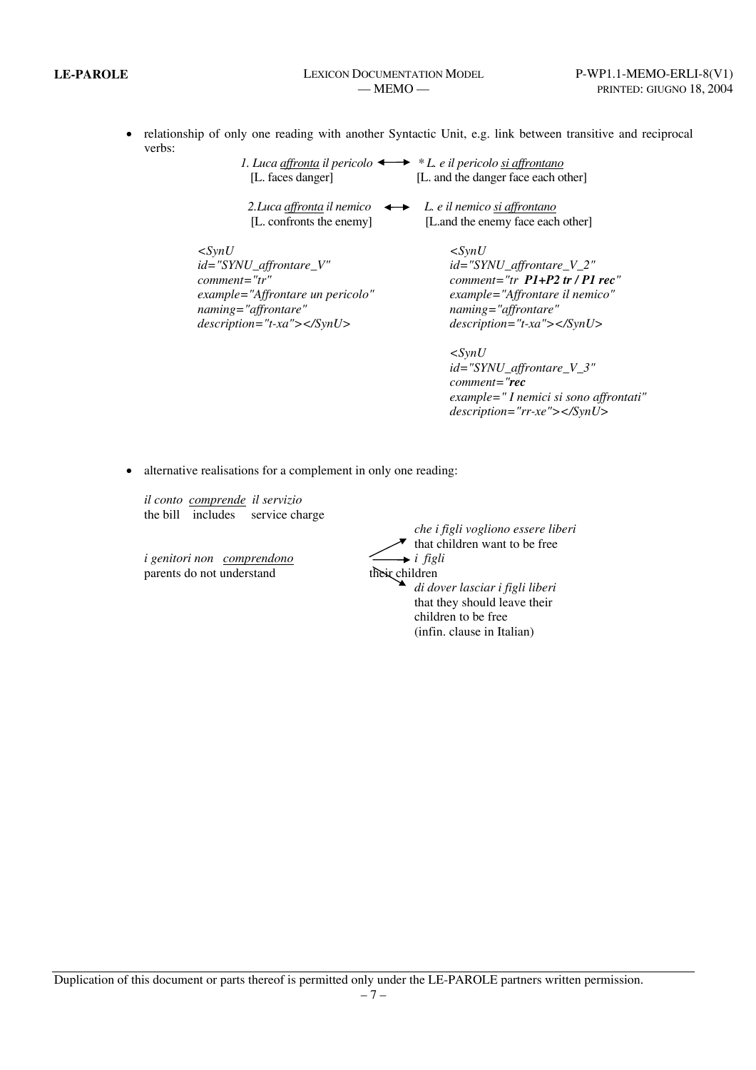• relationship of only one reading with another Syntactic Unit, e.g. link between transitive and reciprocal verbs:

| 1. Luca affronta il pericolo $\longleftrightarrow$ * L. e il pericolo si affrontano |                                     |
|-------------------------------------------------------------------------------------|-------------------------------------|
| [L. faces danger]                                                                   | [L. and the danger face each other] |
|                                                                                     |                                     |
| 2. Luca affronta il nemico $\longleftrightarrow$ L. e il nemico si affrontano       |                                     |
| [L. confronts the enemy]                                                            | [L.and the enemy face each other]   |
|                                                                                     |                                     |
| $\langle \mathit{SvnU}\rangle$                                                      | $\langle S \rangle$                 |
| $id = "SYNU_{affrontare_{V''}$                                                      | $id = "SYNU_{affrontare_{V_2}$      |
| $comment="tr"$                                                                      | comment="tr $P1+P2$ tr / P1 rec"    |
| example="Affrontare un pericolo"                                                    | example="Affrontare il nemico"      |
| naming="affrontare"                                                                 | naming="affrontare"                 |
| $description="t-xa">>$                                                              | $description="t-xa">>$              |

*<SynU id="SYNU\_affrontare\_V\_3" comment="rec example=" I nemici si sono affrontati" description="rr-xe"></SynU>* 

• alternative realisations for a complement in only one reading:

*il conto comprende il servizio* the bill includes service charge

*i genitori non comprendono* parents do not understand

|                   | che i figli vogliono essere liberi |
|-------------------|------------------------------------|
|                   | that children want to be free      |
| i non comprendono | $\rightarrow$ i figli              |
| lo not understand | their children                     |
|                   | di dover lasciar i figli liberi    |
|                   | that they should leave their       |
|                   | children to be free                |
|                   | (infin. clause in Italian)         |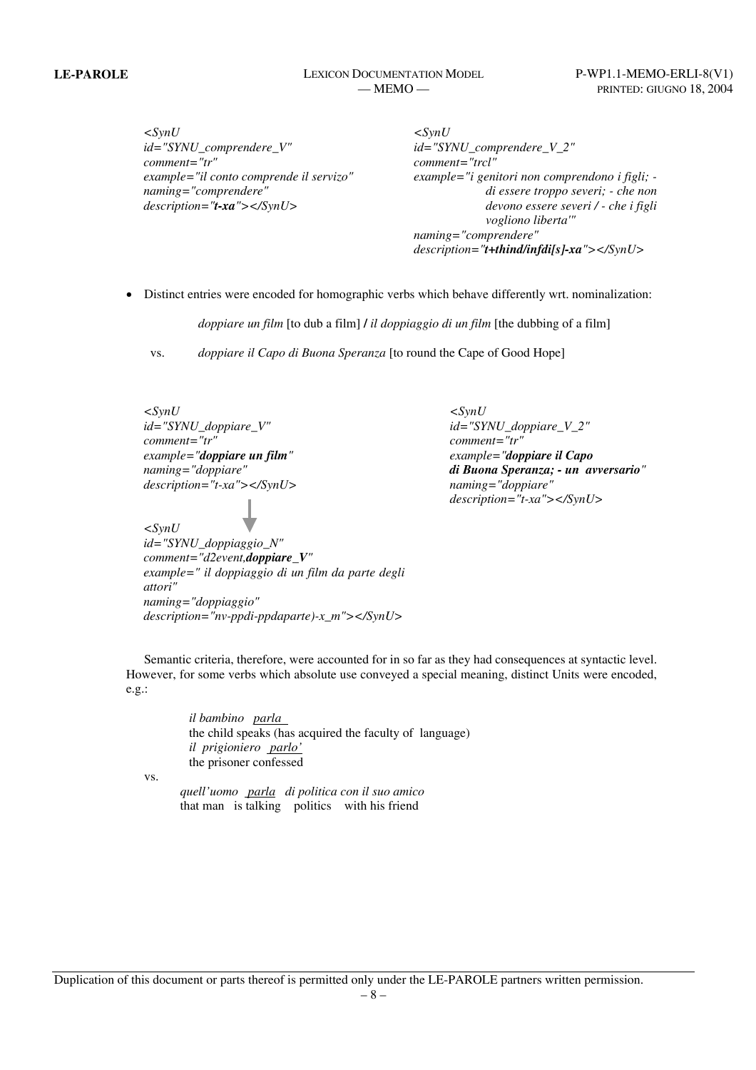**LE-PAROLE** LEXICON DOCUMENTATION MODEL P-WP1.1-MEMO-ERLI-8(V1)

*<SynU id="SYNU\_comprendere\_V" comment="tr" example="il conto comprende il servizo" naming="comprendere" description="t-xa"></SynU>* 

*<SynU id="SYNU\_comprendere\_V\_2" comment="trcl" example="i genitori non comprendono i figli; di essere troppo severi; - che non devono essere severi / - che i figli vogliono liberta'" naming="comprendere" description="t+thind/infdi[s]-xa"></SynU>* 

• Distinct entries were encoded for homographic verbs which behave differently wrt. nominalization:

*doppiare un film* [to dub a film] **/** *il doppiaggio di un film* [the dubbing of a film]

vs. *doppiare il Capo di Buona Speranza* [to round the Cape of Good Hope]

*<SynU id="SYNU\_doppiare\_V" comment="tr" example="doppiare un film" naming="doppiare" description="t-xa"></SynU> <SynU id="SYNU\_doppiaggio\_N" comment="d2event,doppiare\_V" example=" il doppiaggio di un film da parte degli attori" naming="doppiaggio" description="nv-ppdi-ppdaparte)-x\_m"></SynU>* 

*<SynU id="SYNU\_doppiare\_V\_2" comment="tr" example="doppiare il Capo di Buona Speranza; - un avversario" naming="doppiare" description="t-xa"></SynU>* 

Semantic criteria, therefore, were accounted for in so far as they had consequences at syntactic level. However, for some verbs which absolute use conveyed a special meaning, distinct Units were encoded, e.g.:

> *il bambino parla* the child speaks (has acquired the faculty of language) *il prigioniero parlo'* the prisoner confessed

vs.

 *quell'uomo parla di politica con il suo amico* that man is talking politics with his friend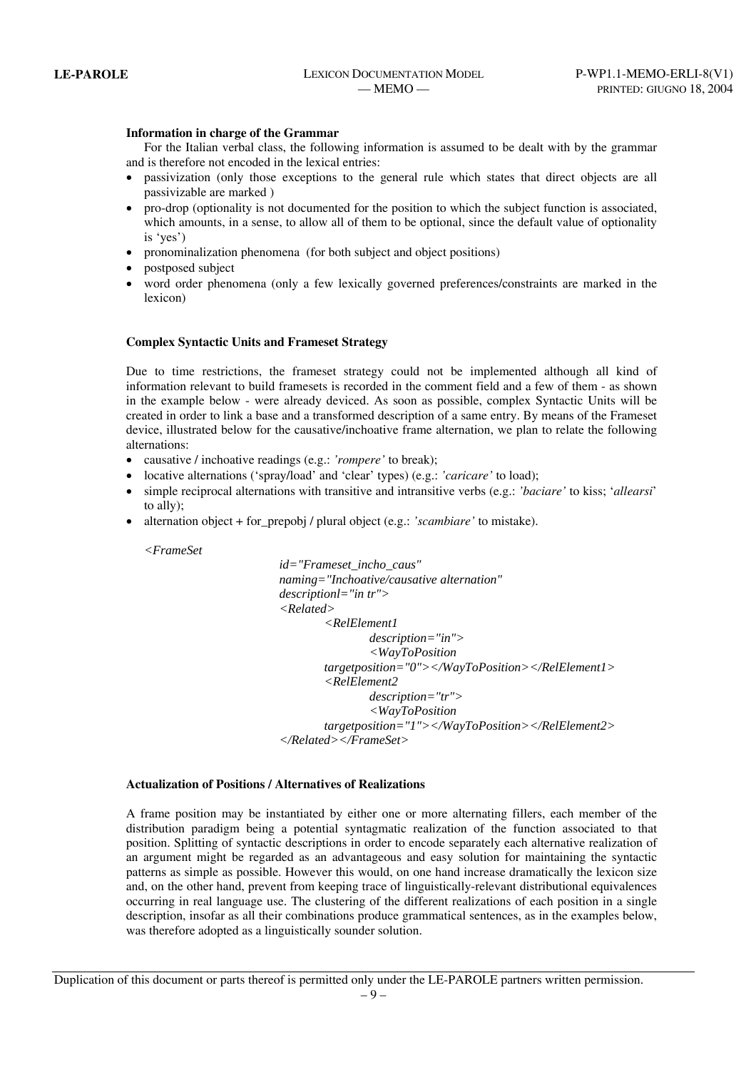#### **Information in charge of the Grammar**

For the Italian verbal class, the following information is assumed to be dealt with by the grammar and is therefore not encoded in the lexical entries:

- passivization (only those exceptions to the general rule which states that direct objects are all passivizable are marked )
- pro-drop (optionality is not documented for the position to which the subject function is associated, which amounts, in a sense, to allow all of them to be optional, since the default value of optionality is 'yes')
- pronominalization phenomena (for both subject and object positions)
- postposed subject
- word order phenomena (only a few lexically governed preferences/constraints are marked in the lexicon)

#### **Complex Syntactic Units and Frameset Strategy**

Due to time restrictions, the frameset strategy could not be implemented although all kind of information relevant to build framesets is recorded in the comment field and a few of them - as shown in the example below - were already deviced. As soon as possible, complex Syntactic Units will be created in order to link a base and a transformed description of a same entry. By means of the Frameset device, illustrated below for the causative/inchoative frame alternation, we plan to relate the following alternations:

- causative / inchoative readings (e.g.: *'rompere'* to break);
- locative alternations ('spray/load' and 'clear' types) (e.g.: *'caricare'* to load);
- simple reciprocal alternations with transitive and intransitive verbs (e.g.: *'baciare'* to kiss; '*allearsi*' to ally);
- alternation object + for\_prepobj / plural object (e.g.: *'scambiare'* to mistake).

*<FrameSet* 

 *id="Frameset\_incho\_caus" naming="Inchoative/causative alternation" descriptionl="in tr"> <Related> <RelElement1 description="in"> <WayToPosition targetposition="0"></WayToPosition></RelElement1> <RelElement2 description="tr"> <WayToPosition targetposition="1"></WayToPosition></RelElement2> </Related></FrameSet>*

#### **Actualization of Positions / Alternatives of Realizations**

A frame position may be instantiated by either one or more alternating fillers, each member of the distribution paradigm being a potential syntagmatic realization of the function associated to that position. Splitting of syntactic descriptions in order to encode separately each alternative realization of an argument might be regarded as an advantageous and easy solution for maintaining the syntactic patterns as simple as possible. However this would, on one hand increase dramatically the lexicon size and, on the other hand, prevent from keeping trace of linguistically-relevant distributional equivalences occurring in real language use. The clustering of the different realizations of each position in a single description, insofar as all their combinations produce grammatical sentences, as in the examples below, was therefore adopted as a linguistically sounder solution.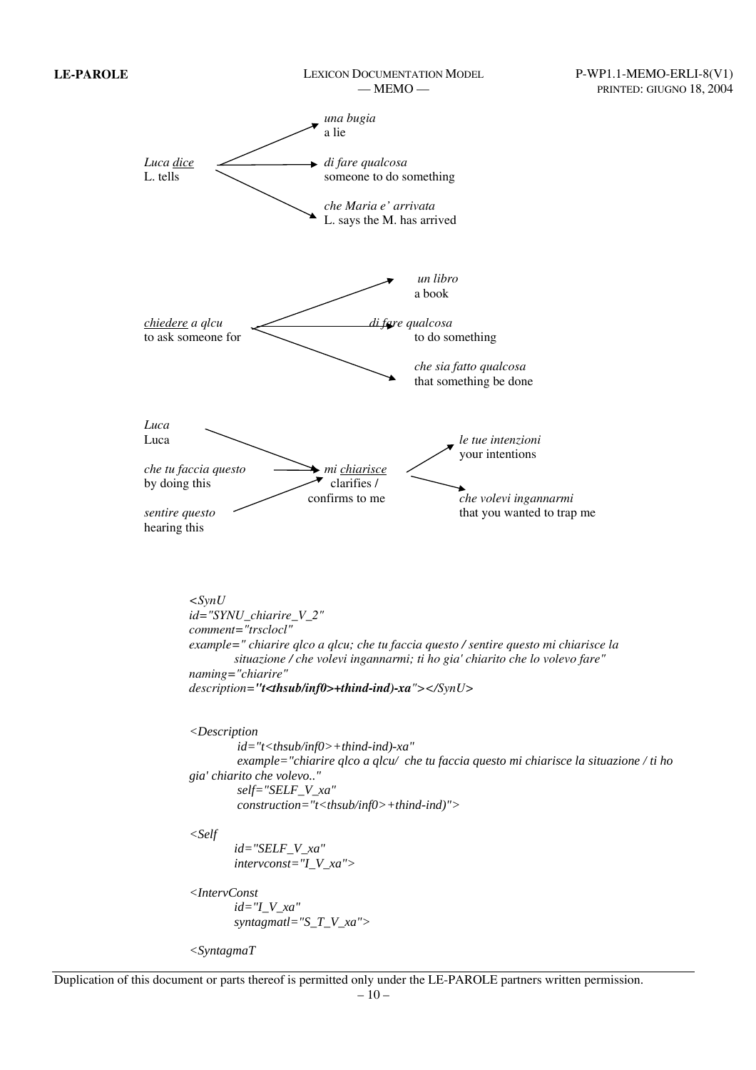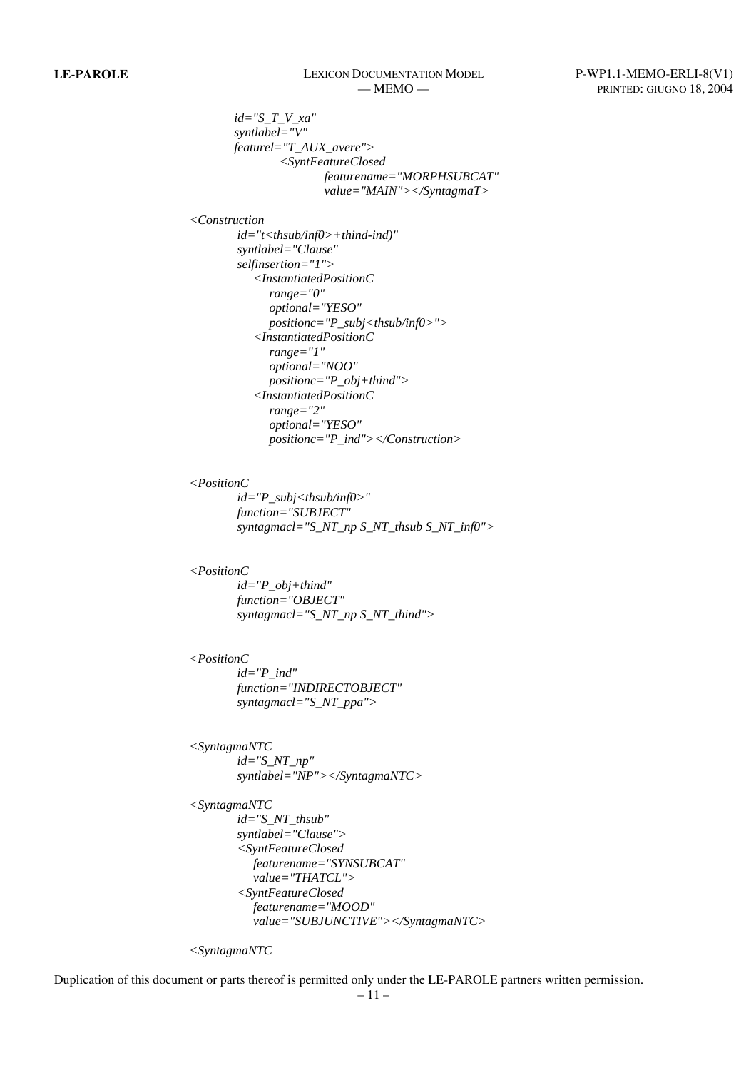# **LE-PAROLE** LEXICON DOCUMENTATION MODEL P-WP1.1-MEMO-ERLI-8(V1)

 *id="S\_T\_V\_xa" syntlabel="V" featurel="T\_AUX\_avere"> <SyntFeatureClosed featurename="MORPHSUBCAT" value="MAIN"></SyntagmaT>* 

*<Construction* 

 *id="t<thsub/inf0>+thind-ind)" syntlabel="Clause" selfinsertion="1"> <InstantiatedPositionC range="0" optional="YESO" positionc="P\_subj<thsub/inf0>"> <InstantiatedPositionC range="1" optional="NOO" positionc="P\_obj+thind"> <InstantiatedPositionC range="2" optional="YESO" positionc="P\_ind"></Construction>* 

#### *<PositionC*

 *id="P\_subj<thsub/inf0>" function="SUBJECT" syntagmacl="S\_NT\_np S\_NT\_thsub S\_NT\_inf0">* 

### *<PositionC*

 *id="P\_obj+thind" function="OBJECT" syntagmacl="S\_NT\_np S\_NT\_thind">* 

### *<PositionC*

 *id="P\_ind" function="INDIRECTOBJECT" syntagmacl="S\_NT\_ppa">* 

*<SyntagmaNTC id="S\_NT\_np" syntlabel="NP"></SyntagmaNTC>* 

```
<SyntagmaNTC
        id="S_NT_thsub" 
        syntlabel="Clause"> 
        <SyntFeatureClosed 
          featurename="SYNSUBCAT" 
          value="THATCL"> 
        <SyntFeatureClosed 
          featurename="MOOD" 
          value="SUBJUNCTIVE"></SyntagmaNTC>
```
*<SyntagmaNTC*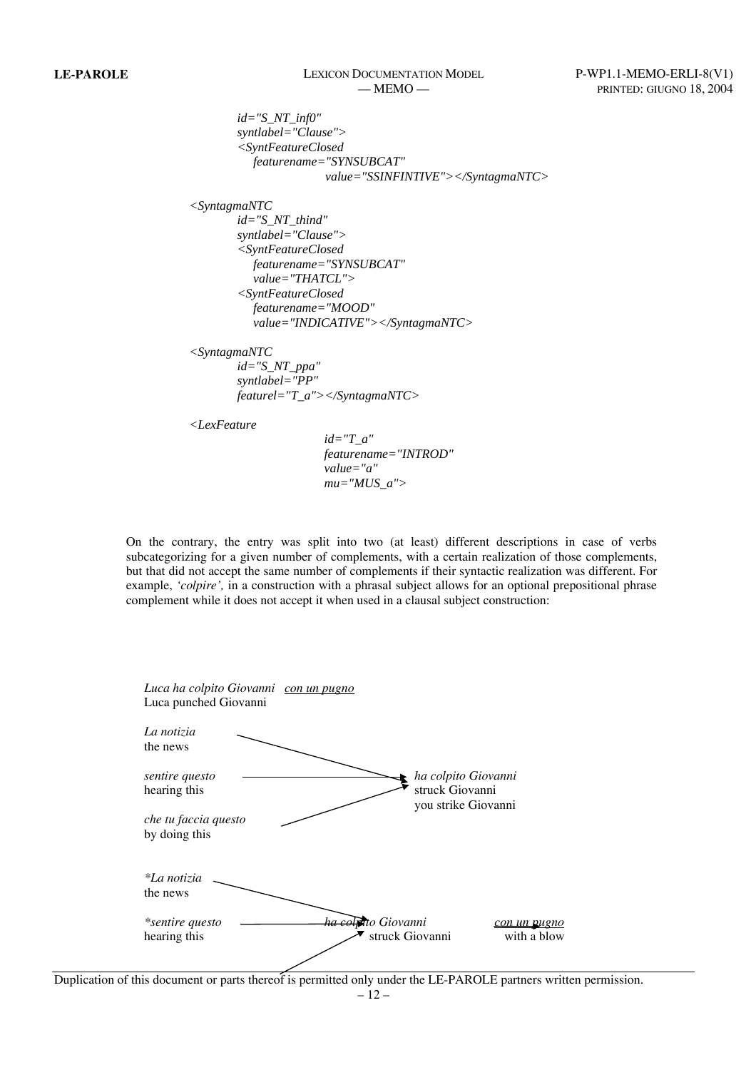# **LE-PAROLE** LEXICON DOCUMENTATION MODEL P-WP1.1-MEMO-ERLI-8(V1)

 *id="S\_NT\_inf0" syntlabel="Clause"> <SyntFeatureClosed featurename="SYNSUBCAT" value="SSINFINTIVE"></SyntagmaNTC> <SyntagmaNTC id="S\_NT\_thind" syntlabel="Clause"> <SyntFeatureClosed featurename="SYNSUBCAT" value="THATCL"> <SyntFeatureClosed* 

 *value="INDICATIVE"></SyntagmaNTC>* 

*<SyntagmaNTC id="S\_NT\_ppa"* 

 *syntlabel="PP" featurel="T\_a"></SyntagmaNTC>* 

 *featurename="MOOD"* 

*<LexFeature* 

 *id="T\_a" featurename="INTROD" value="a" mu="MUS\_a">* 

On the contrary, the entry was split into two (at least) different descriptions in case of verbs subcategorizing for a given number of complements, with a certain realization of those complements, but that did not accept the same number of complements if their syntactic realization was different. For example, *'colpire',* in a construction with a phrasal subject allows for an optional prepositional phrase complement while it does not accept it when used in a clausal subject construction:

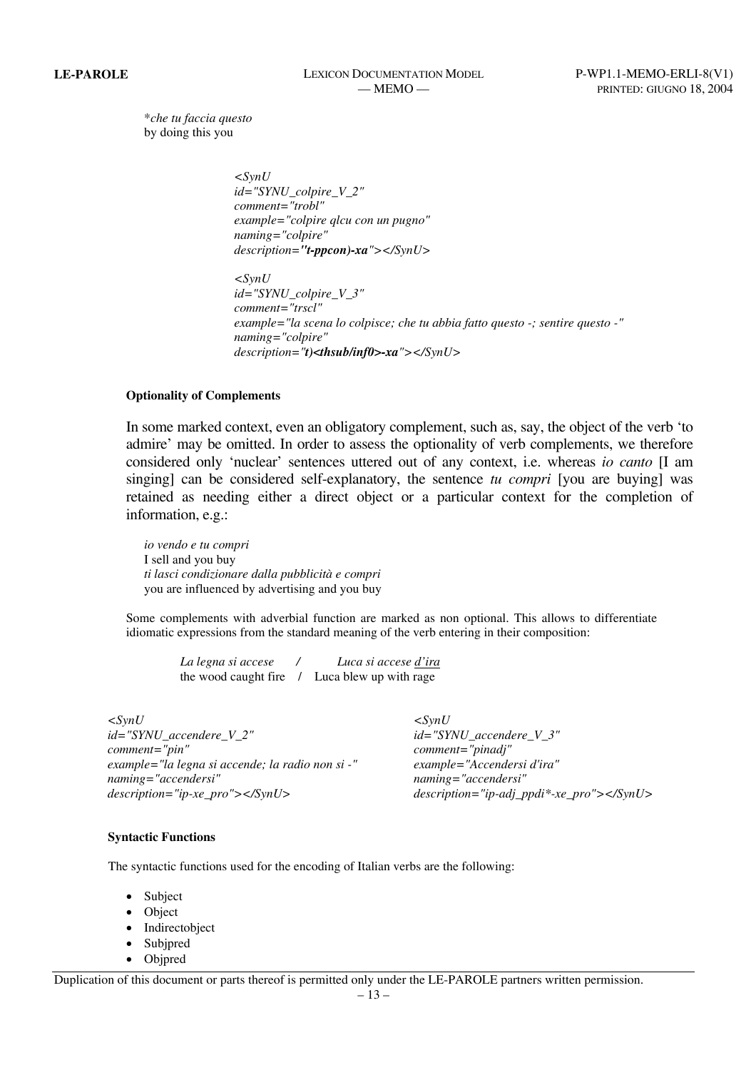\**che tu faccia questo*  by doing this you

> *<SynU id="SYNU\_colpire\_V\_2" comment="trobl" example="colpire qlcu con un pugno" naming="colpire" description="t-ppcon)-xa"></SynU>*

 *<SynU id="SYNU\_colpire\_V\_3" comment="trscl" example="la scena lo colpisce; che tu abbia fatto questo -; sentire questo -" naming="colpire" description="t)<thsub/inf0>-xa"></SynU>* 

### **Optionality of Complements**

In some marked context, even an obligatory complement, such as, say, the object of the verb 'to admire' may be omitted. In order to assess the optionality of verb complements, we therefore considered only 'nuclear' sentences uttered out of any context, i.e. whereas *io canto* [I am singing] can be considered self-explanatory, the sentence *tu compri* [you are buying] was retained as needing either a direct object or a particular context for the completion of information, e.g.:

 *io vendo e tu compri* I sell and you buy *ti lasci condizionare dalla pubblicità e compri* you are influenced by advertising and you buy

Some complements with adverbial function are marked as non optional. This allows to differentiate idiomatic expressions from the standard meaning of the verb entering in their composition:

*La legna si accese / Luca si accese d'ira* the wood caught fire / Luca blew up with rage

*<SynU id="SYNU\_accendere\_V\_2" comment="pin" example="la legna si accende; la radio non si -" naming="accendersi" description="ip-xe\_pro"></SynU>* 

*<SynU id="SYNU\_accendere\_V\_3" comment="pinadj" example="Accendersi d'ira" naming="accendersi" description="ip-adj\_ppdi\*-xe\_pro"></SynU>* 

#### **Syntactic Functions**

The syntactic functions used for the encoding of Italian verbs are the following:

- Subject
- Object
- Indirectobject
- **Subjpred**
- Objpred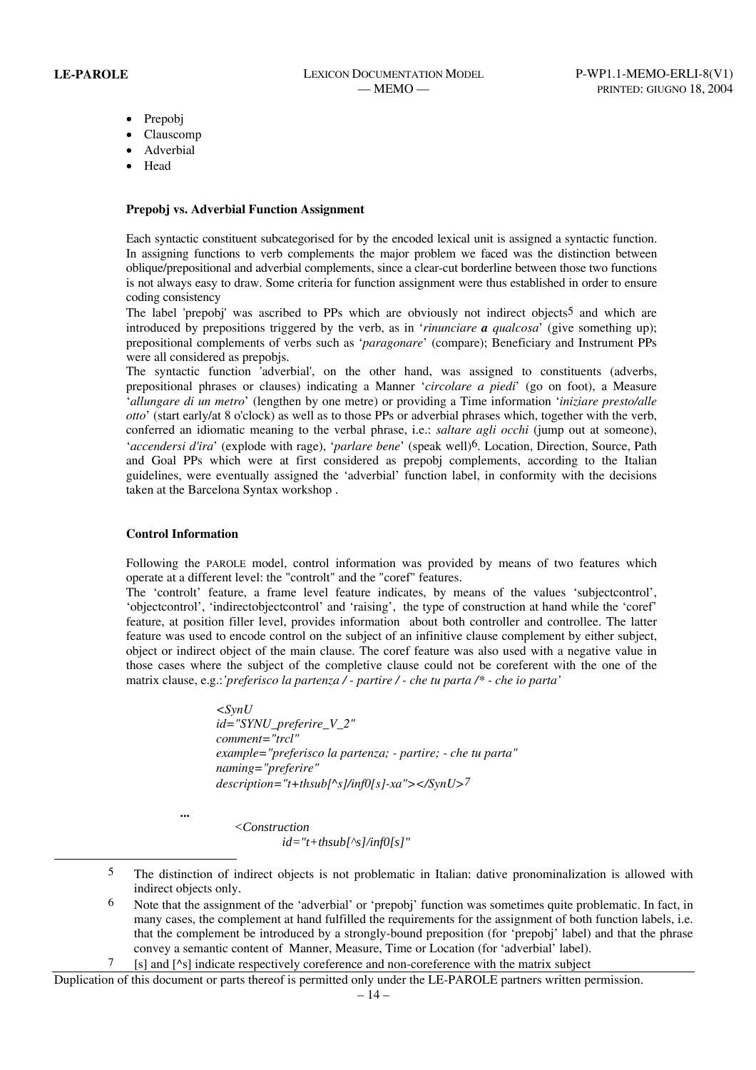- Prepobj
- Clauscomp
- **Adverbial**
- Head

#### **Prepobj vs. Adverbial Function Assignment**

Each syntactic constituent subcategorised for by the encoded lexical unit is assigned a syntactic function. In assigning functions to verb complements the major problem we faced was the distinction between oblique/prepositional and adverbial complements, since a clear-cut borderline between those two functions is not always easy to draw. Some criteria for function assignment were thus established in order to ensure coding consistency

The label 'prepobj' was ascribed to PPs which are obviously not indirect objects<sup>5</sup> and which are introduced by prepositions triggered by the verb, as in '*rinunciare a qualcosa*' (give something up); prepositional complements of verbs such as '*paragonare*' (compare); Beneficiary and Instrument PPs were all considered as prepobjs.

The syntactic function 'adverbial', on the other hand, was assigned to constituents (adverbs, prepositional phrases or clauses) indicating a Manner '*circolare a piedi*' (go on foot), a Measure '*allungare di un metro*' (lengthen by one metre) or providing a Time information '*iniziare presto/alle otto*' (start early/at 8 o'clock) as well as to those PPs or adverbial phrases which, together with the verb, conferred an idiomatic meaning to the verbal phrase, i.e.: *saltare agli occhi* (jump out at someone), '*accendersi d'ira*' (explode with rage), '*parlare bene*' (speak well)6. Location, Direction, Source, Path and Goal PPs which were at first considered as prepobj complements, according to the Italian guidelines, were eventually assigned the 'adverbial' function label, in conformity with the decisions taken at the Barcelona Syntax workshop .

#### **Control Information**

Following the PAROLE model, control information was provided by means of two features which operate at a different level: the "controlt" and the "coref" features.

The 'controlt' feature, a frame level feature indicates, by means of the values 'subjectcontrol', 'objectcontrol', 'indirectobjectcontrol' and 'raising', the type of construction at hand while the 'coref' feature, at position filler level, provides information about both controller and controllee. The latter feature was used to encode control on the subject of an infinitive clause complement by either subject, object or indirect object of the main clause. The coref feature was also used with a negative value in those cases where the subject of the completive clause could not be coreferent with the one of the matrix clause, e.g.:*'preferisco la partenza / - partire / - che tu parta /\* - che io parta'* 

> *<SynU id="SYNU\_preferire\_V\_2" comment="trcl" example="preferisco la partenza; - partire; - che tu parta" naming="preferire" description="t+thsub[^s]/inf0[s]-xa"></SynU>7*

 **...** 

l

$$
id = "t + thsub[^\wedge s]/inf0[s]"
$$

*<Construction* 

- 5 The distinction of indirect objects is not problematic in Italian: dative pronominalization is allowed with indirect objects only.
- 6 Note that the assignment of the 'adverbial' or 'prepobj' function was sometimes quite problematic. In fact, in many cases, the complement at hand fulfilled the requirements for the assignment of both function labels, i.e. that the complement be introduced by a strongly-bound preposition (for 'prepobj' label) and that the phrase convey a semantic content of Manner, Measure, Time or Location (for 'adverbial' label).
- [s] and [^s] indicate respectively coreference and non-coreference with the matrix subject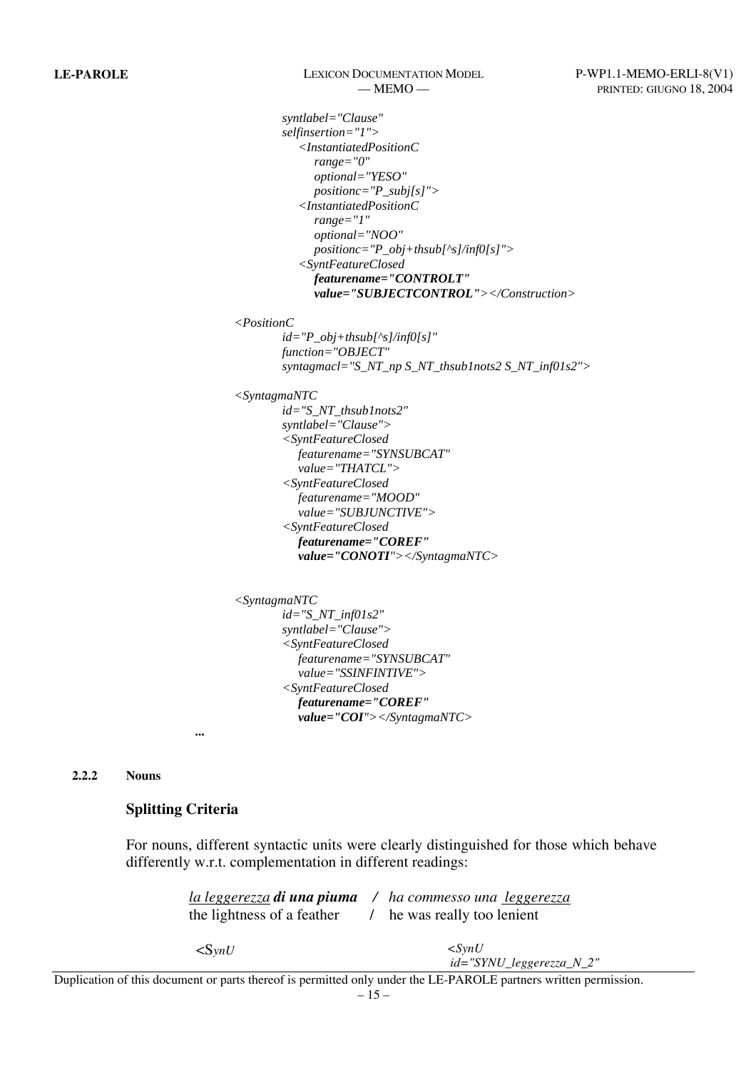# **LE-PAROLE** LEXICON DOCUMENTATION MODEL P-WP1.1-MEMO-ERLI-8(V1)

 *syntlabel="Clause" selfinsertion="1"> <InstantiatedPositionC range="0" optional="YESO" positionc="P\_subj[s]"> <InstantiatedPositionC range="1" optional="NOO" positionc="P\_obj+thsub[^s]/inf0[s]"> <SyntFeatureClosed featurename="CONTROLT" value="SUBJECTCONTROL"></Construction>* 

*<PositionC*

 *id="P\_obj+thsub[^s]/inf0[s]" function="OBJECT" syntagmacl="S\_NT\_np S\_NT\_thsub1nots2 S\_NT\_inf01s2">* 

*<SyntagmaNTC*

 *id="S\_NT\_thsub1nots2" syntlabel="Clause"> <SyntFeatureClosed featurename="SYNSUBCAT" value="THATCL"> <SyntFeatureClosed featurename="MOOD" value="SUBJUNCTIVE"> <SyntFeatureClosed featurename="COREF" value="CONOTI"></SyntagmaNTC>* 

```
<SyntagmaNTC
        id="S_NT_inf01s2" 
        syntlabel="Clause"> 
        <SyntFeatureClosed 
          featurename="SYNSUBCAT" 
           value="SSINFINTIVE"> 
        <SyntFeatureClosed 
          featurename="COREF" 
          value="COI"></SyntagmaNTC>
```
 *...* 

**2.2.2 Nouns** 

## **Splitting Criteria**

For nouns, different syntactic units were clearly distinguished for those which behave differently w.r.t. complementation in different readings:

| <u>la leggerezza</u> di una piuma /<br>the lightness of a feather                                                | ha commesso una leggerezza<br>he was really too lenient |
|------------------------------------------------------------------------------------------------------------------|---------------------------------------------------------|
| $\langle \text{SvnU}\rangle$                                                                                     | $\langle$ SvnU<br>$id = "SYNU\_leggerezza_N_2"$         |
| Duplication of this document or parts thereof is permitted only under the LE-PAROLE partners written permission. |                                                         |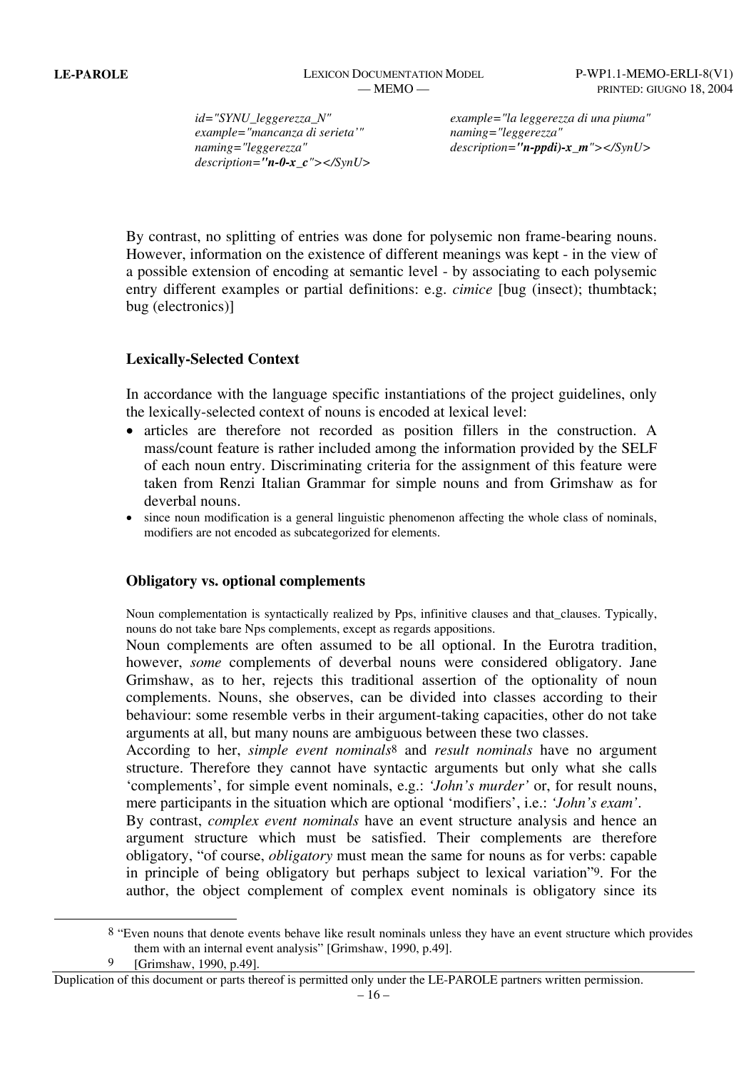*id="SYNU\_leggerezza\_N" example="mancanza di serieta'" naming="leggerezza" description="n-0-x\_c"></SynU>*  *example="la leggerezza di una piuma" naming="leggerezza" description="n-ppdi)-x\_m"></SynU>*

By contrast, no splitting of entries was done for polysemic non frame-bearing nouns. However, information on the existence of different meanings was kept - in the view of a possible extension of encoding at semantic level - by associating to each polysemic entry different examples or partial definitions: e.g. *cimice* [bug (insect); thumbtack; bug (electronics)]

# **Lexically-Selected Context**

In accordance with the language specific instantiations of the project guidelines, only the lexically-selected context of nouns is encoded at lexical level:

- articles are therefore not recorded as position fillers in the construction. A mass/count feature is rather included among the information provided by the SELF of each noun entry. Discriminating criteria for the assignment of this feature were taken from Renzi Italian Grammar for simple nouns and from Grimshaw as for deverbal nouns.
- since noun modification is a general linguistic phenomenon affecting the whole class of nominals, modifiers are not encoded as subcategorized for elements.

## **Obligatory vs. optional complements**

Noun complementation is syntactically realized by Pps, infinitive clauses and that\_clauses. Typically, nouns do not take bare Nps complements, except as regards appositions.

Noun complements are often assumed to be all optional. In the Eurotra tradition, however, *some* complements of deverbal nouns were considered obligatory. Jane Grimshaw, as to her, rejects this traditional assertion of the optionality of noun complements. Nouns, she observes, can be divided into classes according to their behaviour: some resemble verbs in their argument-taking capacities, other do not take arguments at all, but many nouns are ambiguous between these two classes.

According to her, *simple event nominals*8 and *result nominals* have no argument structure. Therefore they cannot have syntactic arguments but only what she calls 'complements', for simple event nominals, e.g.: *'John's murder'* or, for result nouns, mere participants in the situation which are optional 'modifiers', i.e.: *'John's exam'*.

By contrast, *complex event nominals* have an event structure analysis and hence an argument structure which must be satisfied. Their complements are therefore obligatory, "of course, *obligatory* must mean the same for nouns as for verbs: capable in principle of being obligatory but perhaps subject to lexical variation"9. For the author, the object complement of complex event nominals is obligatory since its

l

<sup>8</sup> "Even nouns that denote events behave like result nominals unless they have an event structure which provides them with an internal event analysis" [Grimshaw, 1990, p.49].

<sup>[</sup>Grimshaw, 1990, p.49].

Duplication of this document or parts thereof is permitted only under the LE-PAROLE partners written permission.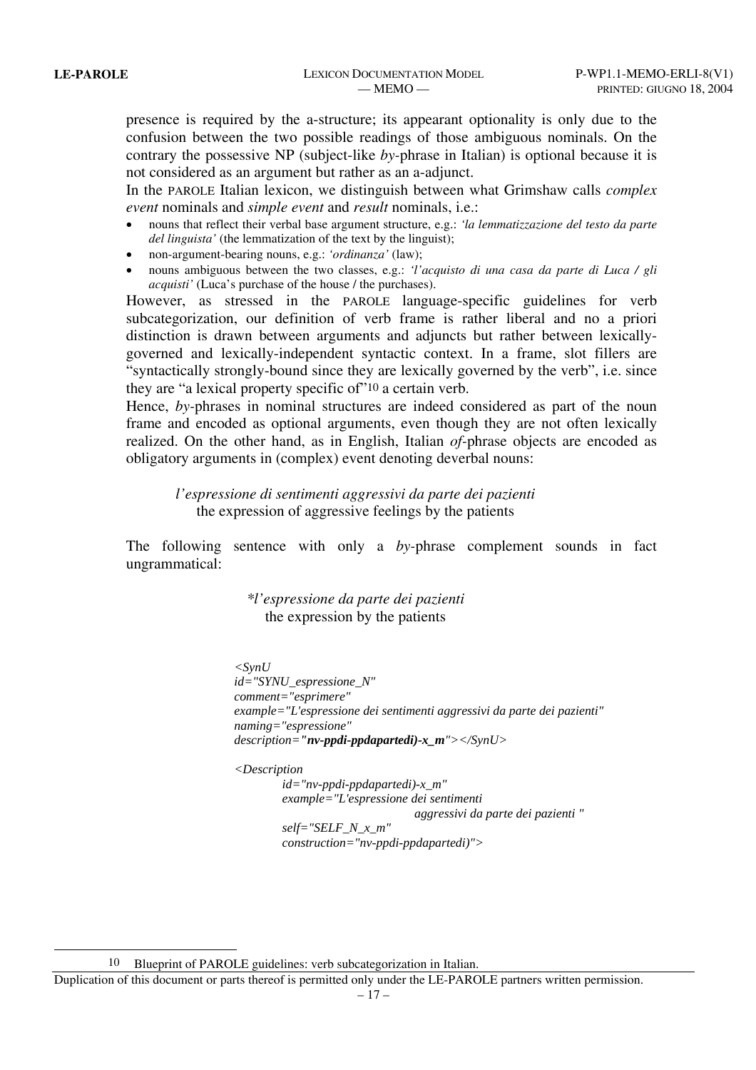l

presence is required by the a-structure; its appearant optionality is only due to the confusion between the two possible readings of those ambiguous nominals. On the contrary the possessive NP (subject-like *by-*phrase in Italian) is optional because it is not considered as an argument but rather as an a-adjunct.

In the PAROLE Italian lexicon, we distinguish between what Grimshaw calls *complex event* nominals and *simple event* and *result* nominals, i.e.:

- nouns that reflect their verbal base argument structure, e.g.: *'la lemmatizzazione del testo da parte del linguista'* (the lemmatization of the text by the linguist);
- non-argument-bearing nouns, e.g.: *'ordinanza'* (law);
- nouns ambiguous between the two classes, e.g.: *'l'acquisto di una casa da parte di Luca / gli acquisti'* (Luca's purchase of the house / the purchases).

However, as stressed in the PAROLE language-specific guidelines for verb subcategorization, our definition of verb frame is rather liberal and no a priori distinction is drawn between arguments and adjuncts but rather between lexicallygoverned and lexically-independent syntactic context. In a frame, slot fillers are "syntactically strongly-bound since they are lexically governed by the verb", i.e. since they are "a lexical property specific of"10 a certain verb.

Hence, *by-*phrases in nominal structures are indeed considered as part of the noun frame and encoded as optional arguments, even though they are not often lexically realized. On the other hand, as in English, Italian *of-*phrase objects are encoded as obligatory arguments in (complex) event denoting deverbal nouns:

*l'espressione di sentimenti aggressivi da parte dei pazienti*  the expression of aggressive feelings by the patients

The following sentence with only a *by-*phrase complement sounds in fact ungrammatical:

> *\*l'espressione da parte dei pazienti*  the expression by the patients

 $\langle$ SynU  *id="SYNU\_espressione\_N" comment="esprimere" example="L'espressione dei sentimenti aggressivi da parte dei pazienti" naming="espressione" description="nv-ppdi-ppdapartedi)-x\_m"></SynU>* 

*<Description* 

 *id="nv-ppdi-ppdapartedi)-x\_m" example="L'espressione dei sentimenti aggressivi da parte dei pazienti " self="SELF\_N\_x\_m" construction="nv-ppdi-ppdapartedi)">* 

Blueprint of PAROLE guidelines: verb subcategorization in Italian.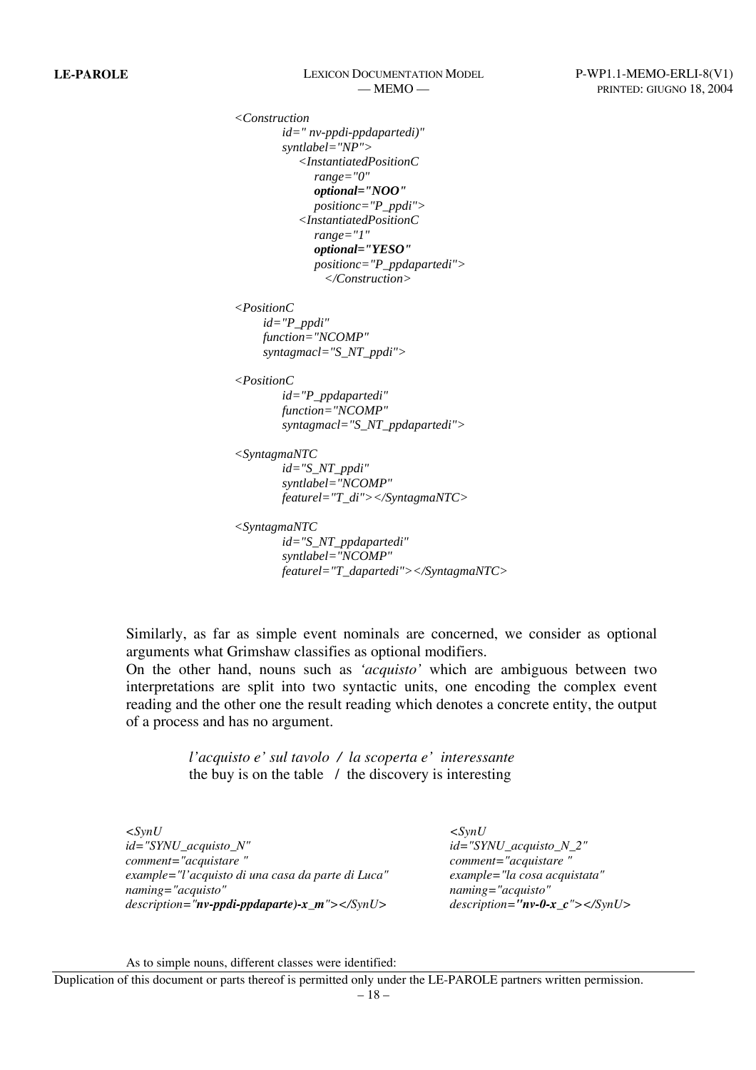*<Construction id=" nv-ppdi-ppdapartedi)" syntlabel="NP"> <InstantiatedPositionC range="0" optional="NOO" positionc="P\_ppdi"> <InstantiatedPositionC range="1" optional="YESO" positionc="P\_ppdapartedi"> </Construction>* 

*<PositionC*

 *id="P\_ppdi" function="NCOMP" syntagmacl="S\_NT\_ppdi">* 

*<PositionC*

 *id="P\_ppdapartedi" function="NCOMP" syntagmacl="S\_NT\_ppdapartedi">* 

```
<SyntagmaNTC
```
 *id="S\_NT\_ppdi" syntlabel="NCOMP" featurel="T\_di"></SyntagmaNTC>* 

*<SyntagmaNTC id="S\_NT\_ppdapartedi"* 

> *syntlabel="NCOMP" featurel="T\_dapartedi"></SyntagmaNTC>*

Similarly, as far as simple event nominals are concerned, we consider as optional arguments what Grimshaw classifies as optional modifiers.

On the other hand, nouns such as *'acquisto'* which are ambiguous between two interpretations are split into two syntactic units, one encoding the complex event reading and the other one the result reading which denotes a concrete entity, the output of a process and has no argument.

> *l'acquisto e' sul tavolo / la scoperta e' interessante*  the buy is on the table  $\ell$  the discovery is interesting

*<SynU id="SYNU\_acquisto\_N" comment="acquistare " example="l'acquisto di una casa da parte di Luca" naming="acquisto" description="nv-ppdi-ppdaparte)-x\_m"></SynU>* 

*<SynU id="SYNU\_acquisto\_N\_2" comment="acquistare " example="la cosa acquistata" naming="acquisto" description="nv-0-x\_c"></SynU>* 

As to simple nouns, different classes were identified: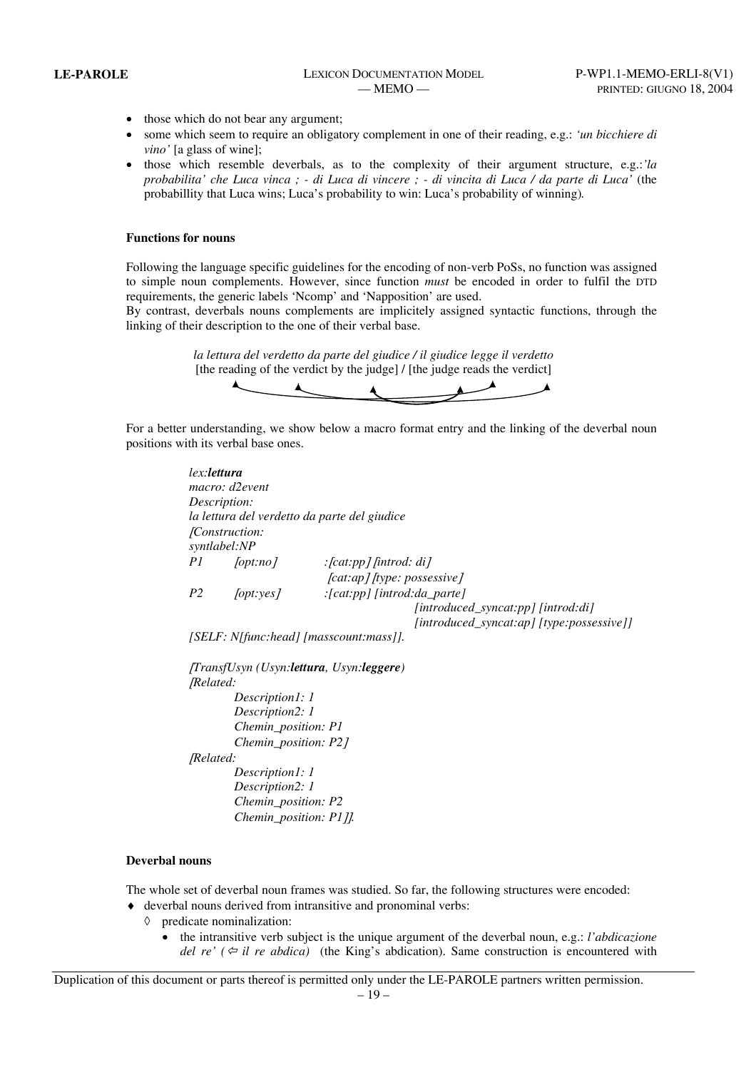- those which do not bear any argument;
- some which seem to require an obligatory complement in one of their reading, e.g.: *'un bicchiere di vino'* [a glass of wine];
- those which resemble deverbals, as to the complexity of their argument structure, e.g.:*'la probabilita' che Luca vinca ; - di Luca di vincere ; - di vincita di Luca / da parte di Luca'* (the probabillity that Luca wins; Luca's probability to win: Luca's probability of winning)*.*

### **Functions for nouns**

Following the language specific guidelines for the encoding of non-verb PoSs, no function was assigned to simple noun complements. However, since function *must* be encoded in order to fulfil the DTD requirements, the generic labels 'Ncomp' and 'Napposition' are used.

By contrast, deverbals nouns complements are implicitely assigned syntactic functions, through the linking of their description to the one of their verbal base.

> *la lettura del verdetto da parte del giudice / il giudice legge il verdetto* [the reading of the verdict by the judge] / [the judge reads the verdict]



For a better understanding, we show below a macro format entry and the linking of the deverbal noun positions with its verbal base ones.

| lex: <b>lettura</b> | macro: d2event                 |                                                                                 |
|---------------------|--------------------------------|---------------------------------------------------------------------------------|
|                     | Description:                   |                                                                                 |
|                     |                                | la lettura del verdetto da parte del giudice                                    |
|                     | [Construction:<br>syntlabel:NP |                                                                                 |
| PI                  | [opt:no]                       | : $\lceil cat:pp\rceil$ fintrod: di [                                           |
|                     |                                | [cat:ap] [type: possessive]                                                     |
| P <sub>2</sub>      | $\int$ [opt:yes]               | [cat:pp] [introd:da_parte]:                                                     |
|                     |                                | [introduced_syncat:pp] [introd:di]<br>[introduced_syncat:ap] [type:possessive]] |
|                     |                                | [SELF: N[func:head] [masscount:mass]].                                          |
|                     |                                | <i>(TransfUsyn (Usyn: lettura, Usyn: leggere)</i>                               |
| <i>[Related:</i>    |                                |                                                                                 |
|                     | Description1: 1                |                                                                                 |
|                     | Description2: 1                |                                                                                 |
|                     | Chemin_position: P1            |                                                                                 |
|                     | Chemin_position: P21           |                                                                                 |
| [Related:           |                                |                                                                                 |
|                     | Description1: 1                |                                                                                 |
|                     | Description2: 1                |                                                                                 |
|                     | Chemin_position: P2            |                                                                                 |
|                     |                                |                                                                                 |

#### **Deverbal nouns**

The whole set of deverbal noun frames was studied. So far, the following structures were encoded:

- ♦ deverbal nouns derived from intransitive and pronominal verbs:
	- ◊ predicate nominalization:
		- the intransitive verb subject is the unique argument of the deverbal noun, e.g.: *l'abdicazione del re' (* $\approx$  *il re abdica)* (the King's abdication). Same construction is encountered with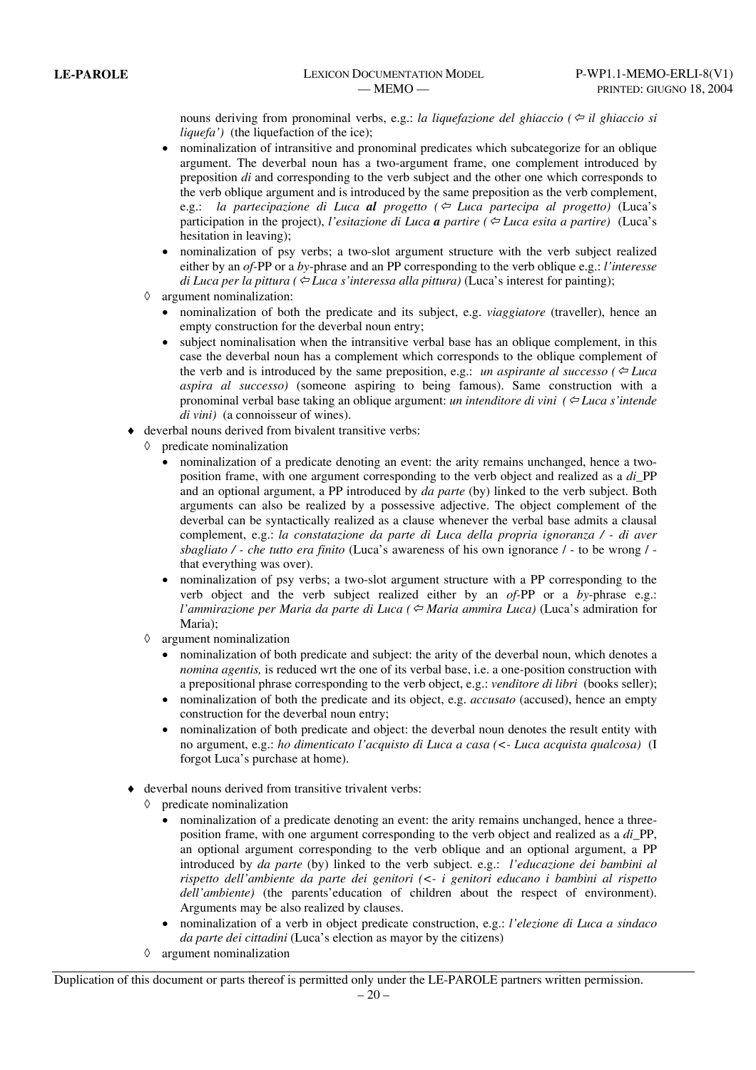nouns deriving from pronominal verbs, e.g.: *la liquefazione del ghiaccio* ( $\Leftarrow$  *il ghiaccio si liquefa'*) (the liquefaction of the ice);

- nominalization of intransitive and pronominal predicates which subcategorize for an oblique argument. The deverbal noun has a two-argument frame, one complement introduced by preposition *di* and corresponding to the verb subject and the other one which corresponds to the verb oblique argument and is introduced by the same preposition as the verb complement, e.g.: *la partecipazione di Luca al progetto (*Õ *Luca partecipa al progetto)* (Luca's participation in the project), *l'esitazione di Luca* **a** *partire* ( $\Leftarrow$  *Luca esita a partire*) (Luca's hesitation in leaving);
- nominalization of psy verbs; a two-slot argument structure with the verb subject realized either by an *of-*PP or a *by*-phrase and an PP corresponding to the verb oblique e.g.: *l'interesse di Luca per la pittura (* $⊕$  *Luca s'interessa alla pittura*) (Luca's interest for painting);
- ◊ argument nominalization:
	- nominalization of both the predicate and its subject, e.g. *viaggiatore* (traveller), hence an empty construction for the deverbal noun entry;
	- subject nominalisation when the intransitive verbal base has an oblique complement, in this case the deverbal noun has a complement which corresponds to the oblique complement of the verb and is introduced by the same preposition, e.g.: *un aspirante al successo* ( $\Leftrightarrow$  Luca *aspira al successo)* (someone aspiring to being famous). Same construction with a pronominal verbal base taking an oblique argument: *un intenditore di vini (*Õ *Luca s'intende di vini)* (a connoisseur of wines).
- deverbal nouns derived from bivalent transitive verbs:
	- ◊ predicate nominalization
		- nominalization of a predicate denoting an event: the arity remains unchanged, hence a twoposition frame, with one argument corresponding to the verb object and realized as a *di\_*PP and an optional argument, a PP introduced by *da parte* (by) linked to the verb subject. Both arguments can also be realized by a possessive adjective. The object complement of the deverbal can be syntactically realized as a clause whenever the verbal base admits a clausal complement, e.g.: *la constatazione da parte di Luca della propria ignoranza / - di aver sbagliato / - che tutto era finito* (Luca's awareness of his own ignorance / - to be wrong / that everything was over).
		- nominalization of psy verbs; a two-slot argument structure with a PP corresponding to the verb object and the verb subject realized either by an *of-*PP or a *by*-phrase e.g.: *l'ammirazione per Maria da parte di Luca* (⇔ *Maria ammira Luca*) (Luca's admiration for Maria);
	- ◊ argument nominalization
		- nominalization of both predicate and subject: the arity of the deverbal noun, which denotes a *nomina agentis,* is reduced wrt the one of its verbal base, i.e. a one-position construction with a prepositional phrase corresponding to the verb object, e.g.: *venditore di libri* (books seller);
		- nominalization of both the predicate and its object, e.g. *accusato* (accused), hence an empty construction for the deverbal noun entry;
		- nominalization of both predicate and object: the deverbal noun denotes the result entity with no argument, e.g.: *ho dimenticato l'acquisto di Luca a casa (<- Luca acquista qualcosa)* (I forgot Luca's purchase at home).
- deverbal nouns derived from transitive trivalent verbs:
	- ◊ predicate nominalization
		- nominalization of a predicate denoting an event: the arity remains unchanged, hence a threeposition frame, with one argument corresponding to the verb object and realized as a *di\_*PP, an optional argument corresponding to the verb oblique and an optional argument, a PP introduced by *da parte* (by) linked to the verb subject. e.g.: *l'educazione dei bambini al rispetto dell'ambiente da parte dei genitori (<- i genitori educano i bambini al rispetto dell'ambiente)* (the parents'education of children about the respect of environment). Arguments may be also realized by clauses.
		- nominalization of a verb in object predicate construction, e.g.: *l'elezione di Luca a sindaco da parte dei cittadini* (Luca's election as mayor by the citizens)
	- ◊ argument nominalization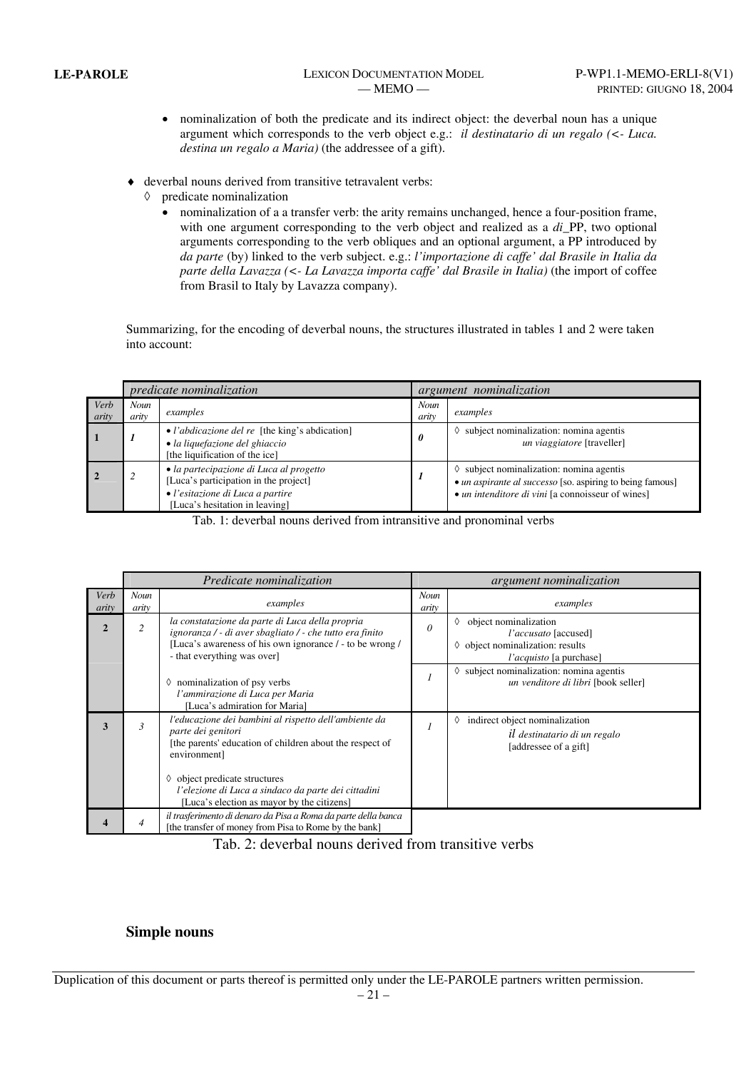- nominalization of both the predicate and its indirect object: the deverbal noun has a unique argument which corresponds to the verb object e.g.: *il destinatario di un regalo (<- Luca. destina un regalo a Maria)* (the addressee of a gift).
- ♦ deverbal nouns derived from transitive tetravalent verbs:
	- ◊ predicate nominalization
		- nominalization of a a transfer verb: the arity remains unchanged, hence a four-position frame, with one argument corresponding to the verb object and realized as a *di\_*PP, two optional arguments corresponding to the verb obliques and an optional argument, a PP introduced by *da parte* (by) linked to the verb subject. e.g.: *l'importazione di caffe' dal Brasile in Italia da parte della Lavazza (<- La Lavazza importa caffe' dal Brasile in Italia)* (the import of coffee from Brasil to Italy by Lavazza company).

Summarizing, for the encoding of deverbal nouns, the structures illustrated in tables 1 and 2 were taken into account:

|               | <i>predicate nominalization</i> |                                                                                                                                                        | <i>argument nominalization</i> |                                                                                                                                                                            |
|---------------|---------------------------------|--------------------------------------------------------------------------------------------------------------------------------------------------------|--------------------------------|----------------------------------------------------------------------------------------------------------------------------------------------------------------------------|
| Verb<br>arity | <b>Noun</b><br>arity            | examples                                                                                                                                               | <b>Noun</b><br>arity           | examples                                                                                                                                                                   |
|               |                                 | • l'abdicazione del re [the king's abdication]<br>· la liquefazione del ghiaccio<br>[the liquification of the ice]                                     | 0                              | $\Diamond$ subject nominalization: nomina agentis<br>un viaggiatore [traveller]                                                                                            |
|               |                                 | • la partecipazione di Luca al progetto<br>[Luca's participation in the project]<br>• l'esitazione di Luca a partire<br>[Luca's hesitation in leaving] |                                | $\Diamond$ subject nominalization: nomina agentis<br>• <i>un aspirante al successo</i> [so. aspiring to being famous]<br>• un intenditore di vini [a connoisseur of wines] |

Tab. 1: deverbal nouns derived from intransitive and pronominal verbs

|                | Predicate nominalization |                                                                                                                                                                                                        |               | argument nominalization                                                                                                           |  |  |
|----------------|--------------------------|--------------------------------------------------------------------------------------------------------------------------------------------------------------------------------------------------------|---------------|-----------------------------------------------------------------------------------------------------------------------------------|--|--|
| Verb<br>arity  | Noun<br>arity            | examples                                                                                                                                                                                               | Noun<br>arity | examples                                                                                                                          |  |  |
| $\mathfrak{D}$ | $\overline{c}$           | la constatazione da parte di Luca della propria<br>ignoranza / - di aver sbagliato / - che tutto era finito<br>[Luca's awareness of his own ignorance / - to be wrong /<br>- that everything was over] | 0             | object nominalization<br>♦<br>l'accusato [accused]<br>$\Diamond$ object nominalization: results<br><i>l'acquisto</i> [a purchase] |  |  |
|                |                          | $\Diamond$ nominalization of psy verbs<br>l'ammirazione di Luca per Maria<br>[Luca's admiration for Maria]                                                                                             |               | subject nominalization: nomina agentis<br>♦<br>un venditore di libri [book seller]                                                |  |  |
| 3              | $\mathfrak{Z}$           | l'educazione dei bambini al rispetto dell'ambiente da<br>parte dei genitori<br>[the parents' education of children about the respect of<br>environment]                                                |               | indirect object nominalization<br>♦<br>il destinatario di un regalo<br>[addressee of a gift]                                      |  |  |
|                |                          | $\Diamond$ object predicate structures<br>l'elezione di Luca a sindaco da parte dei cittadini<br>[Luca's election as mayor by the citizens]                                                            |               |                                                                                                                                   |  |  |
|                |                          | il trasferimento di denaro da Pisa a Roma da parte della banca<br>[the transfer of money from Pisa to Rome by the bank]                                                                                |               |                                                                                                                                   |  |  |

Tab. 2: deverbal nouns derived from transitive verbs

## **Simple nouns**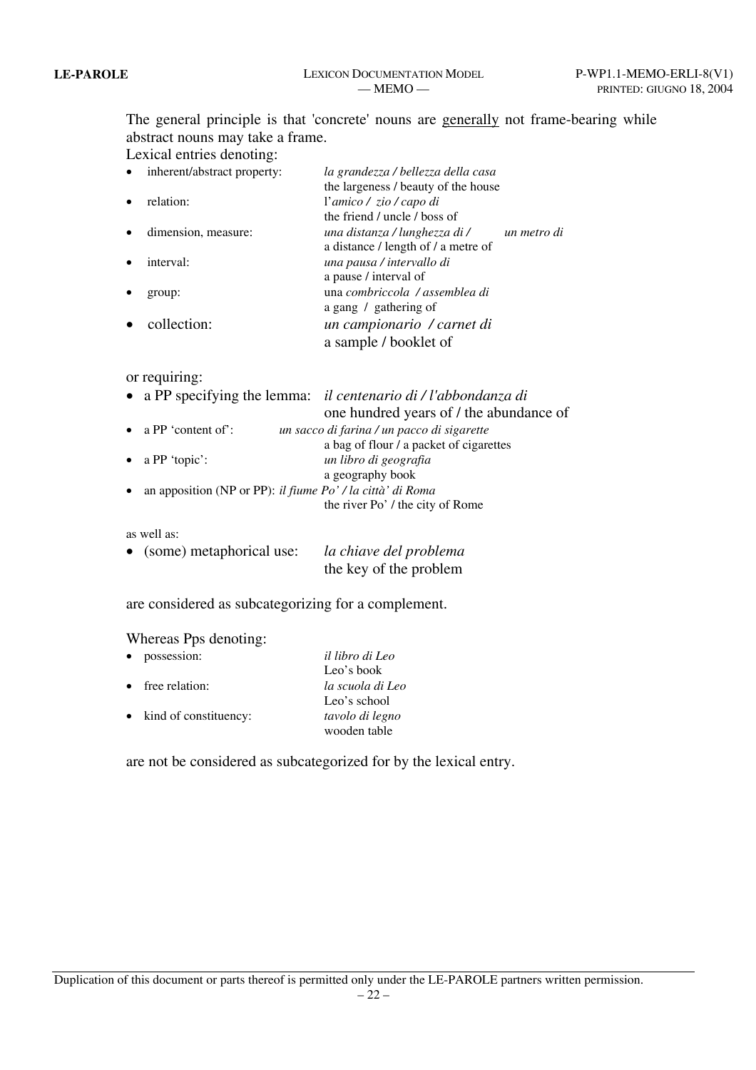The general principle is that 'concrete' nouns are generally not frame-bearing while abstract nouns may take a frame.

Lexical entries denoting:

| $\bullet$ | inherent/abstract property: | la grandezza / bellezza della casa  |             |
|-----------|-----------------------------|-------------------------------------|-------------|
|           |                             | the largeness / beauty of the house |             |
|           | relation:                   | l'amico / zio / capo di             |             |
|           |                             | the friend / uncle / boss of        |             |
|           | dimension, measure:         | una distanza / lunghezza di /       | un metro di |
|           |                             | a distance / length of / a metre of |             |
|           | interval:                   | una pausa / intervallo di           |             |
|           |                             | a pause / interval of               |             |
|           | group:                      | una combriccola / assemblea di      |             |
|           |                             | a gang / gathering of               |             |
|           | collection:                 | un campionario / carnet di          |             |
|           |                             | a sample / booklet of               |             |

### or requiring:

|           |                                                            | • a PP specifying the lemma: il centenario di / l'abbondanza di |
|-----------|------------------------------------------------------------|-----------------------------------------------------------------|
|           |                                                            | one hundred years of / the abundance of                         |
|           | • a PP 'content of':                                       | un sacco di farina / un pacco di sigarette                      |
|           |                                                            | a bag of flour / a packet of cigarettes                         |
|           | • $a PP 'topic':$                                          | un libro di geografia                                           |
|           |                                                            | a geography book                                                |
| $\bullet$ | an apposition (NP or PP): il fiume Po' / la città' di Roma |                                                                 |
|           |                                                            | the river Po' / the city of Rome                                |
|           |                                                            |                                                                 |
|           | as well as:                                                |                                                                 |

| • (some) metaphorical use: | la chiave del problema |
|----------------------------|------------------------|
|                            | the key of the problem |

are considered as subcategorizing for a complement.

# Whereas Pps denoting:

| $\bullet$ | possession:              | il libro di Leo  |
|-----------|--------------------------|------------------|
|           |                          | Leo's book       |
|           | $\bullet$ free relation: | la scuola di Leo |
|           |                          | Leo's school     |
|           | • kind of constituency:  | tavolo di legno  |
|           |                          | wooden table     |

are not be considered as subcategorized for by the lexical entry.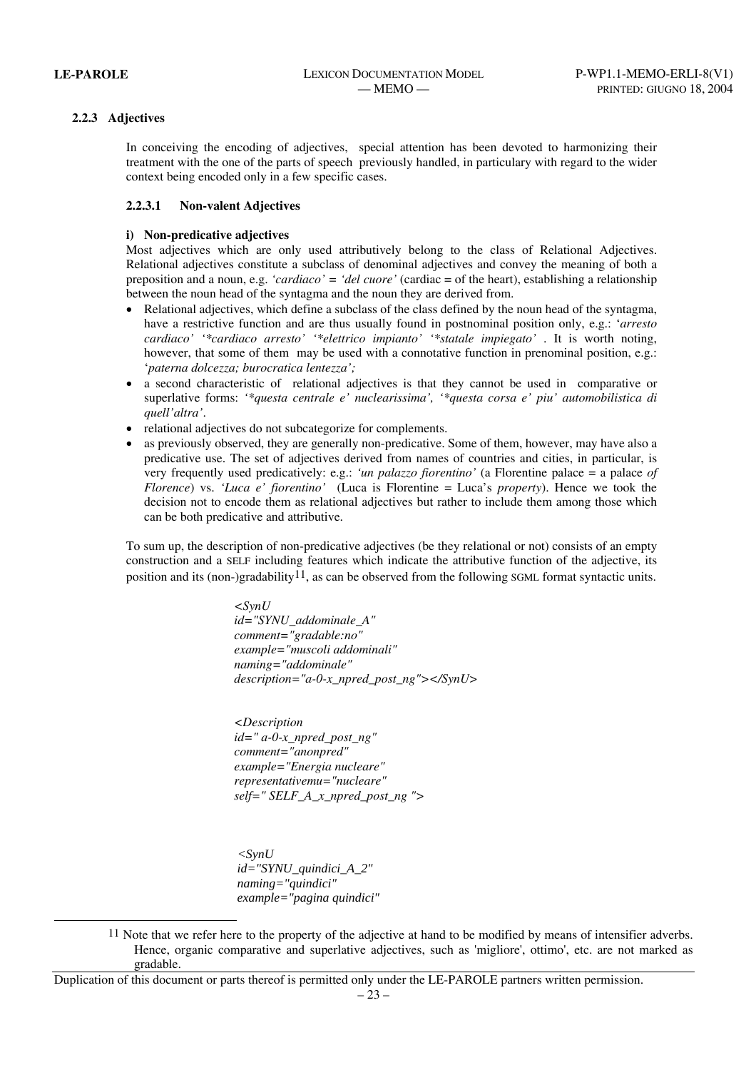l

### **2.2.3 Adjectives**

In conceiving the encoding of adjectives, special attention has been devoted to harmonizing their treatment with the one of the parts of speech previously handled, in particulary with regard to the wider context being encoded only in a few specific cases.

### **2.2.3.1 Non-valent Adjectives**

### **i) Non-predicative adjectives**

Most adjectives which are only used attributively belong to the class of Relational Adjectives. Relational adjectives constitute a subclass of denominal adjectives and convey the meaning of both a preposition and a noun, e.g. *'cardiaco' = 'del cuore'* (cardiac = of the heart), establishing a relationship between the noun head of the syntagma and the noun they are derived from.

- Relational adjectives, which define a subclass of the class defined by the noun head of the syntagma, have a restrictive function and are thus usually found in postnominal position only, e.g.: '*arresto cardiaco' '\*cardiaco arresto' '\*elettrico impianto' '\*statale impiegato'* . It is worth noting, however, that some of them may be used with a connotative function in prenominal position, e.g.: '*paterna dolcezza; burocratica lentezza';*
- a second characteristic of relational adjectives is that they cannot be used in comparative or superlative forms: *'\*questa centrale e' nuclearissima', '\*questa corsa e' piu' automobilistica di quell'altra'*.
- relational adjectives do not subcategorize for complements.
- as previously observed, they are generally non-predicative. Some of them, however, may have also a predicative use. The set of adjectives derived from names of countries and cities, in particular, is very frequently used predicatively: e.g.: *'un palazzo fiorentino'* (a Florentine palace = a palace *of Florence*) vs. *'Luca e' fiorentino'* (Luca is Florentine = Luca's *property*). Hence we took the decision not to encode them as relational adjectives but rather to include them among those which can be both predicative and attributive.

To sum up, the description of non-predicative adjectives (be they relational or not) consists of an empty construction and a SELF including features which indicate the attributive function of the adjective, its position and its (non-)gradability11, as can be observed from the following SGML format syntactic units.

> *<SynU id="SYNU\_addominale\_A" comment="gradable:no" example="muscoli addominali" naming="addominale" description="a-0-x\_npred\_post\_ng"></SynU>*

*<Description id=" a-0-x\_npred\_post\_ng" comment="anonpred" example="Energia nucleare" representativemu="nucleare" self=" SELF\_A\_x\_npred\_post\_ng ">* 

 *<SynU id="SYNU\_quindici\_A\_2" naming="quindici" example="pagina quindici"* 

<sup>11</sup> Note that we refer here to the property of the adjective at hand to be modified by means of intensifier adverbs. Hence, organic comparative and superlative adjectives, such as 'migliore', ottimo', etc. are not marked as gradable.

Duplication of this document or parts thereof is permitted only under the LE-PAROLE partners written permission.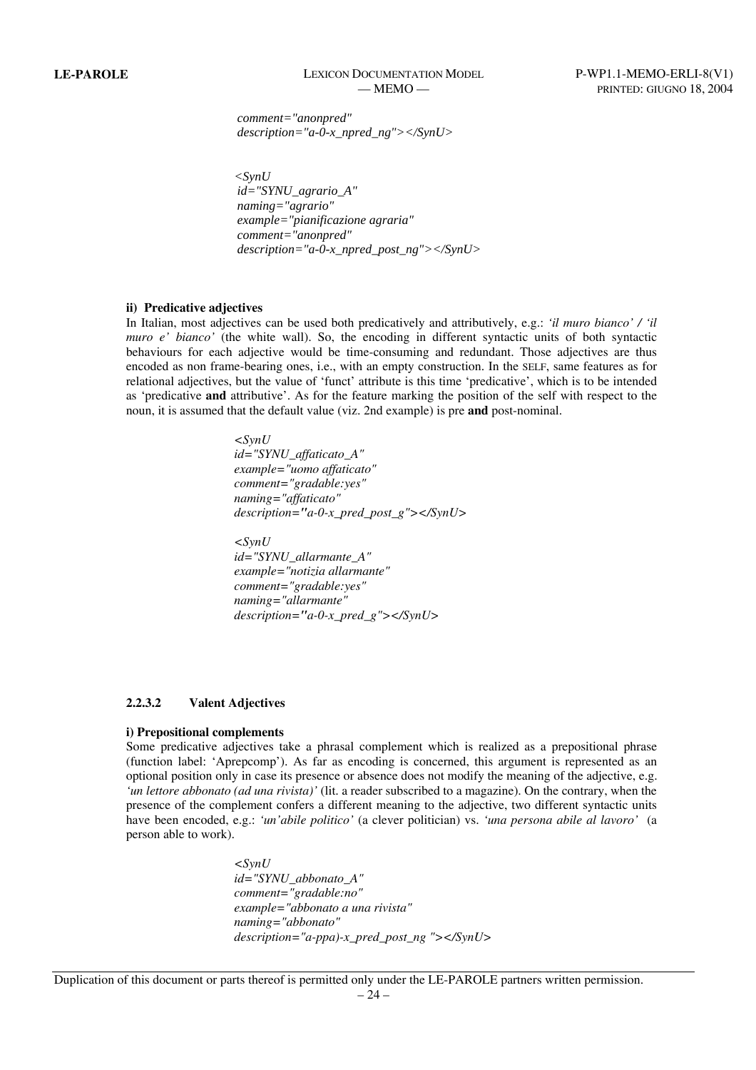*comment="anonpred" description="a-0-x\_npred\_ng"></SynU>* 

*<SynU id="SYNU\_agrario\_A" naming="agrario" example="pianificazione agraria" comment="anonpred" description="a-0-x\_npred\_post\_ng"></SynU>* 

#### **ii) Predicative adjectives**

In Italian, most adjectives can be used both predicatively and attributively, e.g.: *'il muro bianco' / 'il muro e' bianco'* (the white wall). So, the encoding in different syntactic units of both syntactic behaviours for each adjective would be time-consuming and redundant. Those adjectives are thus encoded as non frame-bearing ones, i.e., with an empty construction. In the SELF, same features as for relational adjectives, but the value of 'funct' attribute is this time 'predicative', which is to be intended as 'predicative **and** attributive'. As for the feature marking the position of the self with respect to the noun, it is assumed that the default value (viz. 2nd example) is pre **and** post-nominal.

> $\langle$ SynU  *id="SYNU\_affaticato\_A" example="uomo affaticato" comment="gradable:yes" naming="affaticato" description="a-0-x\_pred\_post\_g"></SynU>*  $\langle SynU \rangle$  *id="SYNU\_allarmante\_A" example="notizia allarmante"*

 *comment="gradable:yes" naming="allarmante" description="a-0-x\_pred\_g"></SynU>* 

#### **2.2.3.2 Valent Adjectives**

#### **i) Prepositional complements**

Some predicative adjectives take a phrasal complement which is realized as a prepositional phrase (function label: 'Aprepcomp'). As far as encoding is concerned, this argument is represented as an optional position only in case its presence or absence does not modify the meaning of the adjective, e.g. *'un lettore abbonato (ad una rivista)'* (lit. a reader subscribed to a magazine). On the contrary, when the presence of the complement confers a different meaning to the adjective, two different syntactic units have been encoded, e.g.: *'un'abile politico'* (a clever politician) vs. *'una persona abile al lavoro'* (a person able to work).

> *<SynU id="SYNU\_abbonato\_A" comment="gradable:no" example="abbonato a una rivista" naming="abbonato" description="a-ppa)-x\_pred\_post\_ng "></SynU>*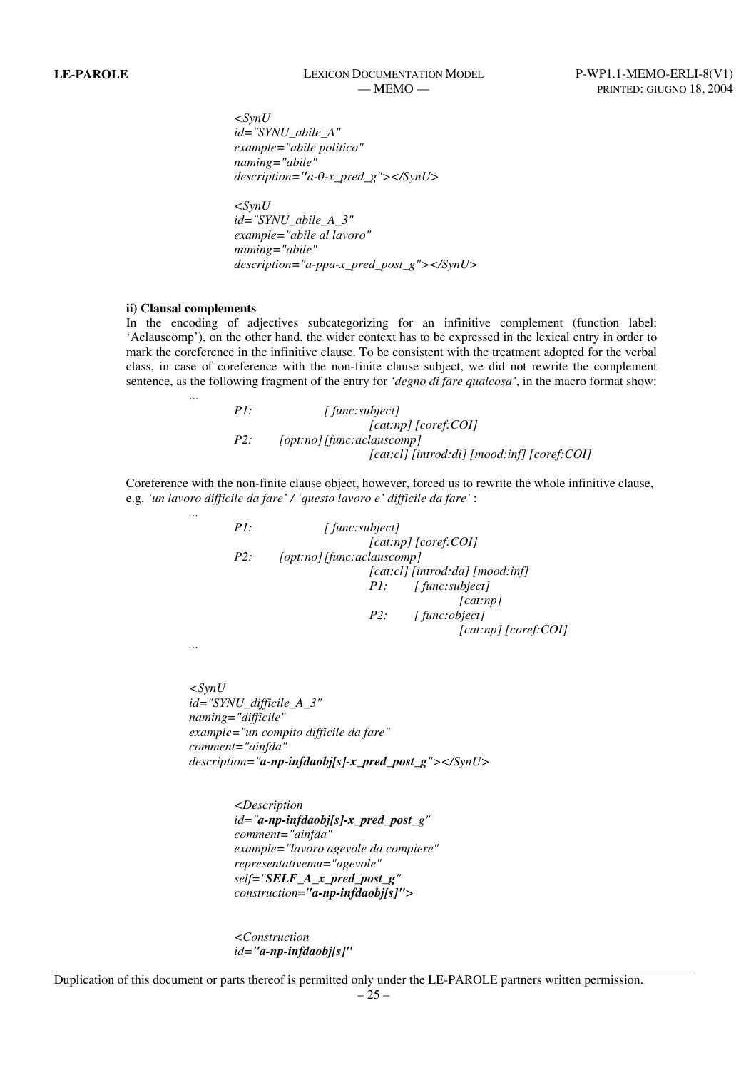# **LE-PAROLE** LEXICON DOCUMENTATION MODEL P-WP1.1-MEMO-ERLI-8(V1)

 *<SynU id="SYNU\_abile\_A" example="abile politico" naming="abile" description="a-0-x\_pred\_g"></SynU>* 

 *<SynU id="SYNU\_abile\_A\_3" example="abile al lavoro" naming="abile" description="a-ppa-x\_pred\_post\_g"></SynU>* 

#### **ii) Clausal complements**

...

 *...* 

In the encoding of adjectives subcategorizing for an infinitive complement (function label: 'Aclauscomp'), on the other hand, the wider context has to be expressed in the lexical entry in order to mark the coreference in the infinitive clause. To be consistent with the treatment adopted for the verbal class, in case of coreference with the non-finite clause subject, we did not rewrite the complement sentence, as the following fragment of the entry for *'degno di fare qualcosa'*, in the macro format show:

> *P1: [ func:subject] [cat:np] [coref:COI] P2: [opt:no] [func:aclauscomp] [cat:cl] [introd:di] [mood:inf] [coref:COI]*

Coreference with the non-finite clause object, however, forced us to rewrite the whole infinitive clause, e.g. *'un lavoro difficile da fare' / 'questo lavoro e' difficile da fare'* :

> *P1:* [ func:subject]  *[cat:np] [coref:COI] P2: [opt:no] [func:aclauscomp] [cat:cl] [introd:da] [mood:inf] P1: [ func:subject] [cat:np] P2: [ func:object] [cat:np] [coref:COI]*

 *...* 

*<SynU id="SYNU\_difficile\_A\_3" naming="difficile" example="un compito difficile da fare" comment="ainfda" description="a-np-infdaobj[s]-x\_pred\_post\_g"></SynU>* 

> *<Description id="a-np-infdaobj[s]-x\_pred\_post\_g" comment="ainfda" example="lavoro agevole da compiere" representativemu="agevole" self="SELF\_A\_x\_pred\_post\_g" construction="a-np-infdaobj[s]">*

*<Construction id="a-np-infdaobj[s]"*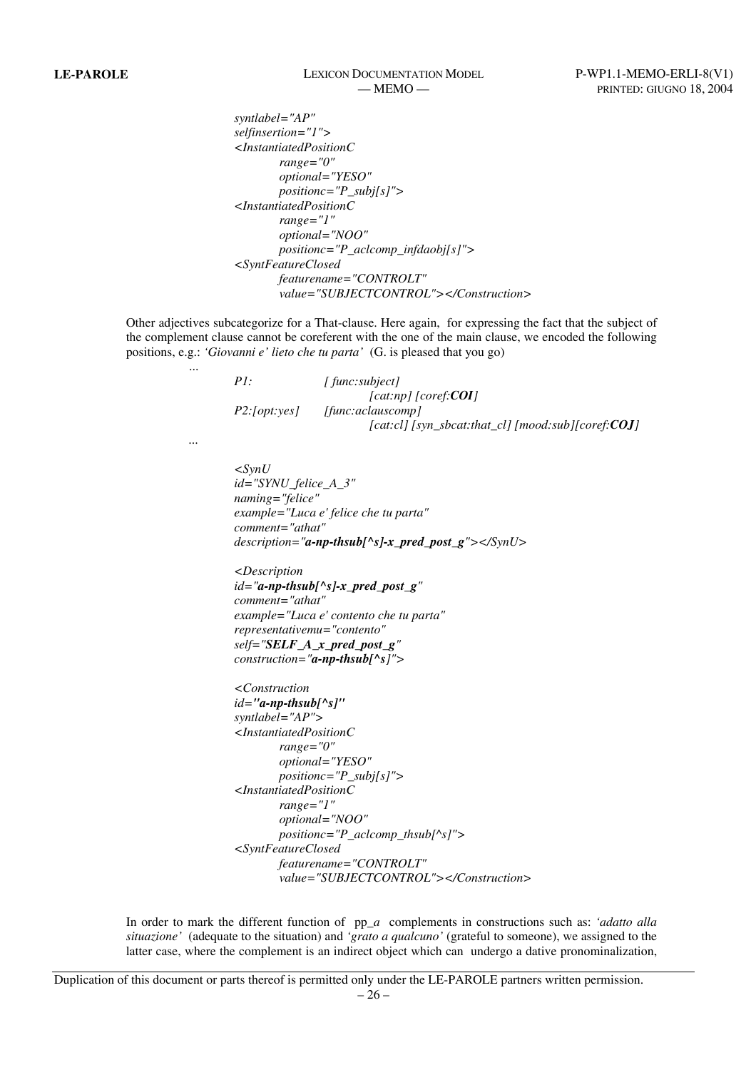*syntlabel="AP" selfinsertion="1"> <InstantiatedPositionC range="0" optional="YESO" positionc="P\_subj[s]"> <InstantiatedPositionC range="1" optional="NOO" positionc="P\_aclcomp\_infdaobj[s]"> <SyntFeatureClosed featurename="CONTROLT" value="SUBJECTCONTROL"></Construction>* 

Other adjectives subcategorize for a That-clause. Here again, for expressing the fact that the subject of the complement clause cannot be coreferent with the one of the main clause, we encoded the following positions, e.g.: *'Giovanni e' lieto che tu parta'* (G. is pleased that you go)

| PI:          | [func:subject]                                                |
|--------------|---------------------------------------------------------------|
|              | $[cat:np]$ $[coref:COI]$                                      |
| P2:[opt:yes] | [func:aclauscomp]                                             |
|              | $[cat:cl]$ [syn sbcat:that cl] [mood:sub][coref: <b>COJ</b> ] |

 *...* 

...

 *<SynU id="SYNU\_felice\_A\_3" naming="felice" example="Luca e' felice che tu parta" comment="athat" description="a-np-thsub[^s]-x\_pred\_post\_g"></SynU>* 

 *<Description id="a-np-thsub[^s]-x\_pred\_post\_g" comment="athat" example="Luca e' contento che tu parta" representativemu="contento" self="SELF\_A\_x\_pred\_post\_g" construction="a-np-thsub[^s]">* 

```
 <Construction 
id="a-np-thsub[^s]"
syntlabel="AP"> 
<InstantiatedPositionC
        range="0" 
        optional="YESO" 
        positionc="P_subj[s]"> 
<InstantiatedPositionC
        range="1" 
        optional="NOO" 
        positionc="P_aclcomp_thsub[^s]"> 
<SyntFeatureClosed 
        featurename="CONTROLT" 
        value="SUBJECTCONTROL"></Construction>
```
In order to mark the different function of pp\_*a* complements in constructions such as: *'adatto alla situazione'* (adequate to the situation) and *'grato a qualcuno'* (grateful to someone), we assigned to the latter case, where the complement is an indirect object which can undergo a dative pronominalization,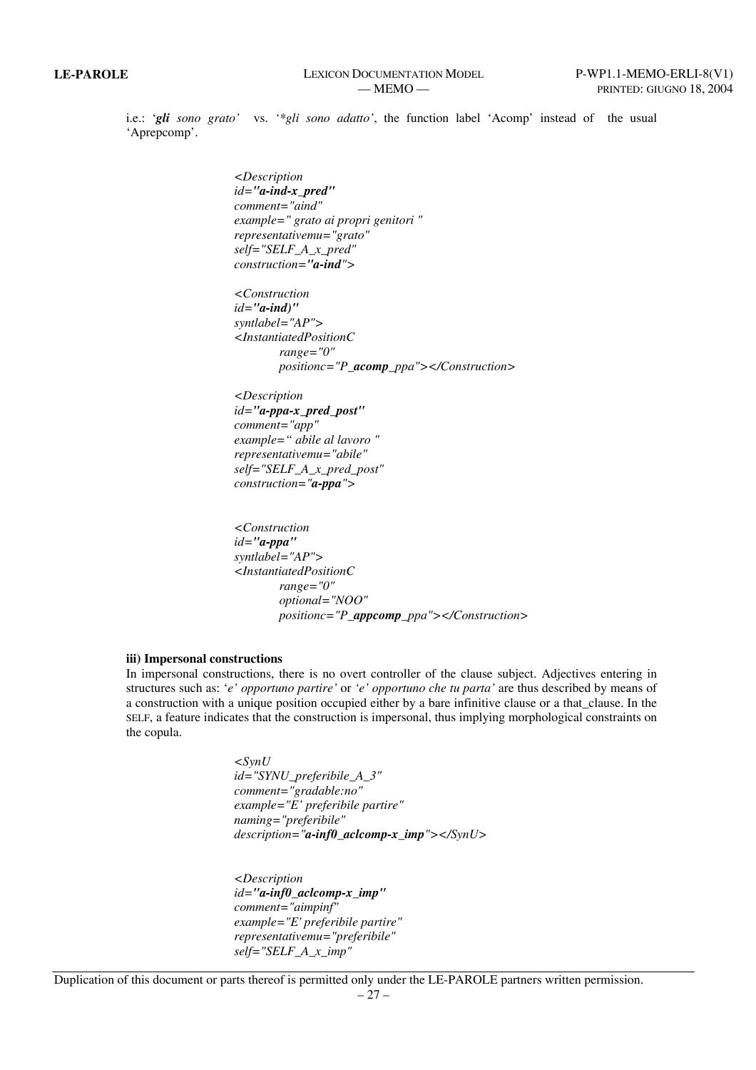i.e.: '*gli sono grato'* vs. *'\*gli sono adatto'*, the function label 'Acomp' instead of the usual 'Aprepcomp'.

> *<Description id="a-ind-x\_pred" comment="aind" example=" grato ai propri genitori " representativemu="grato" self="SELF\_A\_x\_pred" construction="a-ind">*

 *<Construction id="a-ind)" syntlabel="AP"> <InstantiatedPositionC range="0" positionc="P\_acomp\_ppa"></Construction>* 

 *<Description id="a-ppa-x\_pred\_post" comment="app" example=" abile al lavoro " representativemu="abile" self="SELF\_A\_x\_pred\_post" construction="a-ppa">* 

 *<Construction id="a-ppa" syntlabel="AP"> <InstantiatedPositionC range="0" optional="NOO" positionc="P\_appcomp\_ppa"></Construction>* 

### **iii) Impersonal constructions**

In impersonal constructions, there is no overt controller of the clause subject. Adjectives entering in structures such as: '*e' opportuno partire'* or *'e' opportuno che tu parta'* are thus described by means of a construction with a unique position occupied either by a bare infinitive clause or a that\_clause. In the SELF, a feature indicates that the construction is impersonal, thus implying morphological constraints on the copula.

> *<SynU id="SYNU\_preferibile\_A\_3" comment="gradable:no" example="E' preferibile partire" naming="preferibile" description="a-inf0\_aclcomp-x\_imp"></SynU>*

 *<Description id="a-inf0\_aclcomp-x\_imp" comment="aimpinf" example="E' preferibile partire" representativemu="preferibile" self="SELF\_A\_x\_imp"*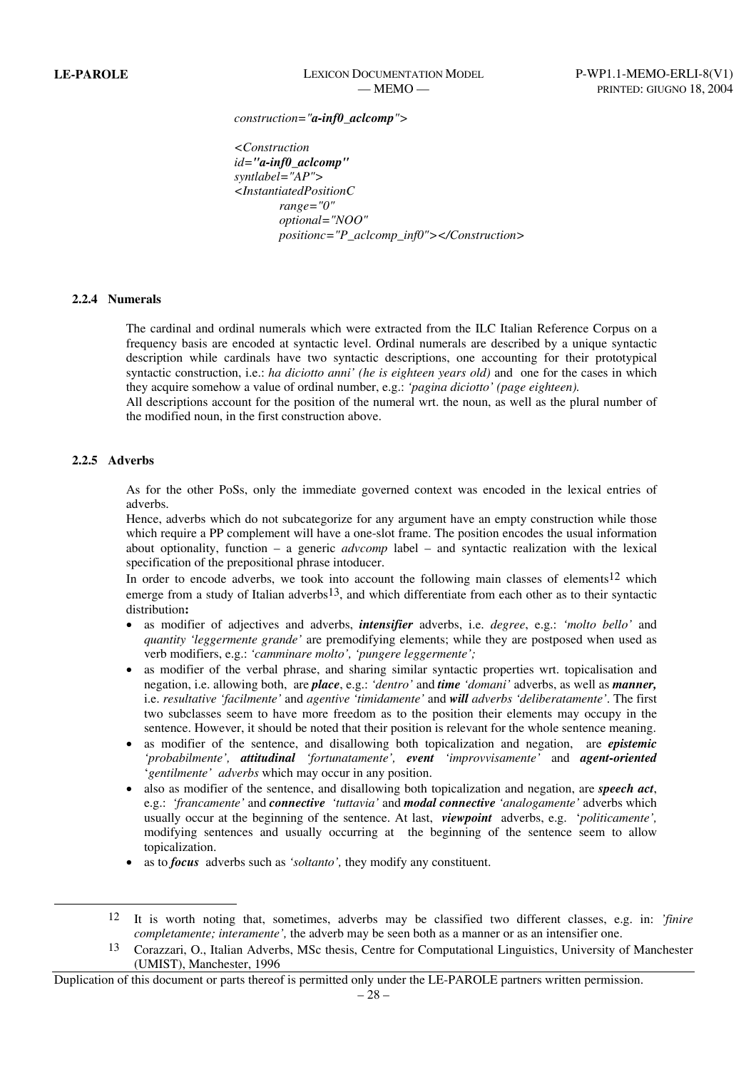*construction="a-inf0\_aclcomp">* 

 *<Construction id="a-inf0\_aclcomp" syntlabel="AP"> <InstantiatedPositionC range="0" optional="NOO" positionc="P\_aclcomp\_inf0"></Construction>*

#### **2.2.4 Numerals**

The cardinal and ordinal numerals which were extracted from the ILC Italian Reference Corpus on a frequency basis are encoded at syntactic level. Ordinal numerals are described by a unique syntactic description while cardinals have two syntactic descriptions, one accounting for their prototypical syntactic construction, i.e.: *ha diciotto anni' (he is eighteen years old)* and one for the cases in which they acquire somehow a value of ordinal number, e.g.: *'pagina diciotto' (page eighteen).* 

All descriptions account for the position of the numeral wrt. the noun, as well as the plural number of the modified noun, in the first construction above.

#### **2.2.5 Adverbs**

l

As for the other PoSs, only the immediate governed context was encoded in the lexical entries of adverbs.

Hence, adverbs which do not subcategorize for any argument have an empty construction while those which require a PP complement will have a one-slot frame. The position encodes the usual information about optionality, function – a generic *advcomp* label – and syntactic realization with the lexical specification of the prepositional phrase intoducer.

In order to encode adverbs, we took into account the following main classes of elements<sup>12</sup> which emerge from a study of Italian adverbs<sup>13</sup>, and which differentiate from each other as to their syntactic distribution**:** 

- as modifier of adjectives and adverbs, *intensifier* adverbs, i.e. *degree*, e.g.: *'molto bello'* and *quantity 'leggermente grande'* are premodifying elements; while they are postposed when used as verb modifiers, e.g.: *'camminare molto', 'pungere leggermente';*
- as modifier of the verbal phrase, and sharing similar syntactic properties wrt. topicalisation and negation, i.e. allowing both, are *place*, e.g.: *'dentro'* and *time 'domani'* adverbs, as well as *manner,* i.e. *resultative 'facilmente'* and *agentive 'timidamente'* and *will adverbs 'deliberatamente'*. The first two subclasses seem to have more freedom as to the position their elements may occupy in the sentence. However, it should be noted that their position is relevant for the whole sentence meaning.
- as modifier of the sentence, and disallowing both topicalization and negation, are *epistemic 'probabilmente', attitudinal 'fortunatamente', event 'improvvisamente'* and *agent-oriented* '*gentilmente' adverbs* which may occur in any position.
- also as modifier of the sentence, and disallowing both topicalization and negation, are *speech act*, e.g.: *'francamente'* and *connective 'tuttavia'* and *modal connective 'analogamente'* adverbs which usually occur at the beginning of the sentence. At last, *viewpoint* adverbs, e.g. '*politicamente',* modifying sentences and usually occurring at the beginning of the sentence seem to allow topicalization.
- as to *focus* adverbs such as *'soltanto',* they modify any constituent.

<sup>12</sup> It is worth noting that, sometimes, adverbs may be classified two different classes, e.g. in: *'finire completamente; interamente',* the adverb may be seen both as a manner or as an intensifier one.

<sup>13</sup> Corazzari, O., Italian Adverbs, MSc thesis, Centre for Computational Linguistics, University of Manchester (UMIST), Manchester, 1996

Duplication of this document or parts thereof is permitted only under the LE-PAROLE partners written permission.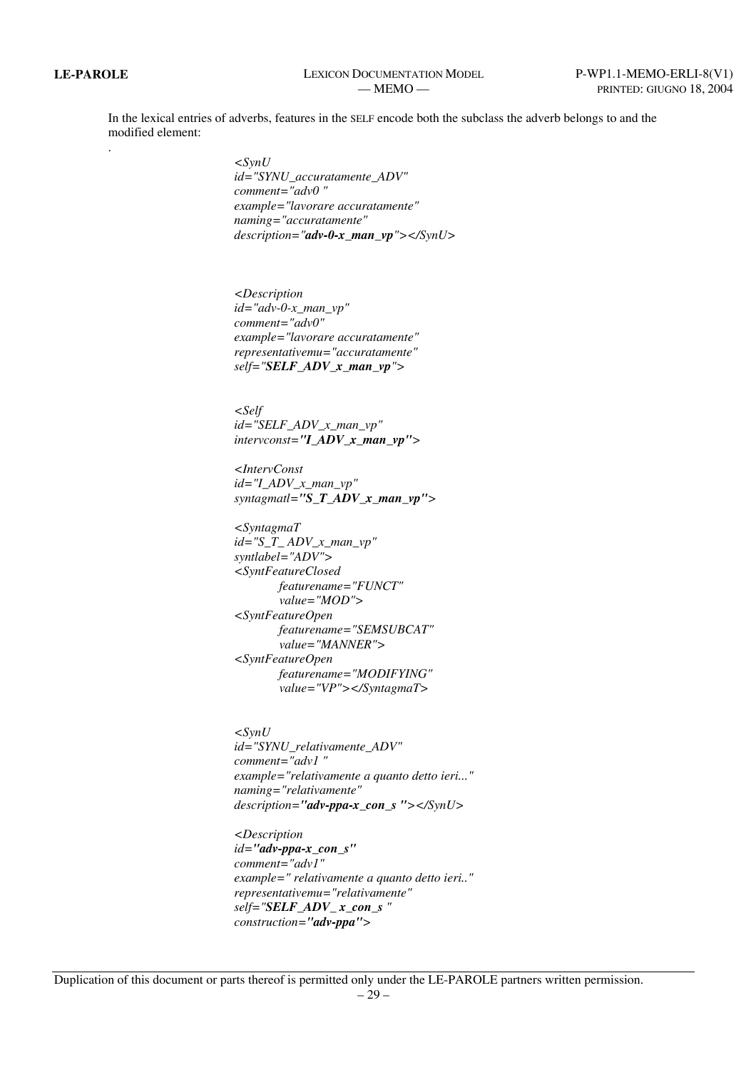In the lexical entries of adverbs, features in the SELF encode both the subclass the adverb belongs to and the modified element:

.

*<SynU id="SYNU\_accuratamente\_ADV" comment="adv0 " example="lavorare accuratamente" naming="accuratamente" description="adv-0-x\_man\_vp"></SynU>* 

*<Description id="adv-0-x\_man\_vp" comment="adv0" example="lavorare accuratamente" representativemu="accuratamente" self="SELF\_ADV\_x\_man\_vp">* 

*<Self id="SELF\_ADV\_x\_man\_vp" intervconst="I\_ADV\_x\_man\_vp">* 

*<IntervConst id="I\_ADV\_x\_man\_vp" syntagmatl="S\_T\_ADV\_x\_man\_vp">* 

*<SyntagmaT id="S\_T\_ ADV\_x\_man\_vp" syntlabel="ADV"> <SyntFeatureClosed featurename="FUNCT" value="MOD"> <SyntFeatureOpen featurename="SEMSUBCAT" value="MANNER"> <SyntFeatureOpen featurename="MODIFYING" value="VP"></SyntagmaT>* 

*<SynU id="SYNU\_relativamente\_ADV" comment="adv1 " example="relativamente a quanto detto ieri..." naming="relativamente" description="adv-ppa-x\_con\_s "></SynU>* 

*<Description id="adv-ppa-x\_con\_s" comment="adv1" example=" relativamente a quanto detto ieri.." representativemu="relativamente" self="SELF\_ADV\_ x\_con\_s " construction="adv-ppa">*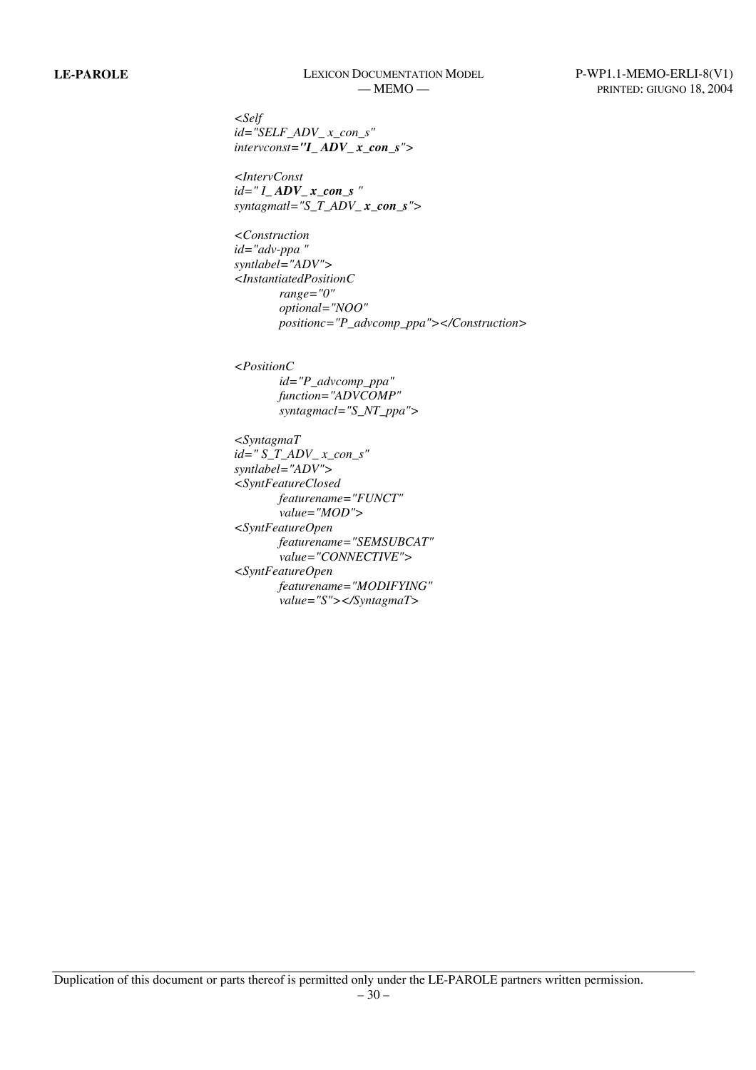*<Self id="SELF\_ADV\_ x\_con\_s" intervconst="I\_ ADV\_ x\_con\_s">* 

*<IntervConst id=" I\_ ADV\_ x\_con\_s " syntagmatl="S\_T\_ADV\_x\_con\_s">* 

*<Construction id="adv-ppa " syntlabel="ADV"> <InstantiatedPositionC range="0" optional="NOO" positionc="P\_advcomp\_ppa"></Construction>* 

*<PositionC id="P\_advcomp\_ppa" function="ADVCOMP" syntagmacl="S\_NT\_ppa">* 

*<SyntagmaT id=" S\_T\_ADV\_ x\_con\_s" syntlabel="ADV"> <SyntFeatureClosed featurename="FUNCT" value="MOD"> <SyntFeatureOpen featurename="SEMSUBCAT" value="CONNECTIVE"> <SyntFeatureOpen featurename="MODIFYING" value="S"></SyntagmaT>*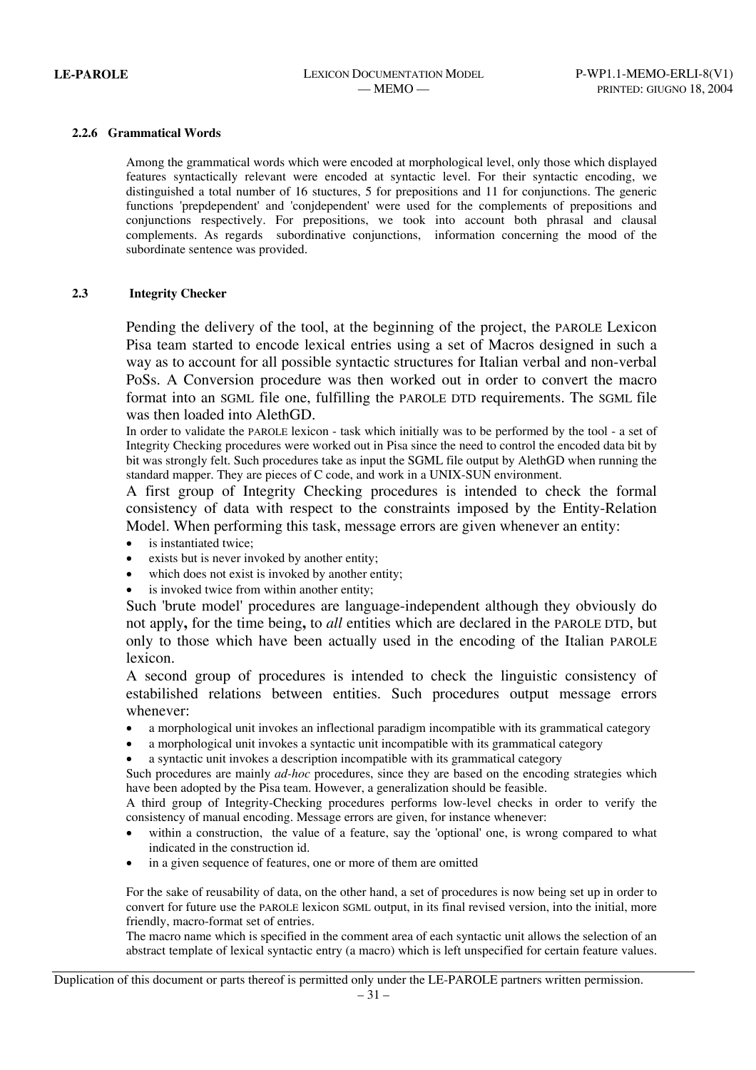#### **2.2.6 Grammatical Words**

Among the grammatical words which were encoded at morphological level, only those which displayed features syntactically relevant were encoded at syntactic level. For their syntactic encoding, we distinguished a total number of 16 stuctures, 5 for prepositions and 11 for conjunctions. The generic functions 'prepdependent' and 'conjdependent' were used for the complements of prepositions and conjunctions respectively. For prepositions, we took into account both phrasal and clausal complements. As regards subordinative conjunctions, information concerning the mood of the subordinate sentence was provided.

#### **2.3 Integrity Checker**

Pending the delivery of the tool, at the beginning of the project, the PAROLE Lexicon Pisa team started to encode lexical entries using a set of Macros designed in such a way as to account for all possible syntactic structures for Italian verbal and non-verbal PoSs. A Conversion procedure was then worked out in order to convert the macro format into an SGML file one, fulfilling the PAROLE DTD requirements. The SGML file was then loaded into AlethGD.

In order to validate the PAROLE lexicon - task which initially was to be performed by the tool - a set of Integrity Checking procedures were worked out in Pisa since the need to control the encoded data bit by bit was strongly felt. Such procedures take as input the SGML file output by AlethGD when running the standard mapper. They are pieces of C code, and work in a UNIX-SUN environment.

A first group of Integrity Checking procedures is intended to check the formal consistency of data with respect to the constraints imposed by the Entity-Relation Model. When performing this task, message errors are given whenever an entity:

- is instantiated twice:
- exists but is never invoked by another entity;
- which does not exist is invoked by another entity;
- is invoked twice from within another entity;

Such 'brute model' procedures are language-independent although they obviously do not apply**,** for the time being**,** to *all* entities which are declared in the PAROLE DTD, but only to those which have been actually used in the encoding of the Italian PAROLE lexicon.

A second group of procedures is intended to check the linguistic consistency of estabilished relations between entities. Such procedures output message errors whenever:

- a morphological unit invokes an inflectional paradigm incompatible with its grammatical category
- a morphological unit invokes a syntactic unit incompatible with its grammatical category
- a syntactic unit invokes a description incompatible with its grammatical category

Such procedures are mainly *ad-hoc* procedures, since they are based on the encoding strategies which have been adopted by the Pisa team. However, a generalization should be feasible.

A third group of Integrity-Checking procedures performs low-level checks in order to verify the consistency of manual encoding. Message errors are given, for instance whenever:

- within a construction, the value of a feature, say the 'optional' one, is wrong compared to what indicated in the construction id.
- in a given sequence of features, one or more of them are omitted

For the sake of reusability of data, on the other hand, a set of procedures is now being set up in order to convert for future use the PAROLE lexicon SGML output, in its final revised version, into the initial, more friendly, macro-format set of entries.

The macro name which is specified in the comment area of each syntactic unit allows the selection of an abstract template of lexical syntactic entry (a macro) which is left unspecified for certain feature values.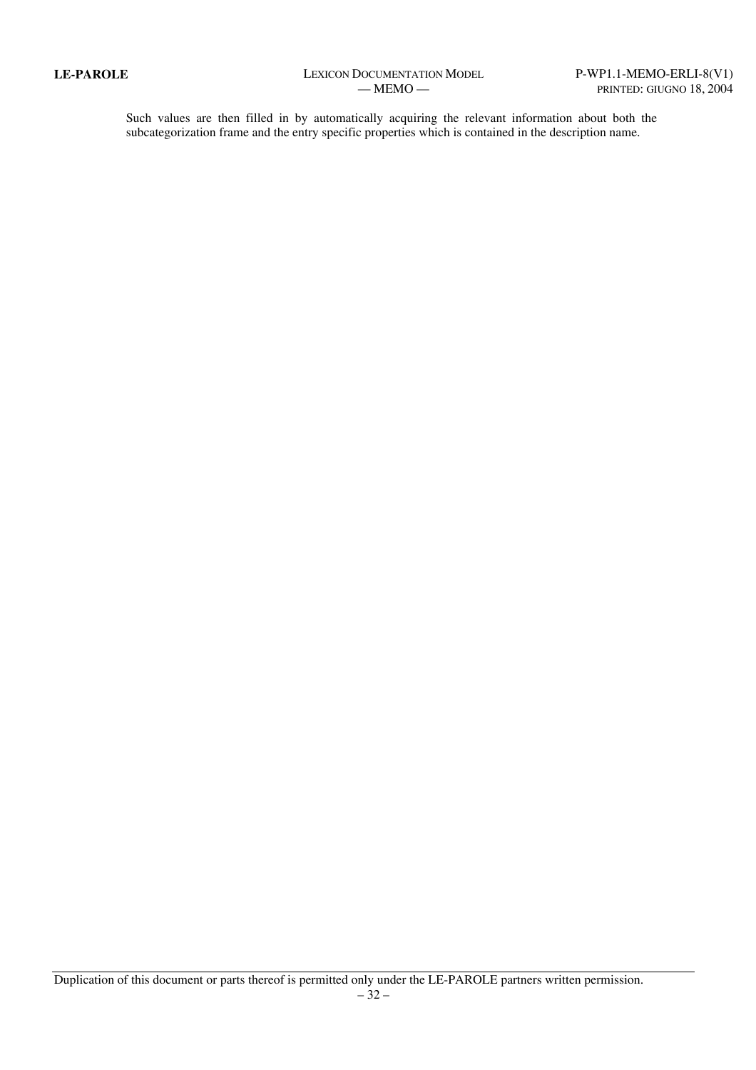Such values are then filled in by automatically acquiring the relevant information about both the subcategorization frame and the entry specific properties which is contained in the description name.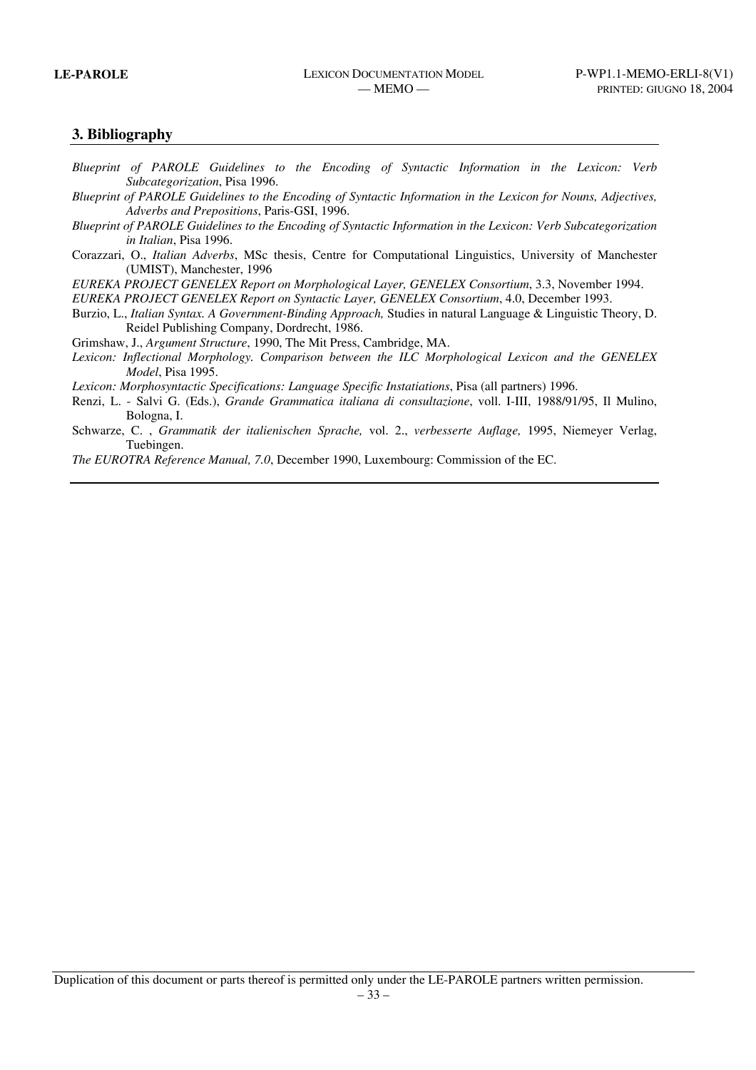## **3. Bibliography**

- *Blueprint of PAROLE Guidelines to the Encoding of Syntactic Information in the Lexicon: Verb Subcategorization*, Pisa 1996.
- *Blueprint of PAROLE Guidelines to the Encoding of Syntactic Information in the Lexicon for Nouns, Adjectives, Adverbs and Prepositions*, Paris-GSI, 1996.
- *Blueprint of PAROLE Guidelines to the Encoding of Syntactic Information in the Lexicon: Verb Subcategorization in Italian*, Pisa 1996.
- Corazzari, O., *Italian Adverbs*, MSc thesis, Centre for Computational Linguistics, University of Manchester (UMIST), Manchester, 1996

*EUREKA PROJECT GENELEX Report on Morphological Layer, GENELEX Consortium*, 3.3, November 1994.

*EUREKA PROJECT GENELEX Report on Syntactic Layer, GENELEX Consortium*, 4.0, December 1993.

Burzio, L., *Italian Syntax. A Government-Binding Approach,* Studies in natural Language & Linguistic Theory, D. Reidel Publishing Company, Dordrecht, 1986.

Grimshaw, J., *Argument Structure*, 1990, The Mit Press, Cambridge, MA.

*Lexicon: Inflectional Morphology. Comparison between the ILC Morphological Lexicon and the GENELEX Model*, Pisa 1995.

*Lexicon: Morphosyntactic Specifications: Language Specific Instatiations*, Pisa (all partners) 1996.

- Renzi, L. Salvi G. (Eds.), *Grande Grammatica italiana di consultazione*, voll. I-III, 1988/91/95, Il Mulino, Bologna, I.
- Schwarze, C. , *Grammatik der italienischen Sprache,* vol. 2., *verbesserte Auflage,* 1995, Niemeyer Verlag, Tuebingen.

*The EUROTRA Reference Manual, 7.0*, December 1990, Luxembourg: Commission of the EC.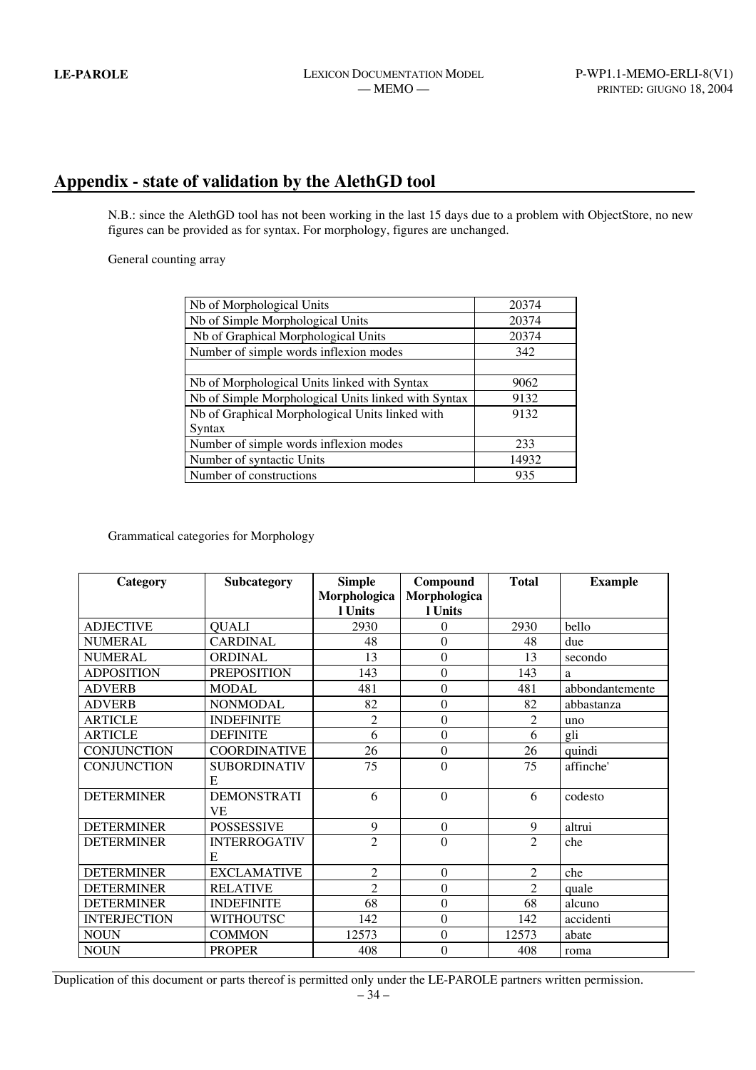# **Appendix - state of validation by the AlethGD tool**

N.B.: since the AlethGD tool has not been working in the last 15 days due to a problem with ObjectStore, no new figures can be provided as for syntax. For morphology, figures are unchanged.

General counting array

| Nb of Morphological Units                           | 20374 |
|-----------------------------------------------------|-------|
| Nb of Simple Morphological Units                    | 20374 |
| Nb of Graphical Morphological Units                 | 20374 |
| Number of simple words inflexion modes              | 342   |
|                                                     |       |
| Nb of Morphological Units linked with Syntax        | 9062  |
| Nb of Simple Morphological Units linked with Syntax | 9132  |
| Nb of Graphical Morphological Units linked with     | 9132  |
| Syntax                                              |       |
| Number of simple words inflexion modes              | 233   |
| Number of syntactic Units                           | 14932 |
| Number of constructions                             | 935   |

Grammatical categories for Morphology

| Category            | Subcategory         | <b>Simple</b>  | Compound         | <b>Total</b>   | <b>Example</b>  |
|---------------------|---------------------|----------------|------------------|----------------|-----------------|
|                     |                     | Morphologica   | Morphologica     |                |                 |
|                     |                     | l Units        | l Units          |                |                 |
| <b>ADJECTIVE</b>    | <b>QUALI</b>        | 2930           | $\theta$         | 2930           | bello           |
| <b>NUMERAL</b>      | <b>CARDINAL</b>     | 48             | $\theta$         | 48             | due             |
| <b>NUMERAL</b>      | <b>ORDINAL</b>      | 13             | $\overline{0}$   | 13             | secondo         |
| <b>ADPOSITION</b>   | <b>PREPOSITION</b>  | 143            | $\mathbf{0}$     | 143            | a               |
| <b>ADVERB</b>       | <b>MODAL</b>        | 481            | $\mathbf{0}$     | 481            | abbondantemente |
| <b>ADVERB</b>       | <b>NONMODAL</b>     | 82             | $\overline{0}$   | 82             | abbastanza      |
| <b>ARTICLE</b>      | <b>INDEFINITE</b>   | $\overline{2}$ | $\mathbf{0}$     | 2              | uno             |
| <b>ARTICLE</b>      | <b>DEFINITE</b>     | 6              | $\overline{0}$   | 6              | gli             |
| <b>CONJUNCTION</b>  | <b>COORDINATIVE</b> | 26             | $\overline{0}$   | 26             | quindi          |
| <b>CONJUNCTION</b>  | <b>SUBORDINATIV</b> | 75             | $\overline{0}$   | 75             | affinche'       |
|                     | E                   |                |                  |                |                 |
| <b>DETERMINER</b>   | <b>DEMONSTRATI</b>  | 6              | $\Omega$         | 6              | codesto         |
|                     | <b>VE</b>           |                |                  |                |                 |
| <b>DETERMINER</b>   | <b>POSSESSIVE</b>   | 9              | $\mathbf{0}$     | 9              | altrui          |
| <b>DETERMINER</b>   | <b>INTERROGATIV</b> | $\overline{2}$ | $\overline{0}$   | $\overline{2}$ | che             |
|                     | E                   |                |                  |                |                 |
| <b>DETERMINER</b>   | <b>EXCLAMATIVE</b>  | $\overline{c}$ | $\boldsymbol{0}$ | $\overline{2}$ | che             |
| <b>DETERMINER</b>   | <b>RELATIVE</b>     | $\overline{2}$ | $\boldsymbol{0}$ | $\overline{2}$ | quale           |
| <b>DETERMINER</b>   | <b>INDEFINITE</b>   | 68             | $\boldsymbol{0}$ | 68             | alcuno          |
| <b>INTERJECTION</b> | <b>WITHOUTSC</b>    | 142            | $\mathbf{0}$     | 142            | accidenti       |
| <b>NOUN</b>         | <b>COMMON</b>       | 12573          | $\boldsymbol{0}$ | 12573          | abate           |
| <b>NOUN</b>         | <b>PROPER</b>       | 408            | $\mathbf{0}$     | 408            | roma            |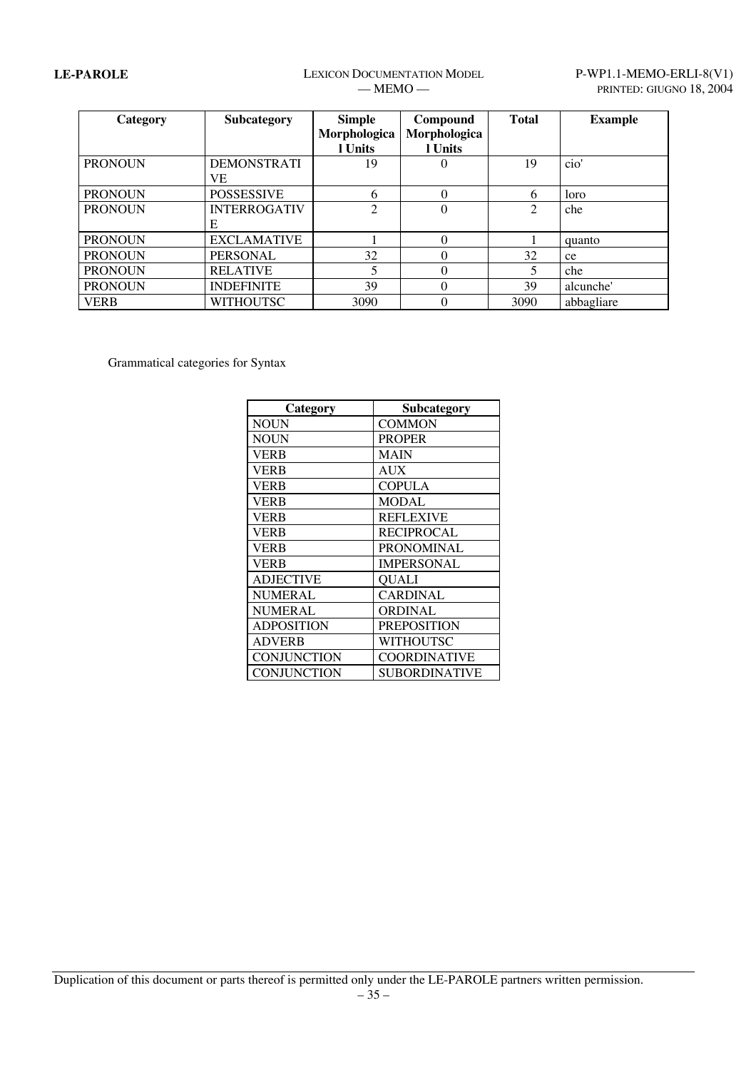# LE-PAROLE LEXICON DOCUMENTATION MODEL P-WP1.1-MEMO-ERLI-8(V1)

| Category       | Subcategory         | <b>Simple</b>  | Compound     | <b>Total</b> | <b>Example</b> |
|----------------|---------------------|----------------|--------------|--------------|----------------|
|                |                     | Morphologica   | Morphologica |              |                |
|                |                     | 1 Units        | 1 Units      |              |                |
| <b>PRONOUN</b> | <b>DEMONSTRATI</b>  | 19             | $\theta$     | 19           | cio'           |
|                | VE                  |                |              |              |                |
| <b>PRONOUN</b> | <b>POSSESSIVE</b>   | 6              | $\Omega$     | 6            | loro           |
| <b>PRONOUN</b> | <b>INTERROGATIV</b> | $\overline{2}$ | $\theta$     | 2            | che            |
|                | E                   |                |              |              |                |
| <b>PRONOUN</b> | <b>EXCLAMATIVE</b>  |                | $\Omega$     |              | quanto         |
| <b>PRONOUN</b> | <b>PERSONAL</b>     | 32             | $\Omega$     | 32           | ce             |
| <b>PRONOUN</b> | <b>RELATIVE</b>     |                | $\Omega$     | 5            | che            |
| <b>PRONOUN</b> | <b>INDEFINITE</b>   | 39             | $\Omega$     | 39           | alcunche'      |
| <b>VERB</b>    | <b>WITHOUTSC</b>    | 3090           | $\theta$     | 3090         | abbagliare     |

Grammatical categories for Syntax

| Category           | Subcategory         |
|--------------------|---------------------|
| <b>NOUN</b>        | <b>COMMON</b>       |
| <b>NOUN</b>        | <b>PROPER</b>       |
| <b>VERB</b>        | MAIN                |
| <b>VERB</b>        | AUX                 |
| <b>VERB</b>        | <b>COPULA</b>       |
| <b>VERB</b>        | <b>MODAL</b>        |
| <b>VERB</b>        | <b>REFLEXIVE</b>    |
| <b>VERB</b>        | RECIPROCAL          |
| <b>VERB</b>        | <b>PRONOMINAL</b>   |
| <b>VERB</b>        | <b>IMPERSONAL</b>   |
| <b>ADJECTIVE</b>   | <b>QUALI</b>        |
| <b>NUMERAL</b>     | <b>CARDINAL</b>     |
| <b>NUMERAL</b>     | <b>ORDINAL</b>      |
| <b>ADPOSITION</b>  | <b>PREPOSITION</b>  |
| <b>ADVERB</b>      | WITHOUTSC           |
| CONJUNCTION        | <b>COORDINATIVE</b> |
| <b>CONJUNCTION</b> | SUBORDINATIVE       |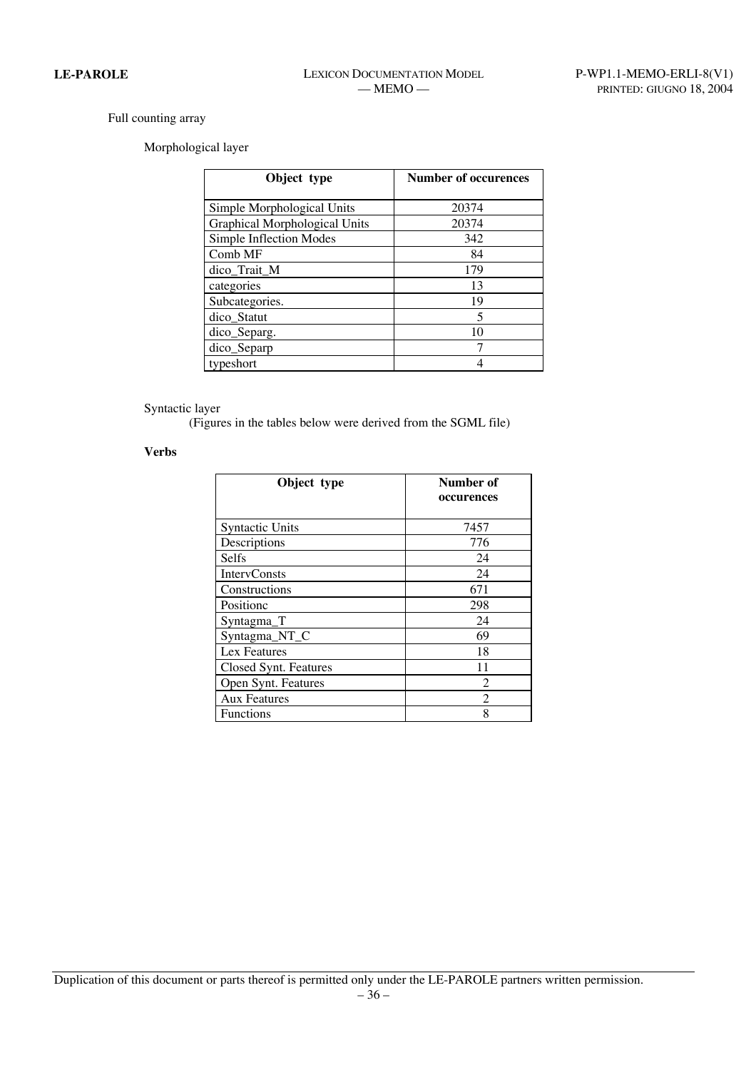## Full counting array

## Morphological layer

| Object type                          | <b>Number of occurences</b> |
|--------------------------------------|-----------------------------|
| Simple Morphological Units           | 20374                       |
| <b>Graphical Morphological Units</b> | 20374                       |
| Simple Inflection Modes              | 342                         |
| Comb MF                              | 84                          |
| dico_Trait_M                         | 179                         |
| categories                           | 13                          |
| Subcategories.                       | 19                          |
| dico_Statut                          | 5                           |
| dico_Separg.                         | 10                          |
| dico_Separp                          |                             |
| typeshort                            |                             |

### Syntactic layer

(Figures in the tables below were derived from the SGML file)

# **Verbs**

| Object type            | Number of<br>occurences |
|------------------------|-------------------------|
| <b>Syntactic Units</b> | 7457                    |
| Descriptions           | 776                     |
| <b>Selfs</b>           | 24                      |
| <b>IntervConsts</b>    | 24                      |
| Constructions          | 671                     |
| Positionc              | 298                     |
| Syntagma_T             | 24                      |
| Syntagma_NT_C          | 69                      |
| Lex Features           | 18                      |
| Closed Synt. Features  | 11                      |
| Open Synt. Features    | 2                       |
| <b>Aux Features</b>    | 2                       |
| <b>Functions</b>       | 8                       |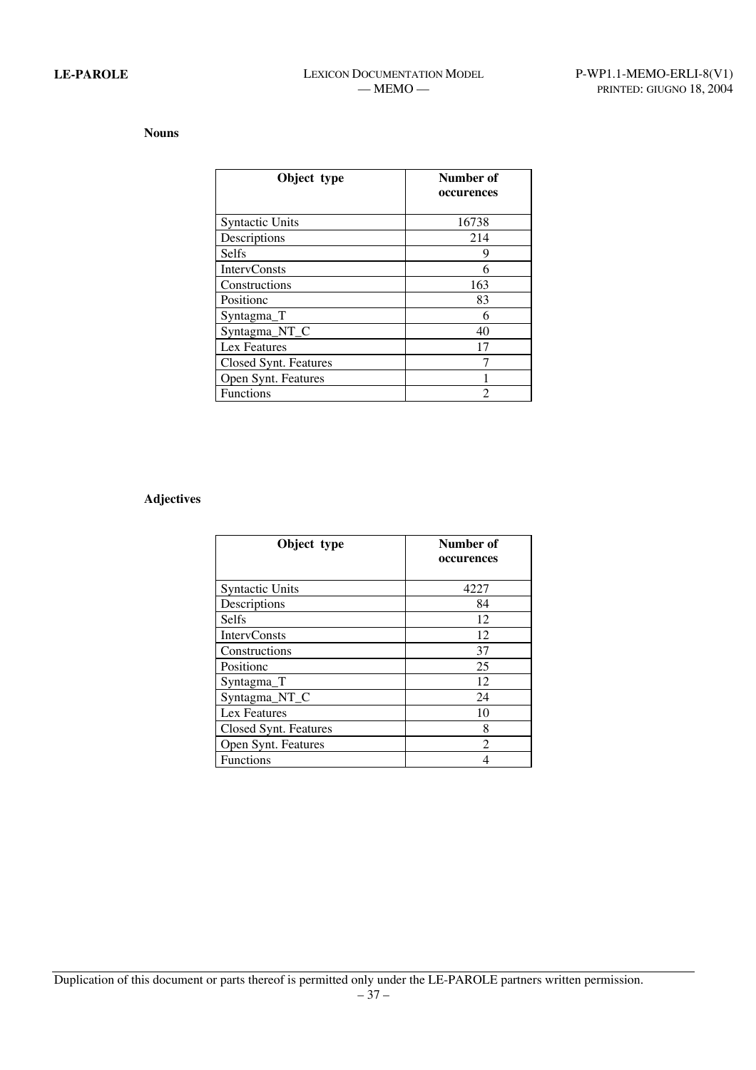## **Nouns**

| Object type            | Number of<br>occurences |
|------------------------|-------------------------|
| <b>Syntactic Units</b> | 16738                   |
| Descriptions           | 214                     |
| <b>Selfs</b>           | 9                       |
| <b>IntervConsts</b>    | 6                       |
| Constructions          | 163                     |
| Positionc              | 83                      |
| Syntagma <sub>T</sub>  | 6                       |
| Syntagma_NT_C          | 40                      |
| Lex Features           | 17                      |
| Closed Synt. Features  |                         |
| Open Synt. Features    |                         |
| <b>Functions</b>       | 2                       |

### **Adjectives**

| Object type            | Number of<br>occurences |
|------------------------|-------------------------|
| <b>Syntactic Units</b> | 4227                    |
| Descriptions           | 84                      |
| <b>Selfs</b>           | 12                      |
| <b>IntervConsts</b>    | 12                      |
| Constructions          | 37                      |
| Positionc              | 25                      |
| Syntagma_T             | 12                      |
| Syntagma_NT_C          | 24                      |
| Lex Features           | 10                      |
| Closed Synt. Features  | 8                       |
| Open Synt. Features    | $\mathfrak{D}$          |
| <b>Functions</b>       | 4                       |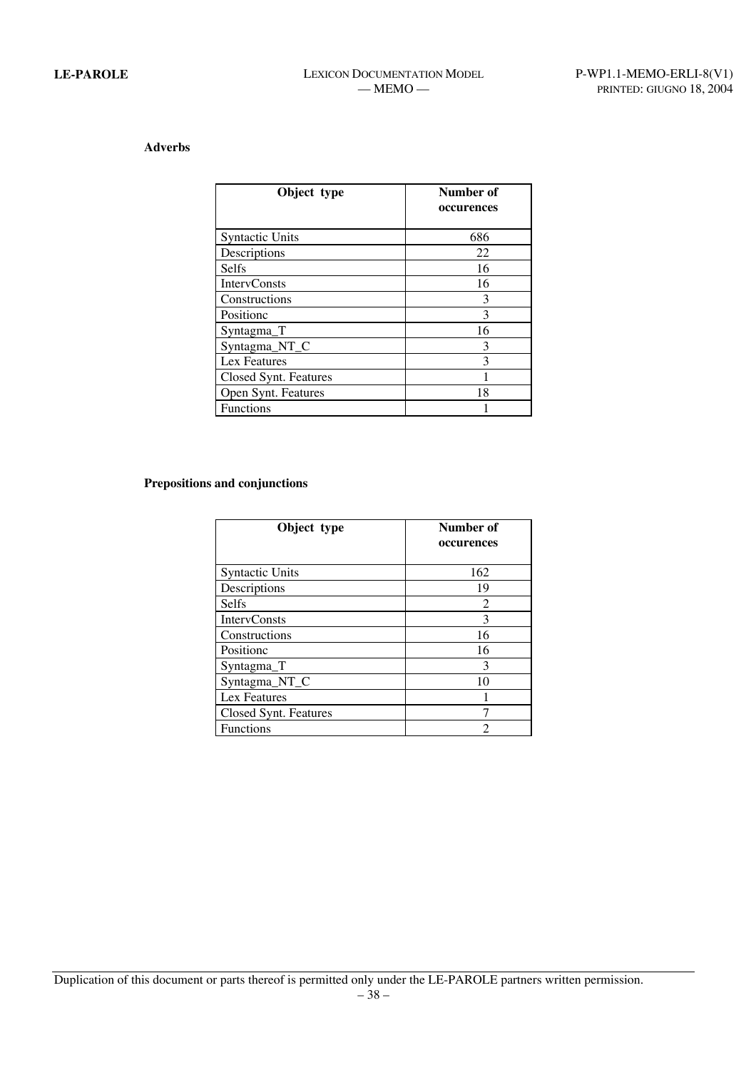# **Adverbs**

| Object type            | Number of<br>occurences |
|------------------------|-------------------------|
| <b>Syntactic Units</b> | 686                     |
| Descriptions           | 22                      |
| <b>Selfs</b>           | 16                      |
| <b>IntervConsts</b>    | 16                      |
| Constructions          | 3                       |
| Positionc              | 3                       |
| Syntagma_T             | 16                      |
| Syntagma_NT_C          | 3                       |
| Lex Features           | 3                       |
| Closed Synt. Features  |                         |
| Open Synt. Features    | 18                      |
| <b>Functions</b>       |                         |

### **Prepositions and conjunctions**

| Object type            | Number of<br>occurences |
|------------------------|-------------------------|
| <b>Syntactic Units</b> | 162                     |
| Descriptions           | 19                      |
| <b>Selfs</b>           | 2                       |
| <b>IntervConsts</b>    | 3                       |
| Constructions          | 16                      |
| Positionc              | 16                      |
| Syntagma_T             | 3                       |
| Syntagma_NT_C          | 10                      |
| Lex Features           |                         |
| Closed Synt. Features  |                         |
| <b>Functions</b>       |                         |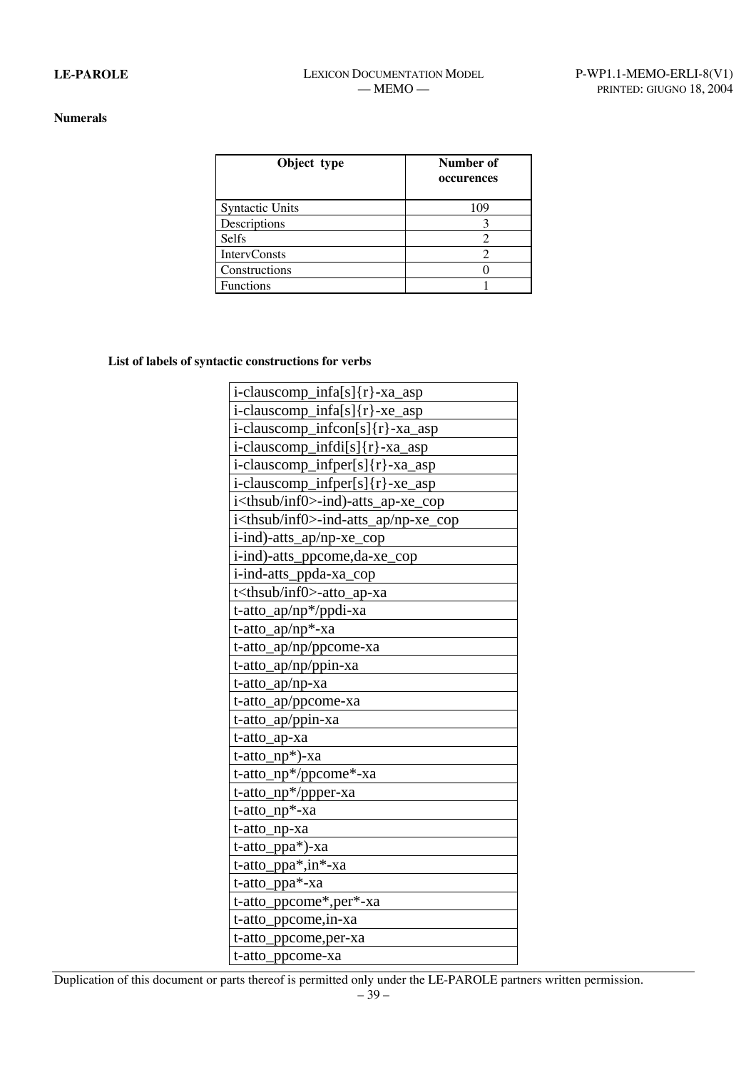### **Numerals**

| Object type            | Number of<br>occurences |
|------------------------|-------------------------|
| <b>Syntactic Units</b> | 109                     |
| Descriptions           |                         |
| <b>Selfs</b>           |                         |
| <b>IntervConsts</b>    |                         |
| Constructions          |                         |
| <b>Functions</b>       |                         |

# **List of labels of syntactic constructions for verbs**

| i-clauscomp_infa[s]{r}-xa_asp                   |
|-------------------------------------------------|
| i-clauscomp_infa[s]{r}-xe_asp                   |
| i-clauscomp_infcon[s]{r}-xa_asp                 |
| i-clauscomp_infdi[s]{r}-xa_asp                  |
| i-clauscomp_infper[s]{r}-xa_asp                 |
| i-clauscomp_infper[s]{r}-xe_asp                 |
| i <thsub inf0="">-ind)-atts_ap-xe_cop</thsub>   |
| i <thsub inf0="">-ind-atts_ap/np-xe_cop</thsub> |
| i-ind)-atts_ap/np-xe_cop                        |
| i-ind)-atts_ppcome,da-xe_cop                    |
| i-ind-atts_ppda-xa_cop                          |
| t <thsub inf0="">-atto_ap-xa</thsub>            |
| t-atto_ap/np*/ppdi-xa                           |
| t-atto_ap/np*-xa                                |
| t-atto_ap/np/ppcome-xa                          |
| t-atto_ap/np/ppin-xa                            |
| $t$ -atto_ap/np-xa                              |
| t-atto_ap/ppcome-xa                             |
| t-atto_ap/ppin-xa                               |
| t-atto_ap-xa                                    |
| t-atto_np*)-xa                                  |
| t-atto_np*/ppcome*-xa                           |
| t-atto_np*/ppper-xa                             |
| t-atto_np*-xa                                   |
| t-atto_np-xa                                    |
| t-atto_ppa*)-xa                                 |
| t-atto_ppa*,in*-xa                              |
| t-atto_ppa*-xa                                  |
| t-atto_ppcome*,per*-xa                          |
| t-atto_ppcome, in-xa                            |
| t-atto_ppcome,per-xa                            |
| t-atto_ppcome-xa                                |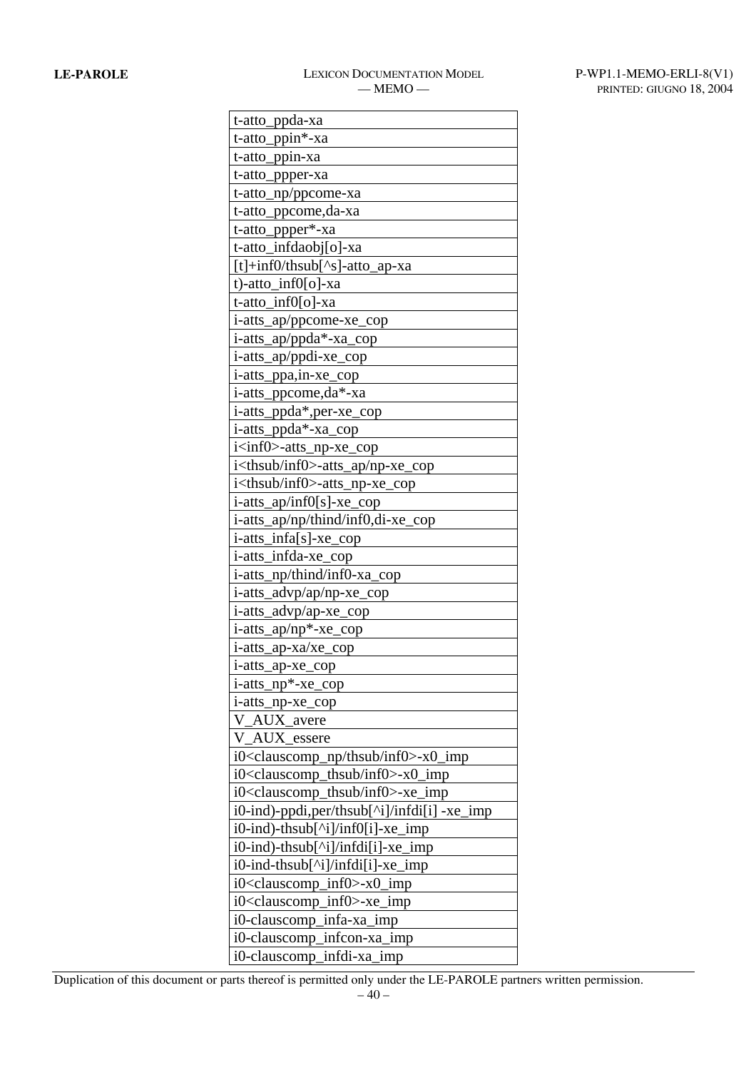$\overline{\phantom{0}}$ 

| t-atto_ppda-xa                                           |  |
|----------------------------------------------------------|--|
| t-atto_ppin*-xa                                          |  |
| t-atto_ppin-xa                                           |  |
| t-atto_ppper-xa                                          |  |
| t-atto_np/ppcome-xa                                      |  |
| t-atto_ppcome,da-xa                                      |  |
| t-atto_ppper*-xa                                         |  |
| t-atto_infdaobj[o]-xa                                    |  |
| $[t]+inf0/thsub[^s]-atto\_ap-xa$                         |  |
| t)-atto inf0[o]-xa                                       |  |
| t-atto_inf0[o]-xa                                        |  |
| i-atts_ap/ppcome-xe_cop                                  |  |
| i-atts_ap/ppda*-xa_cop                                   |  |
| i-atts_ap/ppdi-xe_cop                                    |  |
| i-atts_ppa,in-xe_cop                                     |  |
| i-atts_ppcome,da*-xa                                     |  |
| i-atts_ppda*,per-xe_cop                                  |  |
| i-atts_ppda*-xa_cop                                      |  |
| i <inf0>-atts_np-xe_cop</inf0>                           |  |
| i <thsub inf0="">-atts_ap/np-xe_cop</thsub>              |  |
| i <thsub inf0="">-atts_np-xe_cop</thsub>                 |  |
| $i$ -atts_ap/inf0[s]-xe_cop                              |  |
| i-atts_ap/np/thind/inf0,di-xe_cop                        |  |
| i-atts_infa[s]-xe_cop                                    |  |
| i-atts_infda-xe_cop                                      |  |
| i-atts_np/thind/inf0-xa_cop                              |  |
| i-atts_advp/ap/np-xe_cop                                 |  |
| i-atts_advp/ap-xe_cop                                    |  |
| i-atts_ap/np*-xe_cop                                     |  |
| i-atts_ap-xa/xe_cop                                      |  |
| i-atts_ap-xe_cop                                         |  |
| i-atts_np*-xe_cop                                        |  |
| i-atts_np-xe_cop                                         |  |
| V_AUX_avere                                              |  |
| V_AUX_essere                                             |  |
| i0 <clauscomp_np inf0="" thsub="">-x0_imp</clauscomp_np> |  |
| i0 <clauscomp_thsub inf0="">-x0_imp</clauscomp_thsub>    |  |
| i0 <clauscomp_thsub inf0="">-xe_imp</clauscomp_thsub>    |  |
| i0-ind)-ppdi,per/thsub[^i]/infdi[i] -xe_imp              |  |
| i0-ind)-thsub[^i]/inf0[i]-xe_imp                         |  |
| i0-ind)-thsub[^i]/infdi[i]-xe_imp                        |  |
| i0-ind-thsub[^i]/infdi[i]-xe_imp                         |  |
| i0 <clauscomp_inf0>-x0_imp</clauscomp_inf0>              |  |
| i0 <clauscomp_inf0>-xe_imp</clauscomp_inf0>              |  |
| i0-clauscomp_infa-xa_imp                                 |  |
| i0-clauscomp_infcon-xa_imp                               |  |
| i0-clauscomp_infdi-xa_imp                                |  |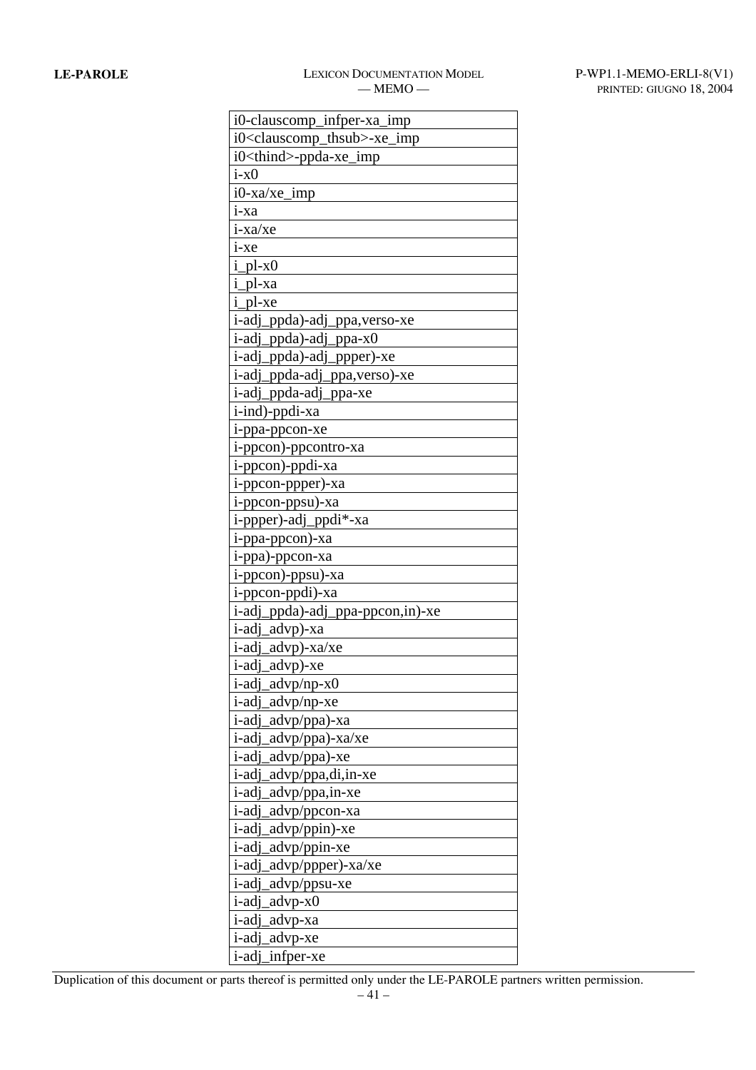| i0-clauscomp_infper-xa_imp                    |
|-----------------------------------------------|
| i0 <clauscomp_thsub>-xe_imp</clauscomp_thsub> |
| i0 <thind>-ppda-xe_imp</thind>                |
| $i-x0$                                        |
| i0-xa/xe_imp                                  |
| i-xa                                          |
| $i$ -xa/xe                                    |
| $i$ -xe                                       |
| $i$ <sub>-pl-x0</sub>                         |
| i_pl-xa                                       |
| i_pl-xe                                       |
| i-adj_ppda)-adj_ppa, verso-xe                 |
| i-adj_ppda)-adj_ppa-x0                        |
| i-adj_ppda)-adj_ppper)-xe                     |
| i-adj_ppda-adj_ppa, verso)-xe                 |
| i-adj_ppda-adj_ppa-xe                         |
| i-ind)-ppdi-xa                                |
| i-ppa-ppcon-xe                                |
| i-ppcon)-ppcontro-xa                          |
| i-ppcon)-ppdi-xa                              |
| i-ppcon-ppper)-xa                             |
| i-ppcon-ppsu)-xa                              |
| i-ppper)-adj_ppdi*-xa                         |
| i-ppa-ppcon)-xa                               |
| i-ppa)-ppcon-xa                               |
| i-ppcon)-ppsu)-xa                             |
| i-ppcon-ppdi)-xa                              |
| i-adj_ppda)-adj_ppa-ppcon,in)-xe              |
| i-adj_advp)-xa                                |
| i-adj_advp)-xa/xe                             |
| i-adj_advp)-xe                                |
| i-adj_advp/np-x0                              |
| i-adj advp/np-xe                              |
| i-adj_advp/ppa)-xa                            |
| i-adj<br>advp/ppa)-xa/xe                      |
| i-adj<br>advp/ppa)-xe                         |
| i-adj_advp/ppa,di,in-xe                       |
| advp/ppa,in-xe<br>i-adj                       |
| i-adj<br>advp/ppcon-xa                        |
| advp/ppin)-xe<br>i-adj                        |
| advp/ppin-xe<br>i-adj                         |
| i-adj_advp/ppper)-xa/xe                       |
| i-adi<br>advp/ppsu-xe                         |
| i-adj<br>advp-x0                              |
| i-adj_advp-xa                                 |
| i-adj_advp-xe                                 |
| i-adj infper-xe                               |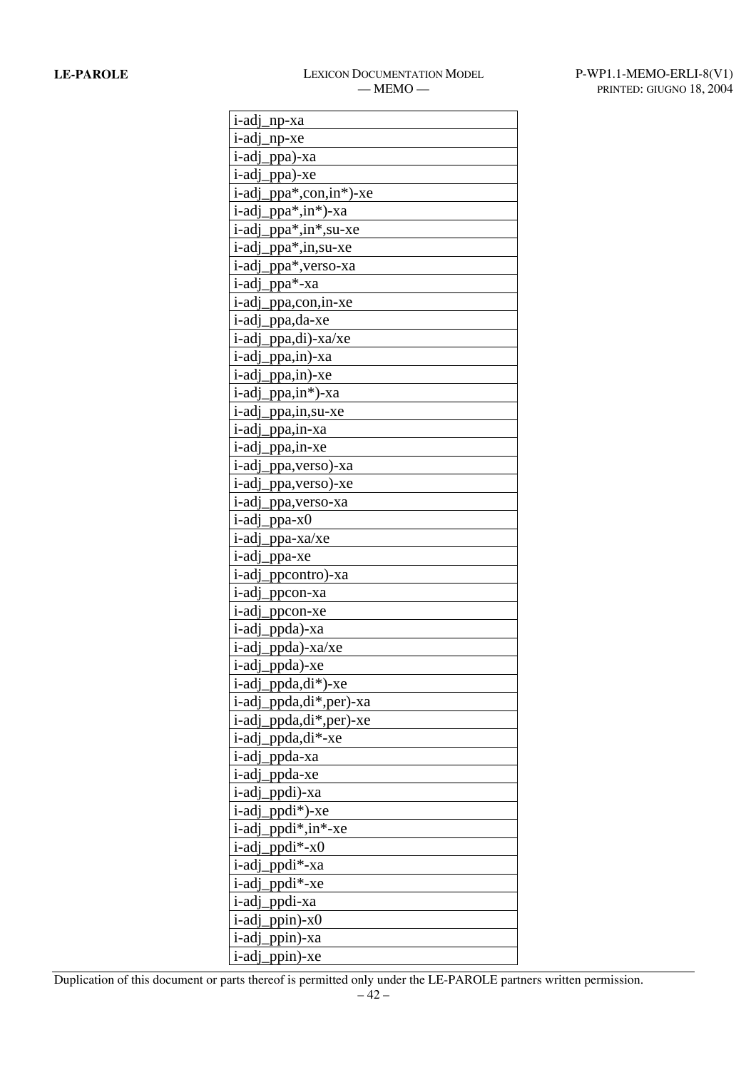| <i>i</i> -adj<br>$np$ -xa         |
|-----------------------------------|
| i-adj<br>$np-xe$                  |
| i-adj_ppa)-xa                     |
| <i>i</i> -adj<br>ppa)-xe          |
| ppa*,con,in*)-xe<br><i>i</i> -adi |
| i-adj<br>ppa*,in*)-xa             |
| i-adj<br>ppa*,in*,su-xe           |
| _ppa*,in,su-xe<br>i-adj           |
| <i>i</i> -adj<br>ppa*,verso-xa    |
| <i>i</i> -adj<br>ppa*-xa          |
| i-adj<br>ppa,con, in-xe           |
| <i>i</i> -adj<br>ppa,da-xe        |
| <i>i</i> -adj<br>.ppa,di)-xa/xe   |
| <i>i</i> -adj<br>ppa,in)-xa       |
| i-adj<br>ppa,in)-xe               |
| i-adj<br>_ppa,in*)-xa             |
| <i>i</i> -adj<br>ppa,in,su-xe     |
| <i>i</i> -adj<br>.ppa,in-xa       |
| i-adj<br>ppa,in-xe                |
| <i>i</i> -adj<br>ppa,verso)-xa    |
| <i>i</i> -adj<br>ppa, verso)-xe   |
| <i>i</i> -adj<br>ppa, verso-xa    |
| <i>i</i> -adj<br>.ppa-x0          |
| i-adj<br>ppa-xa/xe                |
| <i>i</i> -adj<br>ppa-xe           |
| <i>i</i> -adj<br>ppcontro)-xa     |
| <i>i</i> -adj<br>ppcon-xa         |
| i-adi<br>ppcon-xe                 |
| i-adj_ppda)-xa                    |
| ppda)-xa/xe<br><i>i</i> -adi      |
| i-adj_ppda)-xe                    |
| i-adj_ppda,di*)-xe                |
| i-adj_ppda,di*,per)-xa            |
| i-adj_ppda,di*,per)-xe            |
| ppda,di*-xe<br>i-adi              |
| i-adj_ppda-xa                     |
| i-adj_ppda-xe                     |
| ppdi)-xa<br><i>i</i> -adj         |
| i-adj ppdi*)-xe                   |
| $ppdi^*, in^*$ -xe<br>i-adi       |
| $ppdi*-x0$<br>i-adj               |
| i-adj_ppdi*-xa                    |
| $ppdi*-xe$<br><i>i</i> -adj       |
| i-adj_ppdi-xa                     |
| i-adj<br>ppin)- $x0$              |
| i-adj_ppin)-xa                    |
| i-adj_ppin)-xe                    |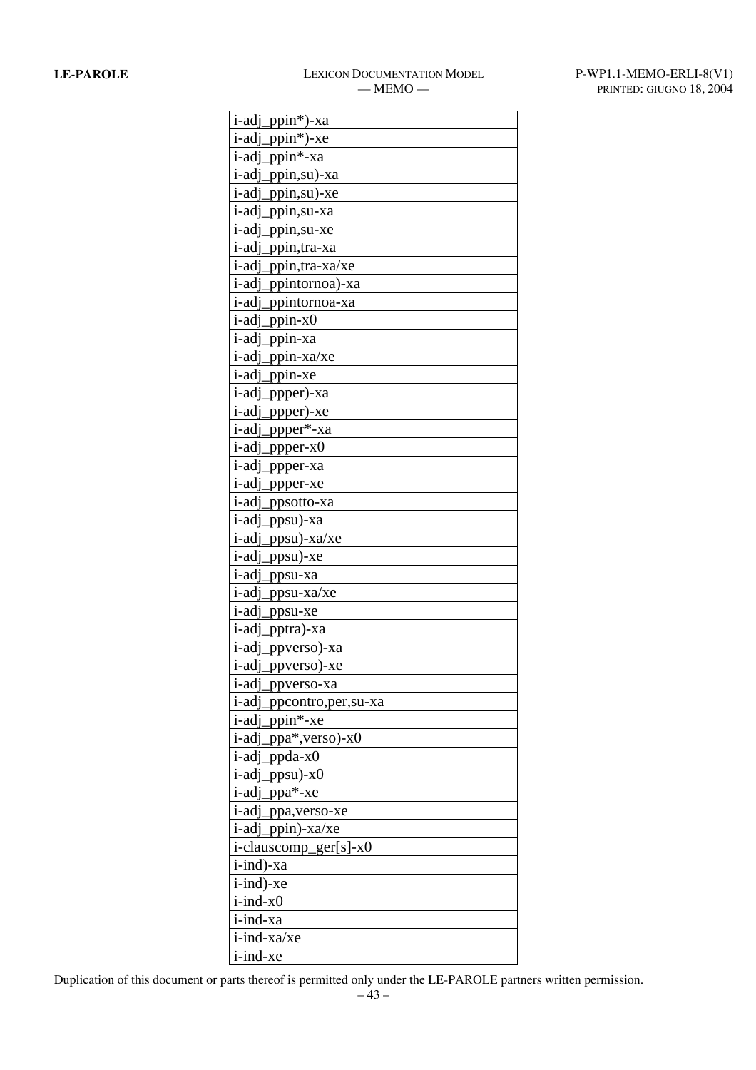| <i>i</i> -adj<br>_ppin*)-xa      |
|----------------------------------|
| $ppin^*$ )-xe<br>i-adi           |
| i-adj_ppin*-xa                   |
| ppin,su)-xa<br><i>i</i> -adj     |
| <i>i</i> -adj<br>.ppin,su)-xe    |
| i-adi<br>ppin,su-xa              |
| <i>i</i> -adj<br>ppin, su-xe     |
| <i>i</i> -adj<br>_ppin,tra-xa    |
| <i>i</i> -adj<br>ppin, tra-xa/xe |
| <i>i</i> -adj<br>_ppintornoa)-xa |
| <i>i</i> -adj<br>ppintornoa-xa   |
| ppin-x0<br><i>i</i> -adj         |
| _ppin-xa<br>i-adj                |
| ppin-xa/xe<br><i>i</i> -adj      |
| i-adj<br>ppin-xe                 |
| <i>i</i> -adj<br>ppper)-xa       |
| <i>i</i> -adj<br>ppper)-xe       |
| ppper*-xa<br><i>i</i> -adj       |
| <i>i</i> -adj<br>$ppper-x0$      |
| i-adj<br>ppper-xa                |
| <i>i</i> -adj<br>ppper-xe        |
| <i>i</i> -adj<br>ppsotto-xa      |
| <i>i</i> -adj<br>_ppsu)-xa       |
| <i>i</i> -adj<br>$ppsu)$ -xa/xe  |
| <i>i</i> -adj<br>ppsu)-xe        |
| <i>i</i> -adj<br>_ppsu-xa        |
| i-adi<br>ppsu-xa/xe              |
| <i>i</i> -adj<br>ppsu-xe         |
| i-adj_pptra)-xa                  |
| _ppverso)-xa<br><i>i</i> -adj    |
| i-adj_ppverso)-xe                |
| i-adj_ppverso-xa                 |
| i-adj_ppcontro,per,su-xa         |
| i-adj_ppin*-xe                   |
| i-adj_ppa*,verso)-x0             |
| i-adj_ppda-x0                    |
| i-adj_ppsu)-x0                   |
| i-adj ppa*-xe                    |
| i-adj_ppa, verso-xe              |
| i-adj_ppin)-xa/xe                |
| i-clauscomp_ger[s]-x0            |
| i-ind)-xa                        |
| i-ind)-xe                        |
| $i$ -ind- $x0$                   |
| i-ind-xa                         |
| i-ind-xa/xe                      |
| i-ind-xe                         |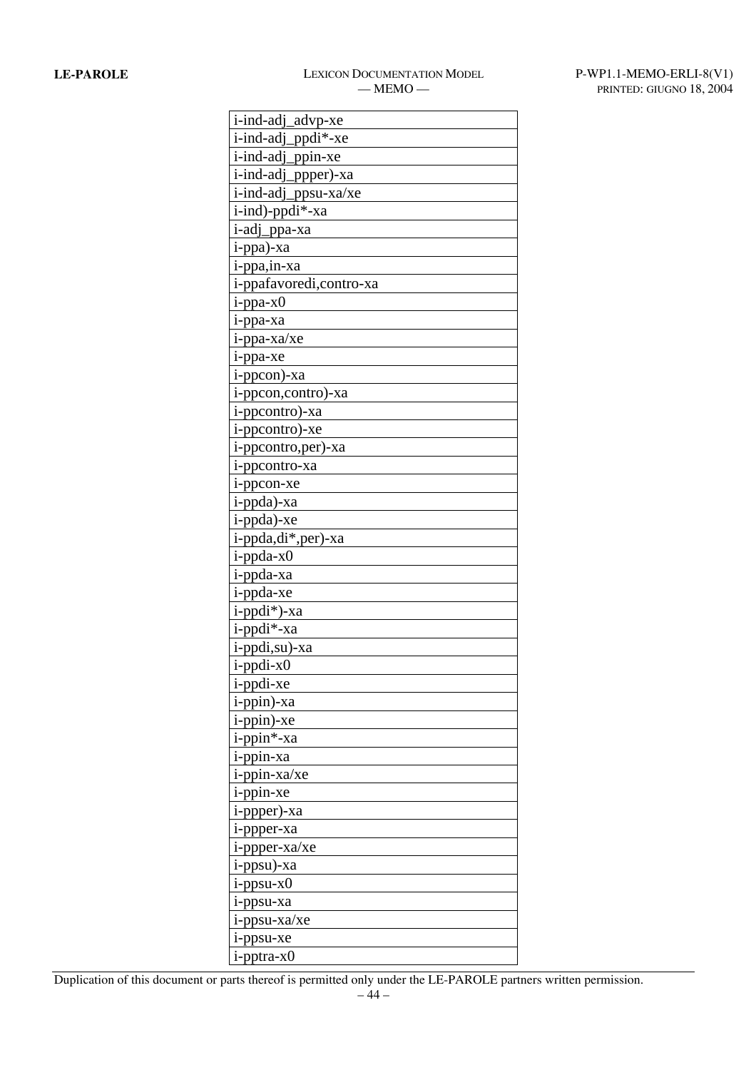| i-ind-adj_advp-xe        |
|--------------------------|
| i-ind-adj_ppdi*-xe       |
| i-ind-adj_ppin-xe        |
| i-ind-adj_ppper)-xa      |
| i-ind-adj_ppsu-xa/xe     |
| i-ind)-ppdi*-xa          |
| i-adj_ppa-xa             |
| i-ppa)-xa                |
| i-ppa,in-xa              |
| i-ppafavoredi, contro-xa |
| $i$ -ppa-x $0$           |
| i-ppa-xa                 |
| i-ppa-xa/xe              |
| i-ppa-xe                 |
| i-ppcon)-xa              |
| i-ppcon,contro)-xa       |
| i-ppcontro)-xa           |
| i-ppcontro)-xe           |
| i-ppcontro, per)-xa      |
| i-ppcontro-xa            |
| i-ppcon-xe               |
| i-ppda)-xa               |
| i-ppda)-xe               |
| i-ppda,di*,per)-xa       |
| $i$ -ppda-x $0$          |
| i-ppda-xa                |
| i-ppda-xe                |
| i-ppdi*)-xa              |
| i-ppdi*-xa               |
| i-ppdi,su)-xa            |
| i-ppdi-x0                |
| i-ppdi-xe                |
| i-ppin)-xa               |
| i-ppin)-xe               |
| i-ppin*-xa               |
| i-ppin-xa                |
| i-ppin-xa/xe             |
| i-ppin-xe                |
| i-ppper)-xa              |
| i-ppper-xa               |
| i-ppper-xa/xe            |
| i-ppsu)-xa               |
| $i$ -ppsu- $x0$          |
| i-ppsu-xa                |
| i-ppsu-xa/xe             |
| i-ppsu-xe                |
| i-pptra-x0               |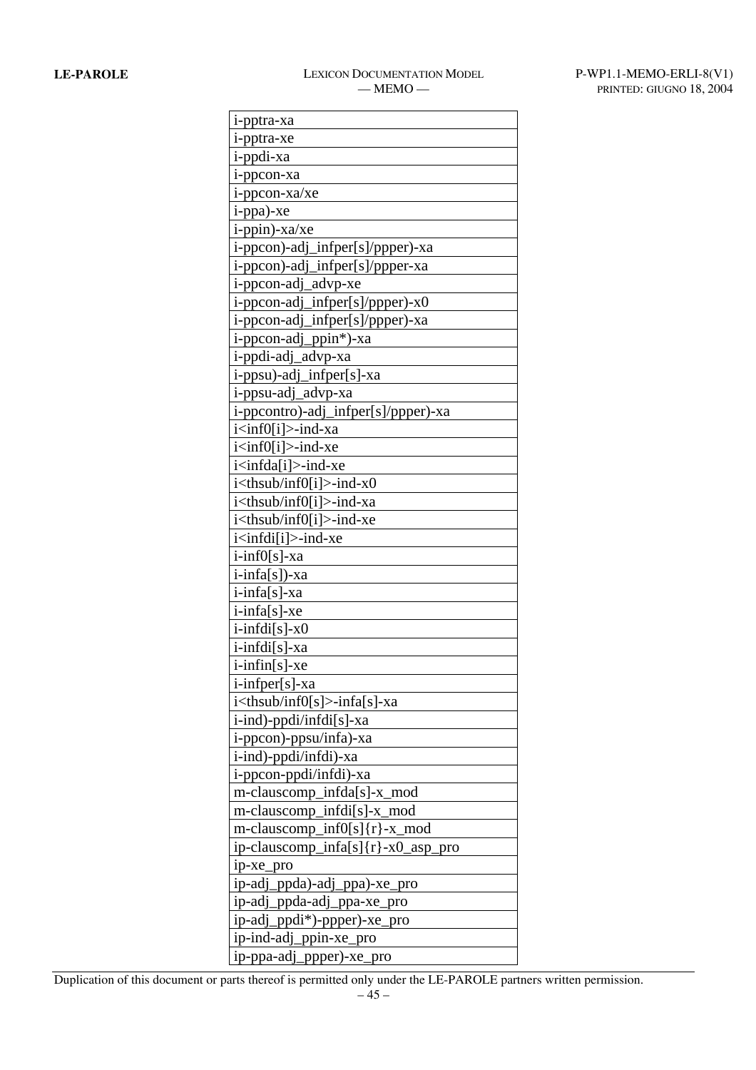| i-pptra-xa                              |
|-----------------------------------------|
| i-pptra-xe                              |
| i-ppdi-xa                               |
| i-ppcon-xa                              |
| i-ppcon-xa/xe                           |
| i-ppa)-xe                               |
| i-ppin)-xa/xe                           |
| i-ppcon)-adj_infper[s]/ppper)-xa        |
| i-ppcon)-adj_infper[s]/ppper-xa         |
| i-ppcon-adj_advp-xe                     |
| i-ppcon-adj_infper[s]/ppper)-x0         |
| i-ppcon-adj_infper[s]/ppper)-xa         |
| i-ppcon-adj_ppin*)-xa                   |
| i-ppdi-adj_advp-xa                      |
| i-ppsu)-adj_infper[s]-xa                |
| i-ppsu-adj_advp-xa                      |
| i-ppcontro)-adj_infper[s]/ppper)-xa     |
| i <inf0[i]>-ind-xa</inf0[i]>            |
| i <inf0[i]>-ind-xe</inf0[i]>            |
| i <infda[i]>-ind-xe</infda[i]>          |
| $i$ < thsub/inf0[i] > -ind-x0           |
| i <thsub inf0[i]="">-ind-xa</thsub>     |
| i <thsub inf0[i]="">-ind-xe</thsub>     |
| i <infdi[i]>-ind-xe</infdi[i]>          |
| $i$ -inf $0[s]$ -xa                     |
| $i$ -infa[s])-xa                        |
| i-infa[s]-xa                            |
| $i$ -infa[s]-xe                         |
| $i$ -infd $i[s]$ -x0                    |
| i-infdi[s]-xa                           |
| $i$ -infin $[s]$ -xe                    |
| i-infper[s]-xa                          |
| i <thsub inf0[s]="">-infa[s]-xa</thsub> |
| $i$ -ind)-ppdi/infdi[s]-xa              |
| i-ppcon)-ppsu/infa)-xa                  |
| i-ind)-ppdi/infdi)-xa                   |
| i-ppcon-ppdi/infdi)-xa                  |
| m-clauscomp_infda[s]-x_mod              |
| m-clauscomp_infdi[s]-x_mod              |
| m-clauscomp_inf0[s]{r}-x_mod            |
| ip-clauscomp_infa[s]{r}-x0_asp_pro      |
| ip-xe_pro                               |
| ip-adj_ppda)-adj_ppa)-xe_pro            |
| ip-adj_ppda-adj_ppa-xe_pro              |
| ip-adj_ppdi*)-ppper)-xe_pro             |
| ip-ind-adj_ppin-xe_pro                  |
| ip-ppa-adj_ppper)-xe_pro                |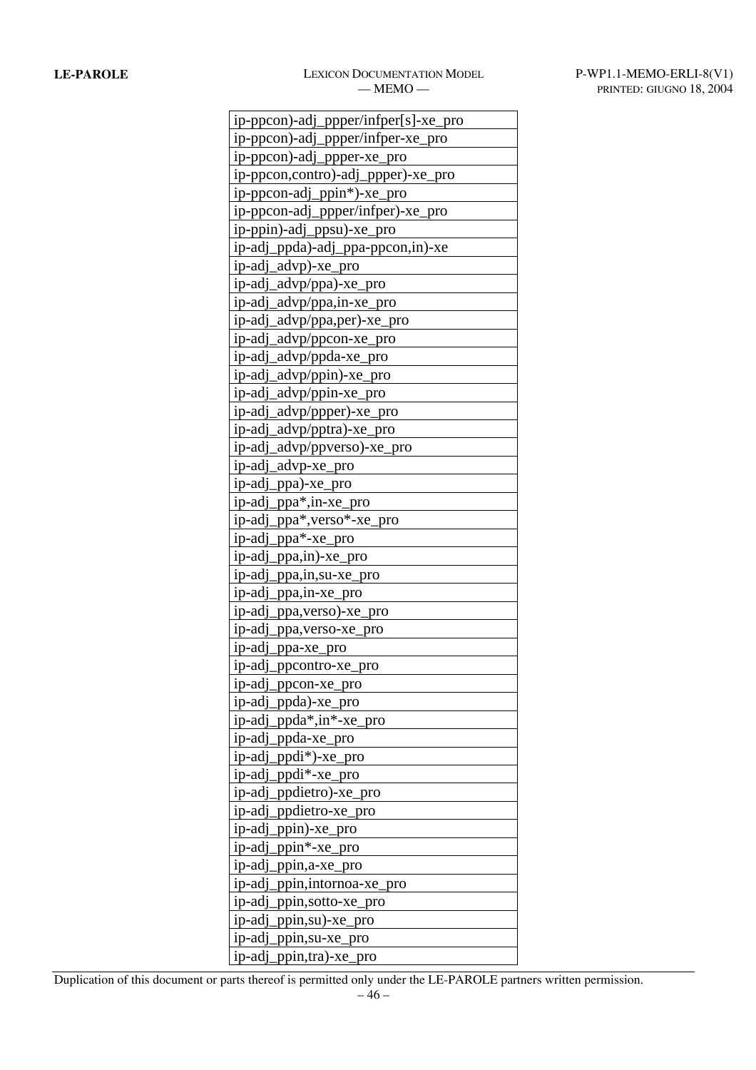# **LE-PAROLE** LEXICON DOCUMENTATION MODEL P-WP1.1-MEMO-ERLI-8(V1)

| ip-ppcon)-adj_ppper/infper[s]-xe_pro |  |
|--------------------------------------|--|
| ip-ppcon)-adj_ppper/infper-xe_pro    |  |
| ip-ppcon)-adj_ppper-xe_pro           |  |
| ip-ppcon,contro)-adj_ppper)-xe_pro   |  |
| ip-ppcon-adj_ppin*)-xe_pro           |  |
| ip-ppcon-adj_ppper/infper)-xe_pro    |  |
| ip-ppin)-adj_ppsu)-xe_pro            |  |
| ip-adj_ppda)-adj_ppa-ppcon,in)-xe    |  |
| ip-adj_advp)-xe_pro                  |  |
| ip-adj_advp/ppa)-xe_pro              |  |
| ip-adj_advp/ppa,in-xe_pro            |  |
| ip-adj_advp/ppa,per)-xe_pro          |  |
| ip-adj_advp/ppcon-xe_pro             |  |
| ip-adj_advp/ppda-xe_pro              |  |
| ip-adj_advp/ppin)-xe_pro             |  |
| ip-adj_advp/ppin-xe_pro              |  |
| ip-adj_advp/ppper)-xe_pro            |  |
| ip-adj_advp/pptra)-xe_pro            |  |
| ip-adj_advp/ppverso)-xe_pro          |  |
| ip-adj_advp-xe_pro                   |  |
| ip-adj_ppa)-xe_pro                   |  |
| ip-adj_ppa*,in-xe_pro                |  |
| ip-adj_ppa*,verso*-xe_pro            |  |
| ip-adj_ppa*-xe_pro                   |  |
| ip-adj_ppa,in)-xe_pro                |  |
| ip-adj_ppa,in,su-xe_pro              |  |
| ip-adj_ppa,in-xe_pro                 |  |
| ip-adj_ppa, verso)-xe_pro            |  |
| ip-adj_ppa,verso-xe_pro              |  |
| ip-adj_ppa-xe_pro                    |  |
| ip-adj_ppcontro-xe_pro               |  |
| ip-adj_ppcon-xe_pro                  |  |
| ip-adj_ppda)-xe_pro                  |  |
| ip-adj_ppda*,in*-xe_pro              |  |
| ip-adj_ppda-xe_pro                   |  |
| ip-adj_ppdi*)-xe_pro                 |  |
| ip-adj_ppdi*-xe_pro                  |  |
| ip-adj_ppdietro)-xe_pro              |  |
| ip-adj_ppdietro-xe_pro               |  |
| ip-adj_ppin)-xe_pro                  |  |
| ip-adj_ppin*-xe_pro                  |  |
| ip-adj_ppin,a-xe_pro                 |  |
| ip-adj_ppin,intornoa-xe_pro          |  |
| ip-adj_ppin,sotto-xe_pro             |  |
| ip-adj_ppin,su)-xe_pro               |  |
| ip-adj_ppin,su-xe_pro                |  |
| ip-adj_ppin,tra)-xe_pro              |  |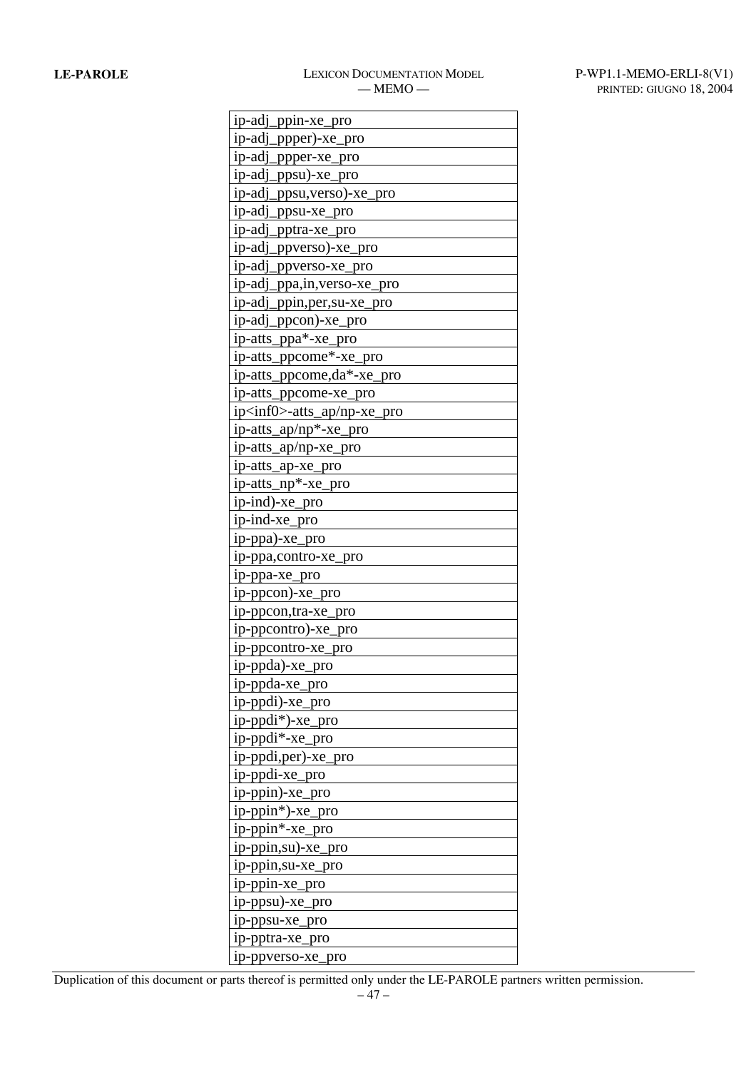| ip-adj_ppin-xe_pro                 |
|------------------------------------|
| ip-adj_ppper)-xe_pro               |
| ip-adj_ppper-xe_pro                |
| ip-adj_ppsu)-xe_pro                |
| ip-adj_ppsu, verso)-xe_pro         |
| ip-adj_ppsu-xe_pro                 |
| ip-adj_pptra-xe_pro                |
| ip-adj_ppverso)-xe_pro             |
| ip-adj_ppverso-xe_pro              |
| ip-adj_ppa,in, verso-xe_pro        |
| ip-adj_ppin,per,su-xe_pro          |
| ip-adj_ppcon)-xe_pro               |
| ip-atts_ppa*-xe_pro                |
| ip-atts_ppcome*-xe_pro             |
| ip-atts_ppcome,da*-xe_pro          |
| ip-atts_ppcome-xe_pro              |
| ip <inf0>-atts_ap/np-xe_pro</inf0> |
| ip-atts_ap/np*-xe_pro              |
| ip-atts_ap/np-xe_pro               |
| ip-atts_ap-xe_pro                  |
| ip-atts_np*-xe_pro                 |
| ip-ind)-xe_pro                     |
| ip-ind-xe_pro                      |
| ip-ppa)-xe_pro                     |
| ip-ppa,contro-xe_pro               |
| ip-ppa-xe_pro                      |
| ip-ppcon)-xe_pro                   |
| ip-ppcon,tra-xe_pro                |
| ip-ppcontro)-xe_pro                |
| ip-ppcontro-xe_pro                 |
| ip-ppda)-xe_pro                    |
| ip-ppda-xe_pro                     |
| ip-ppdi)-xe_pro                    |
| ip-ppdi*)-xe_pro                   |
| ip-ppdi*-xe_pro                    |
| ip-ppdi,per)-xe_pro                |
| ip-ppdi-xe_pro                     |
| ip-ppin)-xe_pro                    |
| ip-ppin*)-xe_pro                   |
| ip-ppin*-xe_pro                    |
| ip-ppin,su)-xe_pro                 |
| ip-ppin,su-xe_pro                  |
| ip-ppin-xe_pro                     |
| ip-ppsu)-xe_pro                    |
| ip-ppsu-xe_pro                     |
| ip-pptra-xe_pro                    |
| ip-ppverso-xe_pro                  |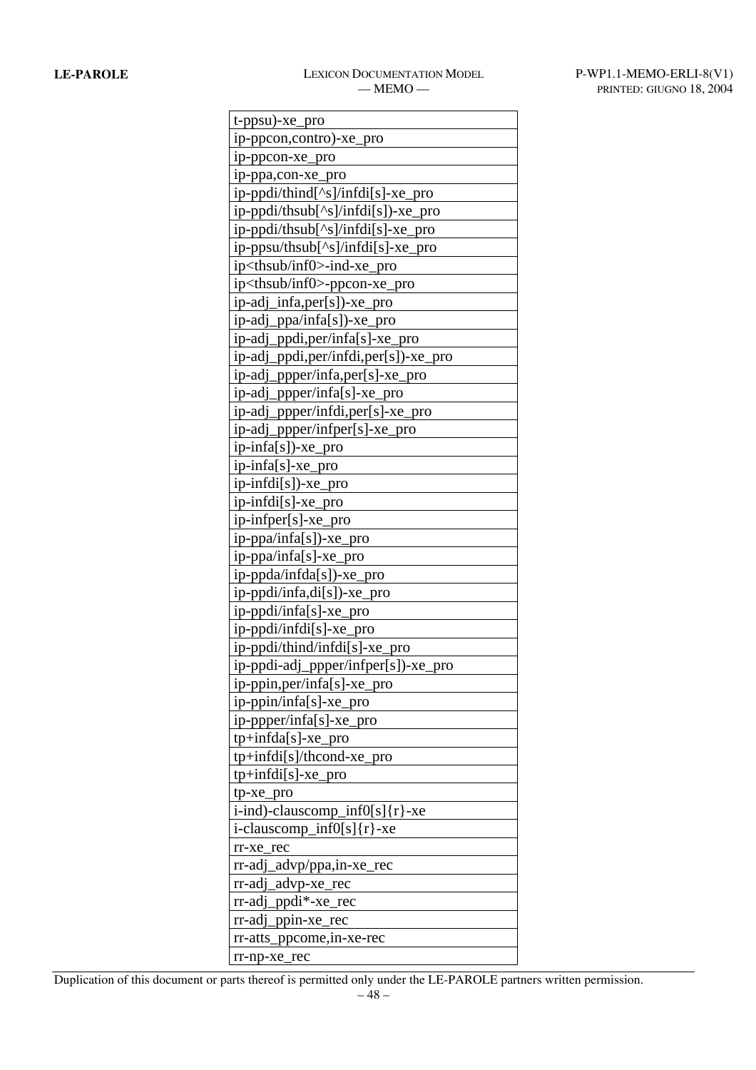| t-ppsu)-xe_pro                          |
|-----------------------------------------|
| ip-ppcon,contro)-xe_pro                 |
| ip-ppcon-xe_pro                         |
| ip-ppa,con-xe_pro                       |
| ip-ppdi/thind[^s]/infdi[s]-xe_pro       |
| ip-ppdi/thsub[^s]/infdi[s])-xe_pro      |
| ip-ppdi/thsub[^s]/infdi[s]-xe_pro       |
| ip-ppsu/thsub[^s]/infdi[s]-xe_pro       |
| ip <thsub inf0="">-ind-xe_pro</thsub>   |
| ip <thsub inf0="">-ppcon-xe_pro</thsub> |
| ip-adj_infa,per[s])-xe_pro              |
| ip-adj_ppa/infa[s])-xe_pro              |
| ip-adj_ppdi,per/infa[s]-xe_pro          |
| ip-adj_ppdi,per/infdi,per[s])-xe_pro    |
| ip-adj_ppper/infa,per[s]-xe_pro         |
| ip-adj_ppper/infa[s]-xe_pro             |
| ip-adj_ppper/infdi,per[s]-xe_pro        |
| ip-adj_ppper/infper[s]-xe_pro           |
| ip-infa[s])-xe_pro                      |
| ip-infa[s]-xe_pro                       |
| ip-infdi[s])-xe_pro                     |
| ip-infdi[s]-xe_pro                      |
| ip-infper[s]-xe_pro                     |
| ip-ppa/infa[s])-xe_pro                  |
| ip-ppa/infa[s]-xe_pro                   |
| ip-ppda/infda[s])-xe_pro                |
| ip-ppdi/infa,di[s])-xe_pro              |
| ip-ppdi/infa[s]-xe_pro                  |
| ip-ppdi/infdi[s]-xe_pro                 |
| ip-ppdi/thind/infdi[s]-xe_pro           |
| ip-ppdi-adj_ppper/infper[s])-xe_pro     |
| ip-ppin,per/infa[s]-xe_pro              |
| ip-ppin/infa[s]-xe_pro                  |
| ip-ppper/infa[s]-xe_pro                 |
| tp+infda[s]-xe_pro                      |
| tp+infdi[s]/thcond-xe_pro               |
| tp+infdi[s]-xe_pro                      |
| tp-xe_pro                               |
| $i$ -ind)-clauscomp_inf0[s]{r}-xe       |
| $i$ -clauscomp_inf0[s]{r}-xe            |
| $rr-xe_re$                              |
| rr-adj_advp/ppa,in-xe_rec               |
| rr-adj_advp-xe_rec                      |
| rr-adj_ppdi*-xe_rec                     |
| rr-adj_ppin-xe_rec                      |
| rr-atts_ppcome,in-xe-rec                |
| rr-np-xe_rec                            |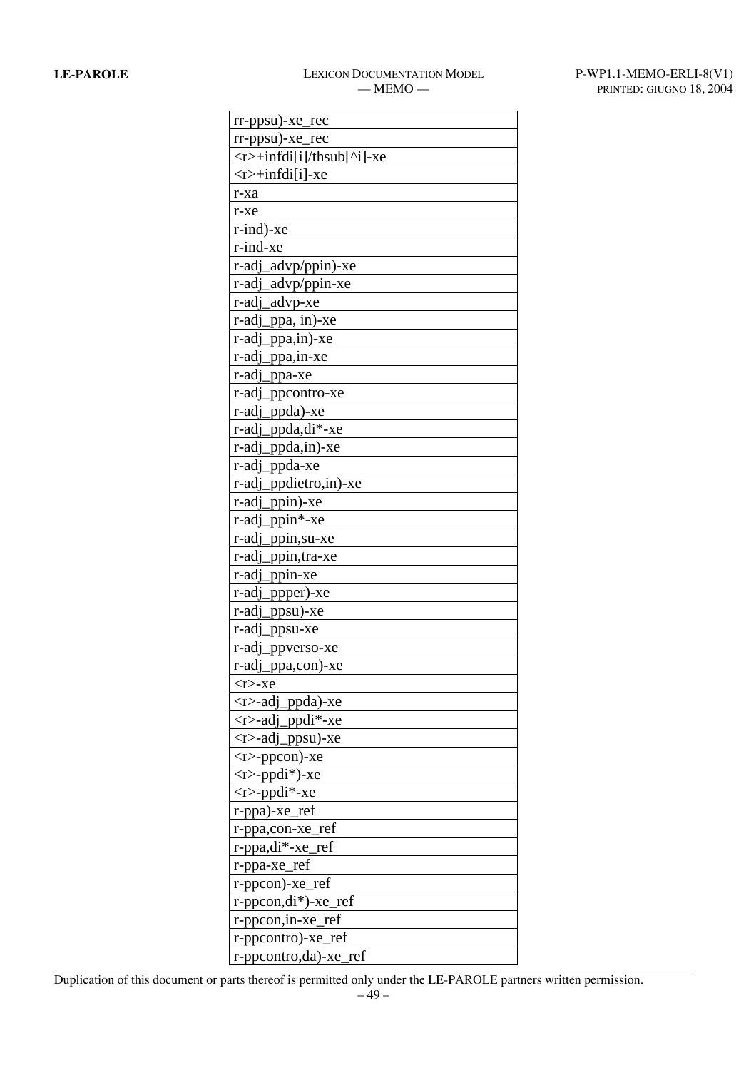| $rr$ -ppsu)-xe_rec                 |
|------------------------------------|
| $rr$ -ppsu)-xe_rec                 |
| $\langle$ r>+infdi[i]/thsub[^i]-xe |
| $\langle$ r>+infdi[i]-xe           |
| r-xa                               |
| $r$ -xe                            |
| $r$ -ind)-xe                       |
| $r$ -ind-xe                        |
| r-adj_advp/ppin)-xe                |
| r-adj_advp/ppin-xe                 |
| r-adj_advp-xe                      |
| r-adj_ppa, in)-xe                  |
| r-adj_ppa,in)-xe                   |
| r-adj_ppa,in-xe                    |
| r-adj_ppa-xe                       |
| r-adj_ppcontro-xe                  |
| r-adj_ppda)-xe                     |
| r-adj_ppda,di*-xe                  |
| r-adj_ppda,in)-xe                  |
| r-adj_ppda-xe                      |
| r-adj_ppdietro,in)-xe              |
| r-adj_ppin)-xe                     |
| r-adj_ppin*-xe                     |
| r-adj_ppin,su-xe                   |
| r-adj_ppin,tra-xe                  |
| r-adj_ppin-xe                      |
| r-adj_ppper)-xe                    |
| r-adj_ppsu)-xe                     |
| r-adj_ppsu-xe                      |
| r-adj_ppverso-xe                   |
| r-adj_ppa,con)-xe                  |
| <r>-xe</r>                         |
| <r>-adj_ppda)-xe</r>               |
| $\langle$ r>-adj_ppdi*-xe          |
| $\langle$ r>-adj_ppsu)-xe          |
| $<$ r $>$ -ppcon $)$ -xe           |
| $\langle r \rangle$ -ppdi*)-xe     |
| $\langle r \rangle$ -ppdi*-xe      |
| $r$ -ppa)-xe_ref                   |
| r-ppa,con-xe_ref                   |
| r-ppa,di*-xe_ref                   |
| r-ppa-xe_ref                       |
| $r$ -pp $con$ )-xe_ref             |
| $r$ -pp $con, di^*$ )-xe_ref       |
| r-ppcon, in-xe_ref                 |
| r-ppcontro)-xe_ref                 |
| r-ppcontro,da)-xe_ref              |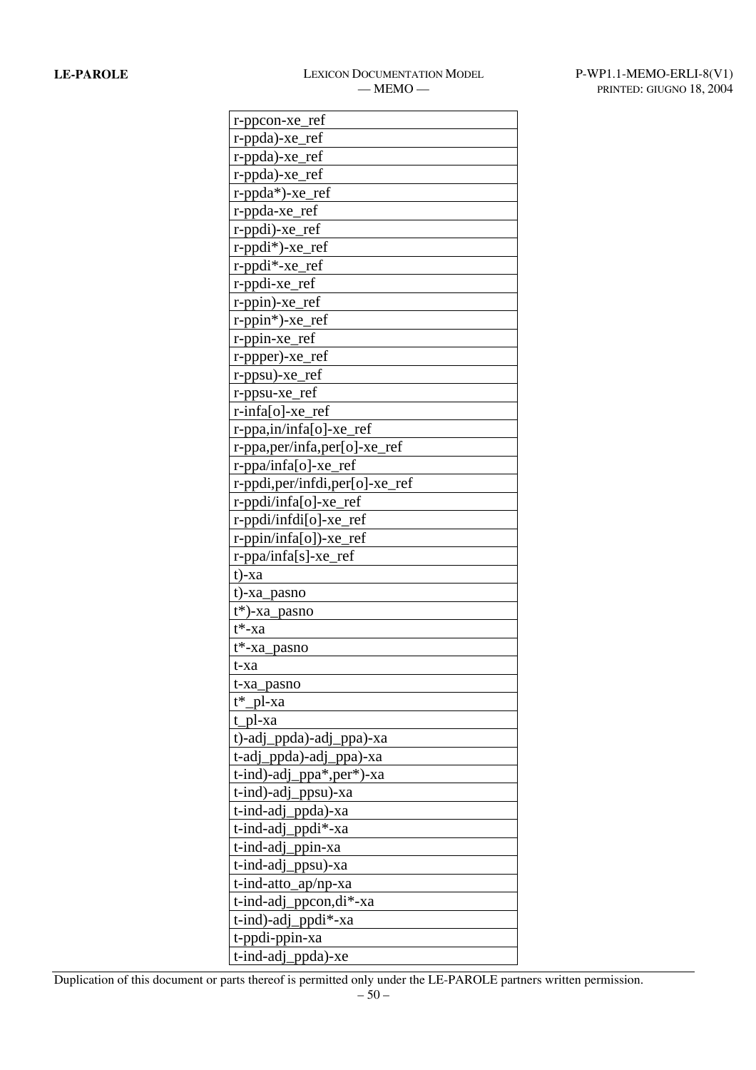| r-ppcon-xe_ref                                      |
|-----------------------------------------------------|
| r-ppda)-xe_ref                                      |
| r-ppda)-xe_ref                                      |
| r-ppda)-xe_ref                                      |
| r-ppda*)-xe_ref                                     |
| r-ppda-xe_ref                                       |
| r-ppdi)-xe_ref                                      |
| r-ppdi*)-xe_ref                                     |
| $r$ -ppdi $*$ -xe_ref                               |
| r-ppdi-xe_ref                                       |
| $r$ -ppin $)$ -xe_ref                               |
| $r$ -ppin*)-xe_ref                                  |
| r-ppin-xe_ref                                       |
| $r$ -ppper)- $xe$ <sub>ref</sub>                    |
| r-ppsu)-xe_ref                                      |
| r-ppsu-xe_ref                                       |
| $r\text{-}infa[0]-xe_re$                            |
| $r$ -ppa,in/infa[o]-xe_ref                          |
| r-ppa,per/infa,per[o]-xe_ref                        |
| $r$ -ppa/infa[o]-xe_ref                             |
| r-ppdi,per/infdi,per[o]-xe_ref                      |
| $r$ -ppdi/infa[o]-xe_ref                            |
| $r$ -ppdi/infdi $[o]$ -xe_ref                       |
| $r$ -ppin/infa[o])-xe_ref                           |
| r-ppa/infa[s]-xe_ref                                |
| $t)$ -xa                                            |
| t)-xa_pasno                                         |
| $t^*$ )-xa_pasno                                    |
| $t^*$ -xa                                           |
| t*-xa_pasno                                         |
| t-xa                                                |
|                                                     |
| t-xa_pasno<br>t* pl-xa                              |
| t pl-xa                                             |
|                                                     |
| t)-adj_ppda)-adj_ppa)-xa                            |
| t-adj_ppda)-adj_ppa)-xa<br>t-ind)-adj_ppa*,per*)-xa |
|                                                     |
| t-ind)-adj_ppsu)-xa                                 |
| t-ind-adj_ppda)-xa<br>t-ind-adj_ppdi*-xa            |
|                                                     |
| t-ind-adj_ppin-xa                                   |
| $t$ -ind-adj_ppsu $)$ -xa                           |
| t-ind-atto_ap/np-xa                                 |
| $t$ -ind-adj_ppcon,di $*$ -xa                       |
| t-ind)-adj_ppdi*-xa                                 |
| t-ppdi-ppin-xa                                      |
| t-ind-adj_ppda)-xe                                  |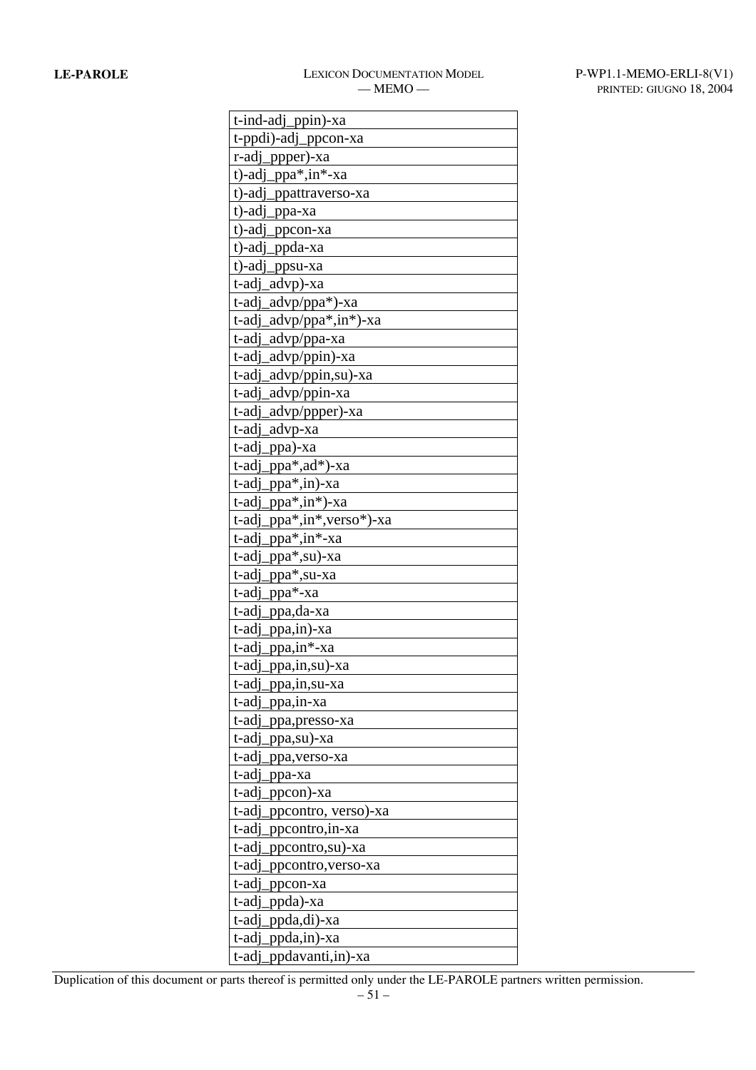| t-ind-adj_ppin)-xa           |
|------------------------------|
| t-ppdi)-adj_ppcon-xa         |
| r-adj_ppper)-xa              |
| $t$ -adj_ppa $*,$ in $*-x$ a |
| t)-adj_ppattraverso-xa       |
| t)-adj_ppa-xa                |
| t)-adj_ppcon-xa              |
| t)-adj_ppda-xa               |
| t)-adj_ppsu-xa               |
| t-adj_advp)-xa               |
| t-adj_advp/ppa*)-xa          |
| t-adj_advp/ppa*,in*)-xa      |
| t-adj_advp/ppa-xa            |
| t-adj_advp/ppin)-xa          |
| t-adj_advp/ppin,su)-xa       |
| t-adj_advp/ppin-xa           |
| advp/ppper)-xa<br>t-adi      |
| t-adj_advp-xa                |
| t-adj_ppa)-xa                |
| t-adj<br>_ppa*,ad*)-xa       |
| t-adj_ppa*,in)-xa            |
| _ppa*,in*)-xa<br>t-adj       |
| t-adj_ppa*,in*,verso*)-xa    |
| t-adj_ppa*,in*-xa            |
| _ppa*,su)-xa<br>t-adj        |
| t-adj_ppa*,su-xa             |
| t-adj_ppa*-xa                |
| t-adj_ppa,da-xa              |
| t-adj_ppa,in)-xa             |
| $t$ -adj_ppa,in*-xa          |
| t-adj_ppa,in,su)-xa          |
| t-adj<br>_ppa,in,su-xa       |
| t-adi<br>_ppa,in-xa          |
| t-adj_ppa,presso-xa          |
| t-adi<br>ppa,su)-xa          |
| t-adj_ppa, verso-xa          |
| t-adj_ppa-xa                 |
| t-adj<br>ppcon)-xa           |
| t-adj_ppcontro, verso)-xa    |
| t-adj_ppcontro, in-xa        |
| t-adj<br>_ppcontro,su)-xa    |
| t-adj_ppcontro, verso-xa     |
| t-adj<br>ppcon-xa            |
| t-adj<br>_ppda)-xa           |
| t-adj_ppda,di)-xa            |
| t-adj_ppda,in)-xa            |
| t-adj_ppdavanti,in)-xa       |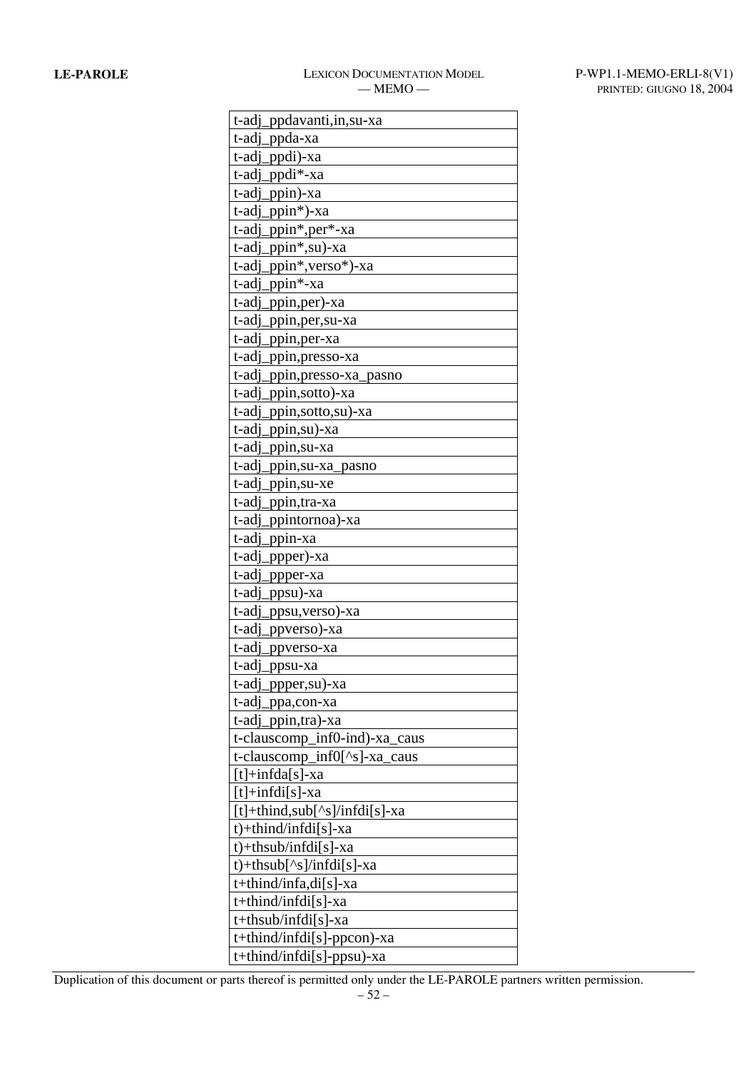| t-adj_ppdavanti,in, su-xa                                                                                       |
|-----------------------------------------------------------------------------------------------------------------|
| t-adj_ppda-xa                                                                                                   |
| t-adj_ppdi)-xa                                                                                                  |
| .ppdi*-xa<br>t-adj                                                                                              |
| t-adj<br>_ppin)-xa                                                                                              |
| t-adj<br>ppin*)-xa                                                                                              |
| _ppin <sup>*</sup> ,per <sup>*</sup> -xa<br>t-adj                                                               |
| t-adj_ppin*,su)-xa                                                                                              |
| ppin*, verso*)-xa<br>t-adj                                                                                      |
| $t$ -adj_ppin $*$ -xa                                                                                           |
| t-adj<br>_ppin,per)-xa                                                                                          |
| t-adj<br>ppin, per, su-xa                                                                                       |
| t-adj<br>_ppin,per-xa                                                                                           |
| t-adj<br>ppin, presso-xa                                                                                        |
| t-adj<br>_ppin,presso-xa_pasno                                                                                  |
| t-adj<br>ppin, sotto)-xa                                                                                        |
| t-adj<br>ppin,sotto,su)-xa                                                                                      |
| t-adj_ppin,su)-xa                                                                                               |
| t-adi<br>.ppin,su-xa                                                                                            |
| t-adj<br>.ppin,su-xa_pasno                                                                                      |
| t-adi<br>_ppin,su-xe                                                                                            |
| t-adj<br>ppin, tra-xa                                                                                           |
| t-adj_ppintornoa)-xa                                                                                            |
| t-adj<br>ppin-xa                                                                                                |
| t-adj<br>ppper)-xa                                                                                              |
| t-adj<br>_ppper-xa                                                                                              |
| t-adj<br>ppsu)-xa                                                                                               |
| t-adj_ppsu, verso)-xa                                                                                           |
| t-adj<br>_ppverso)-xa                                                                                           |
| t-adi<br>ppverso-xa                                                                                             |
| t-adj_ppsu-xa                                                                                                   |
| t-adj_ppper,su)-xa                                                                                              |
| t-adj_ppa,con-xa                                                                                                |
| t-adj_ppin,tra)-xa                                                                                              |
| t-clauscomp_inf0-ind)-xa_caus                                                                                   |
| t-clauscomp_inf0[^s]-xa_caus                                                                                    |
| $[t]+ \inf da[s]$ -xa                                                                                           |
| $[t]+ \inf \{d_i[s] - xa$                                                                                       |
| $\lceil t \rceil + \text{third}, \text{sub} \lceil \text{~s} \rceil / \text{infdi} \lceil s \rceil - \text{xa}$ |
| $t$ + thind/infdi[s] - xa                                                                                       |
| $t$ + thsub/infdi[s] - xa                                                                                       |
| $t$ +thsub[^s]/infdi[s]-xa                                                                                      |
| $t$ +thind/infa,di[s]-xa                                                                                        |
| t+thind/infdi[s]-xa                                                                                             |
| t+thsub/infdi[s]-xa                                                                                             |
| t+thind/infdi[s]-ppcon)-xa                                                                                      |
| t+thind/infdi[s]-ppsu)-xa                                                                                       |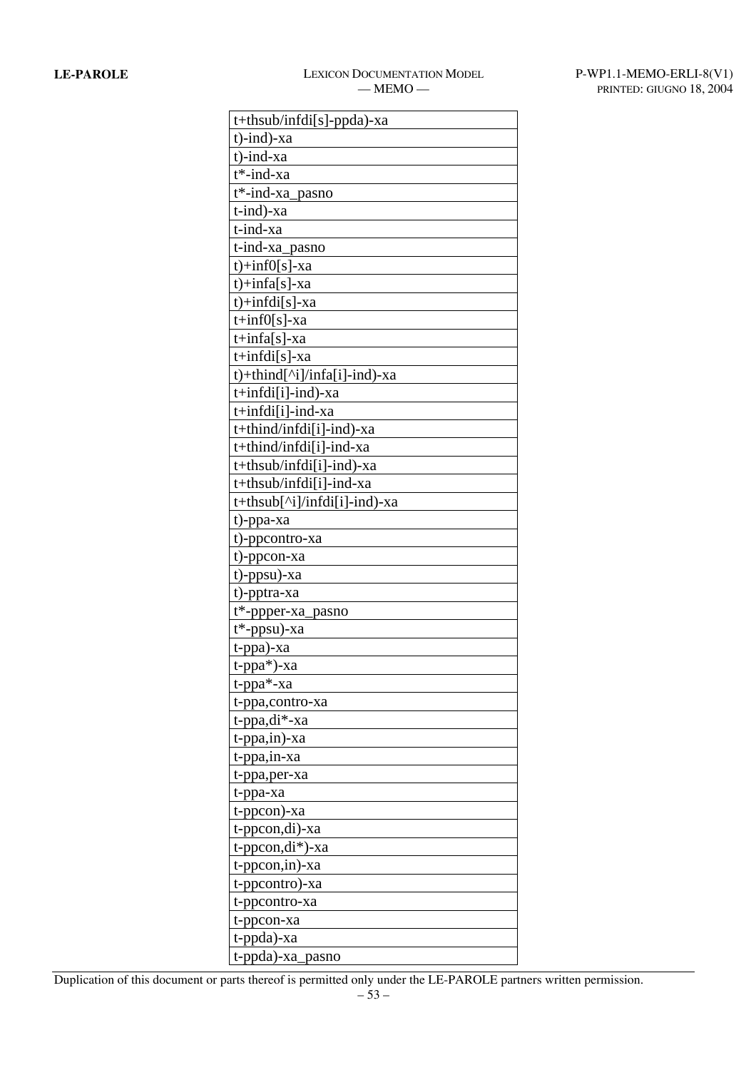| t+thsub/infdi[s]-ppda)-xa    |
|------------------------------|
| $t$ -ind)-xa                 |
| t)-ind-xa                    |
| $t^*$ -ind-xa                |
| t*-ind-xa_pasno              |
| t-ind)-xa                    |
| t-ind-xa                     |
| t-ind-xa_pasno               |
| $t$ )+inf0[s]-xa             |
| $t$ )+infa[s]-xa             |
| $t$ )+infdi[s]-xa            |
| $t+inf0[s]$ -xa              |
| $t+infa[s]$ -xa              |
| $t+infdi[s]-xa$              |
| t)+thind[^i]/infa[i]-ind)-xa |
| $t+infdi[i]-ind)-xa$         |
| t+infdi[i]-ind-xa            |
| t+thind/infdi[i]-ind)-xa     |
| t+thind/infdi[i]-ind-xa      |
| $t+thsub/infdi[i]-ind)-xa$   |
| t+thsub/infdi[i]-ind-xa      |
| t+thsub[^i]/infdi[i]-ind)-xa |
| t)-ppa-xa                    |
| t)-ppcontro-xa               |
| t)-ppcon-xa                  |
| t)-ppsu)-xa                  |
| t)-pptra-xa                  |
| t*-ppper-xa_pasno            |
| $t^*$ -ppsu)-xa              |
| t-ppa)-xa                    |
| t-ppa <sup>*</sup> )-xa      |
| t-ppa <sup>*</sup> -xa       |
| t-ppa,contro-xa              |
| t-ppa,di*-xa                 |
| $t$ -ppa,in)-xa              |
| t-ppa,in-xa                  |
| t-ppa, per-xa                |
| t-ppa-xa                     |
| t-ppcon)-xa                  |
| t-ppcon,di)-xa               |
| $t$ -pp $con, di^*$ )-xa     |
| t-ppcon, in)-xa              |
| t-ppcontro)-xa               |
| t-ppcontro-xa                |
| t-ppcon-xa                   |
| t-ppda)-xa                   |
| t-ppda)-xa_pasno             |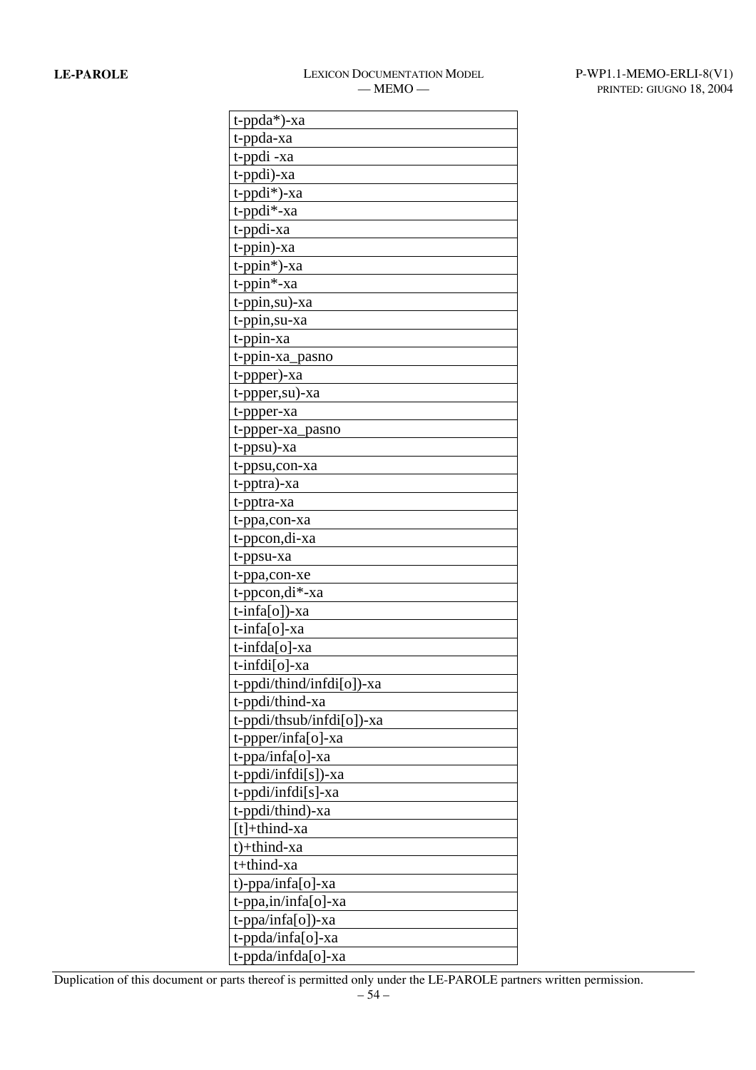| $t$ -ppda*)-xa            |
|---------------------------|
| t-ppda-xa                 |
| t-ppdi-xa                 |
| t-ppdi)-xa                |
| t-ppdi <sup>*</sup> )-xa  |
| t-ppdi*-xa                |
| t-ppdi-xa                 |
| $t$ -ppin)-xa             |
| $t$ -ppin $*)$ -xa        |
| t-ppin*-xa                |
| t-ppin,su)-xa             |
| t-ppin, su-xa             |
| t-ppin-xa                 |
| t-ppin-xa_pasno           |
| t-ppper)-xa               |
| t-ppper, su)-xa           |
| t-ppper-xa                |
| t-ppper-xa_pasno          |
| t-ppsu)-xa                |
| t-ppsu,con-xa             |
| t-pptra)-xa               |
| t-pptra-xa                |
| t-ppa,con-xa              |
| t-ppcon, di-xa            |
| t-ppsu-xa                 |
| t-ppa,con-xe              |
| t-ppcon, di*-xa           |
| $t$ -infa[o])-xa          |
| t-infa[o]-xa              |
| t-infda[o]-xa             |
| t-infdi[o]-xa             |
| t-ppdi/thind/infdi[o])-xa |
| t-ppdi/thind-xa           |
| t-ppdi/thsub/infdi[o])-xa |
| t-ppper/infa[o]-xa        |
| t-ppa/infa[o]-xa          |
| t-ppdi/infdi[s])-xa       |
| t-ppdi/infdi[s]-xa        |
| t-ppdi/thind)-xa          |
| $[t]+third-xa$            |
| t)+thind-xa               |
| t+thind-xa                |
| t)-ppa/infa[o]-xa         |
| t-ppa,in/infa[o]-xa       |
| t-ppa/infa[o])-xa         |
| t-ppda/infa[o]-xa         |
| t-ppda/infda[o]-xa        |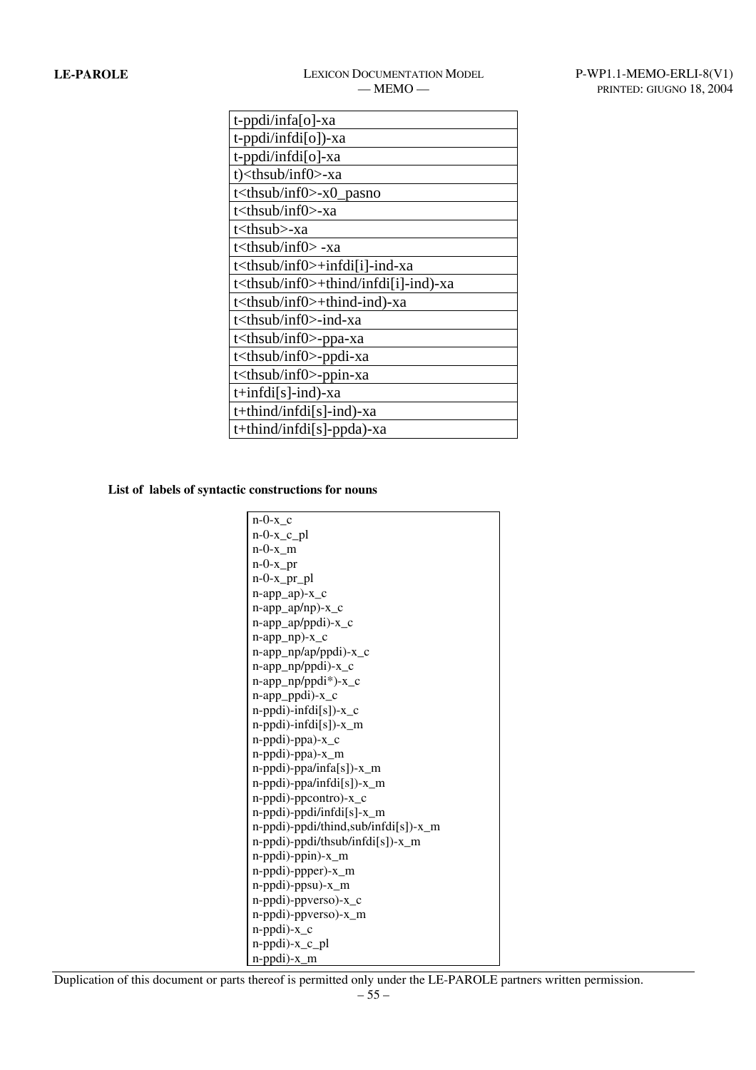# LE-PAROLE LEXICON DOCUMENTATION MODEL P-WP1.1-MEMO-ERLI-8(V1)

| t-ppdi/infa[o]-xa                                |
|--------------------------------------------------|
| t-ppdi/infdi[o])-xa                              |
| t-ppdi/infdi[o]-xa                               |
| t) <thsub inf0="">-xa</thsub>                    |
| t <thsub inf0="">-x0_pasno</thsub>               |
| t <thsub inf0="">-xa</thsub>                     |
| t <thsub>-xa</thsub>                             |
| t <thsub inf0=""> -xa</thsub>                    |
| t <thsub inf0="">+infdi[i]-ind-xa</thsub>        |
| t <thsub inf0="">+thind/infdi[i]-ind)-xa</thsub> |
| t <thsub inf0="">+thind-ind)-xa</thsub>          |
| t <thsub inf0="">-ind-xa</thsub>                 |
| t <thsub inf0="">-ppa-xa</thsub>                 |
| t <thsub inf0="">-ppdi-xa</thsub>                |
| t <thsub inf0="">-ppin-xa</thsub>                |
| $t+infdi[s]-ind)-xa$                             |
| $t$ +thind/infdi[s]-ind)-xa                      |
| t+thind/infdi[s]-ppda)-xa                        |

**List of labels of syntactic constructions for nouns** 

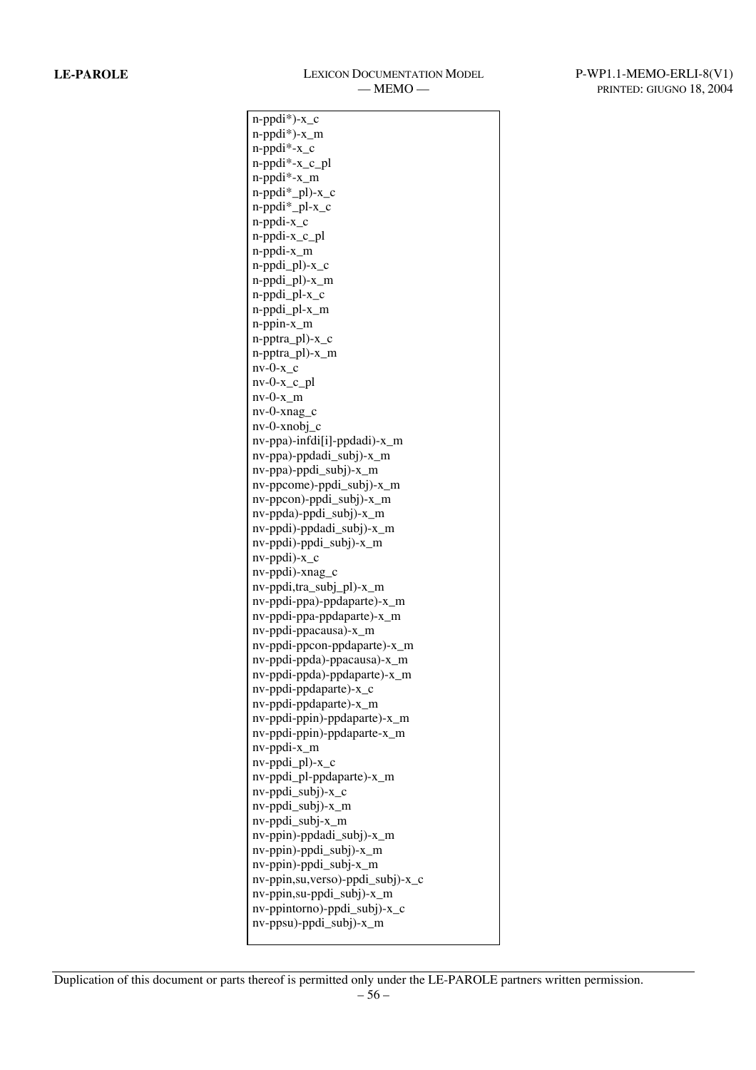| n-ppdi*)-x_c                     |
|----------------------------------|
| n-ppdi*)-x_m                     |
| n-ppdi*-x_c                      |
| n-ppdi*-x_c_pl                   |
| $n$ -ppdi $*$ -x_m               |
| n-ppdi*_pl)-x_c                  |
| n-ppdi*_pl-x_c                   |
| n-ppdi-x_c                       |
| n-ppdi-x_c_pl                    |
| n-ppdi-x_m                       |
| n-ppdi_pl)-x_c                   |
| n-ppdi_pl)-x_m                   |
| n-ppdi_pl-x_c                    |
| n-ppdi_pl-x_m                    |
| $n$ -ppin- $x_m$                 |
| n-pptra_pl)-x_c                  |
| n-pptra_pl)-x_m                  |
| $nv-0-x_c$                       |
|                                  |
| $nv-0-x_c$                       |
| $nv-0-x$ _m                      |
| nv-0-xnag_c                      |
| $nv-0$ -xnobj_c                  |
| nv-ppa)-infdi[i]-ppdadi)-x_m     |
| nv-ppa)-ppdadi_subj)-x_m         |
| nv-ppa)-ppdi_subj)-x_m           |
| nv-ppcome)-ppdi_subj)-x_m        |
| nv-ppcon)-ppdi_subj)-x_m         |
| nv-ppda)-ppdi_subj)-x_m          |
| nv-ppdi)-ppdadi_subj)-x_m        |
| nv-ppdi)-ppdi_subj)-x_m          |
| $nv$ -ppdi $)-x_c$               |
| nv-ppdi)-xnag_c                  |
| nv-ppdi,tra_subj_pl)-x_m         |
| nv-ppdi-ppa)-ppdaparte)-x_m      |
| nv-ppdi-ppa-ppdaparte)-x_m       |
| nv-ppdi-ppacausa)-x_m            |
| nv-ppdi-ppcon-ppdaparte)-x_m     |
| nv-ppdi-ppda)-ppacausa)-x_m      |
| nv-ppdi-ppda)-ppdaparte)-x_m     |
| nv-ppdi-ppdaparte)-x_c           |
| nv-ppdi-ppdaparte)-x_m           |
| nv-ppdi-ppin)-ppdaparte)-x_m     |
| nv-ppdi-ppin)-ppdaparte-x_m      |
| $nv$ -ppdi- $x_m$                |
| nv-ppdi_pl)-x_c                  |
| nv-ppdi_pl-ppdaparte)-x_m        |
| nv-ppdi_subj)-x_c                |
| nv-ppdi_subj)-x_m                |
| $nv$ -ppdi_subj- $x$ _m          |
| nv-ppin)-ppdadi_subj)-x_m        |
| nv-ppin)-ppdi_subj)-x_m          |
| nv-ppin)-ppdi_subj-x_m           |
| nv-ppin,su,verso)-ppdi_subj)-x_c |
|                                  |
| nv-ppin,su-ppdi_subj)-x_m        |
| nv-ppintorno)-ppdi_subj)-x_c     |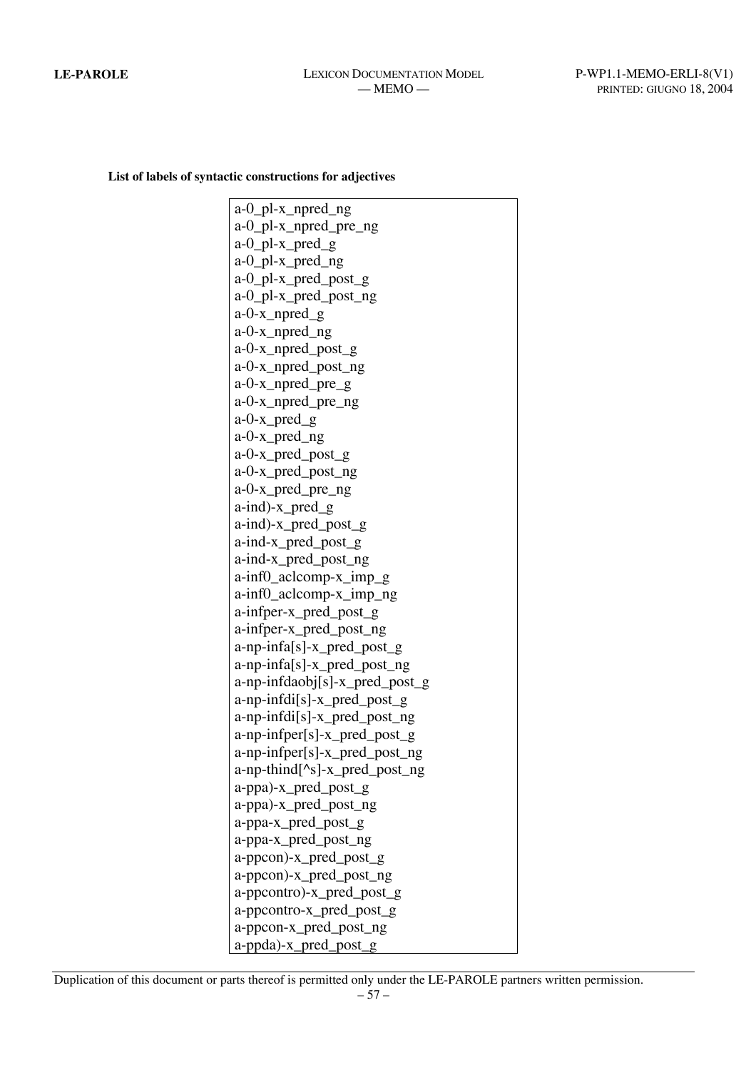**List of labels of syntactic constructions for adjectives** 

a-0\_pl-x\_npred\_ng a-0\_pl-x\_npred\_pre\_ng a-0\_pl-x\_pred\_g a-0\_pl-x\_pred\_ng a-0\_pl-x\_pred\_post\_g a-0\_pl-x\_pred\_post\_ng a-0-x\_npred\_g a-0-x\_npred\_ng a-0-x\_npred\_post\_g a-0-x\_npred\_post\_ng a-0-x\_npred\_pre\_g a-0-x\_npred\_pre\_ng a-0-x\_pred\_g a-0-x\_pred\_ng a-0-x\_pred\_post\_g a-0-x\_pred\_post\_ng a-0-x\_pred\_pre\_ng a-ind)-x\_pred\_g a-ind)-x\_pred\_post\_g a-ind-x\_pred\_post\_g a-ind-x\_pred\_post\_ng a-inf0\_aclcomp-x\_imp\_g a-inf0\_aclcomp-x\_imp\_ng a-infper-x\_pred\_post\_g a-infper-x\_pred\_post\_ng a-np-infa[s]-x\_pred\_post\_g a-np-infa[s]-x\_pred\_post\_ng a-np-infdaobj[s]-x\_pred\_post\_g a-np-infdi[s]-x\_pred\_post\_g a-np-infdi[s]-x\_pred\_post\_ng a-np-infper[s]-x\_pred\_post\_g a-np-infper[s]-x\_pred\_post\_ng a-np-thind[^s]-x\_pred\_post\_ng a-ppa)-x\_pred\_post\_g a-ppa)-x\_pred\_post\_ng a-ppa-x\_pred\_post\_g a-ppa-x\_pred\_post\_ng a-ppcon)-x\_pred\_post\_g a-ppcon)-x\_pred\_post\_ng a-ppcontro)-x\_pred\_post\_g a-ppcontro-x\_pred\_post\_g a-ppcon-x\_pred\_post\_ng a-ppda)-x\_pred\_post\_g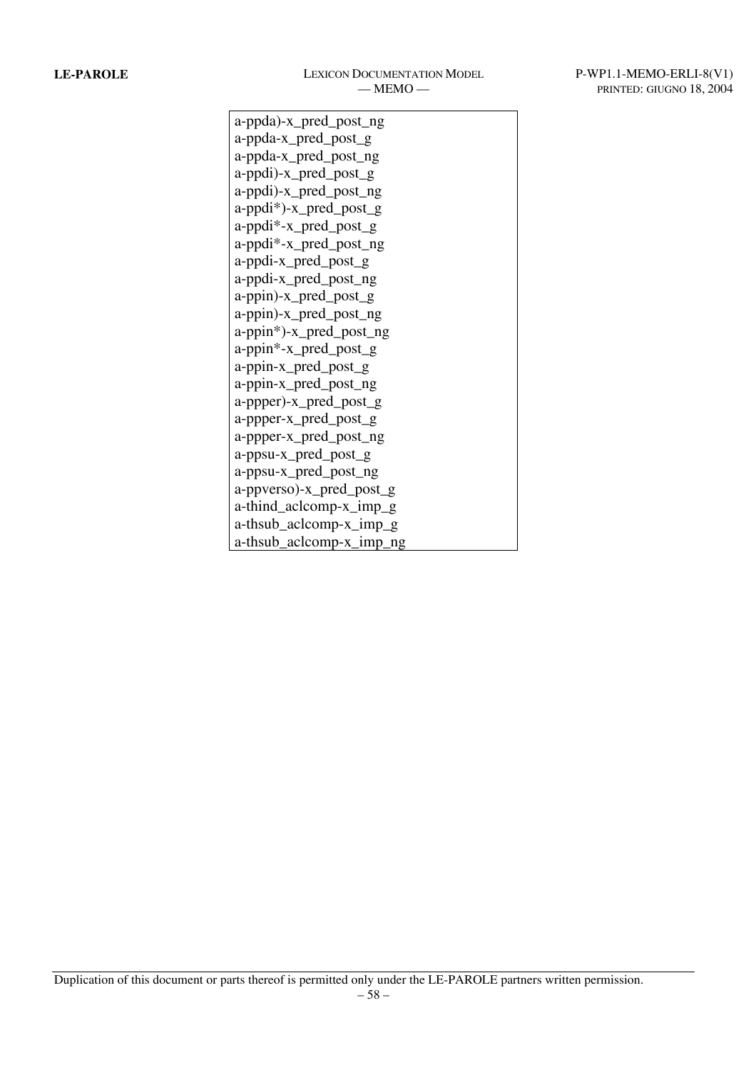a-ppda)-x\_pred\_post\_ng a-ppda-x\_pred\_post\_g a-ppda-x\_pred\_post\_ng a-ppdi)-x\_pred\_post\_g a-ppdi)-x\_pred\_post\_ng a-ppdi\*)-x\_pred\_post\_g a-ppdi\*-x\_pred\_post\_g a-ppdi\*-x\_pred\_post\_ng a-ppdi-x\_pred\_post\_g a-ppdi-x\_pred\_post\_ng a-ppin)-x\_pred\_post\_g a-ppin)-x\_pred\_post\_ng a-ppin\*)-x\_pred\_post\_ng a-ppin\*-x\_pred\_post\_g a-ppin-x\_pred\_post\_g a-ppin-x\_pred\_post\_ng a-ppper)-x\_pred\_post\_g a-ppper-x\_pred\_post\_g a-ppper-x\_pred\_post\_ng a-ppsu-x\_pred\_post\_g a-ppsu-x\_pred\_post\_ng a-ppverso)-x\_pred\_post\_g a-thind\_aclcomp-x\_imp\_g a-thsub\_aclcomp-x\_imp\_g a-thsub\_aclcomp-x\_imp\_ng